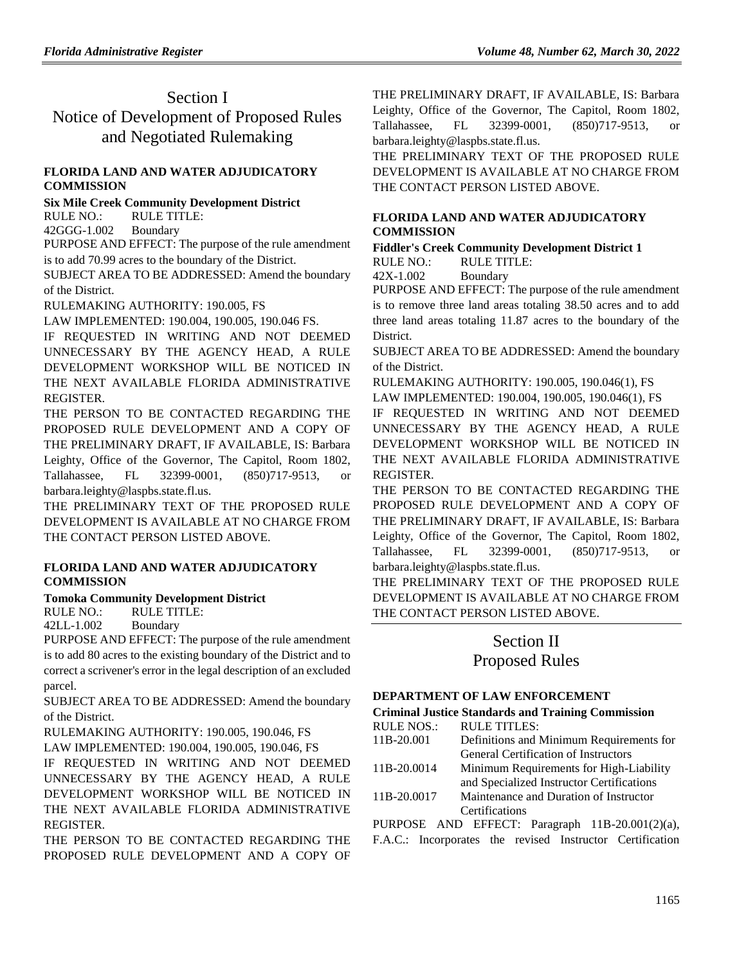# Section I Notice of Development of Proposed Rules and Negotiated Rulemaking

## **[FLORIDA LAND AND WATER ADJUDICATORY](https://www.flrules.org/gateway/department.asp?id=42)  [COMMISSION](https://www.flrules.org/gateway/department.asp?id=42)**

**[Six Mile Creek Community Development District](https://www.flrules.org/gateway/organization.asp?id=562)**

RULE NO.: RULE TITLE:

[42GGG-1.002](https://www.flrules.org/gateway/ruleNo.asp?id=42GGG-1.002) Boundary

PURPOSE AND EFFECT: The purpose of the rule amendment is to add 70.99 acres to the boundary of the District.

SUBJECT AREA TO BE ADDRESSED: Amend the boundary of the District.

RULEMAKING AUTHORITY: [190.005, FS](https://www.flrules.org/gateway/cfr.asp?id=190.005,%20FS)

LAW IMPLEMENTED: [190.004,](https://www.flrules.org/gateway/statute.asp?id=190.004) [190.005,](https://www.flrules.org/gateway/statute.asp?id=%20190.005) [190.046 FS.](https://www.flrules.org/gateway/statute.asp?id=%20190.046%20FS.)

IF REQUESTED IN WRITING AND NOT DEEMED UNNECESSARY BY THE AGENCY HEAD, A RULE DEVELOPMENT WORKSHOP WILL BE NOTICED IN THE NEXT AVAILABLE FLORIDA ADMINISTRATIVE REGISTER.

THE PERSON TO BE CONTACTED REGARDING THE PROPOSED RULE DEVELOPMENT AND A COPY OF THE PRELIMINARY DRAFT, IF AVAILABLE, IS: Barbara Leighty, Office of the Governor, The Capitol, Room 1802, Tallahassee, FL 32399-0001, (850)717-9513, or barbara.leighty@laspbs.state.fl.us.

THE PRELIMINARY TEXT OF THE PROPOSED RULE DEVELOPMENT IS AVAILABLE AT NO CHARGE FROM THE CONTACT PERSON LISTED ABOVE.

#### **[FLORIDA LAND AND WATER ADJUDICATORY](https://www.flrules.org/gateway/department.asp?id=42)  [COMMISSION](https://www.flrules.org/gateway/department.asp?id=42)**

**[Tomoka Community Development District](https://www.flrules.org/gateway/organization.asp?id=486)**

RULE NO.: RULE TITLE:

[42LL-1.002](https://www.flrules.org/gateway/ruleNo.asp?id=42LL-1.002) Boundary

PURPOSE AND EFFECT: The purpose of the rule amendment is to add 80 acres to the existing boundary of the District and to correct a scrivener's error in the legal description of an excluded parcel.

SUBJECT AREA TO BE ADDRESSED: Amend the boundary of the District.

RULEMAKING AUTHORITY: [190.005, 190.046, FS](https://www.flrules.org/gateway/cfr.asp?id=190.005,%20190.046,%20FS)

LAW IMPLEMENTED: [190.004, 190.005, 190.046, FS](https://www.flrules.org/gateway/cfr.asp?id=190.004,%20190.005,%20190.046,%20FS)

IF REQUESTED IN WRITING AND NOT DEEMED UNNECESSARY BY THE AGENCY HEAD, A RULE DEVELOPMENT WORKSHOP WILL BE NOTICED IN THE NEXT AVAILABLE FLORIDA ADMINISTRATIVE REGISTER.

THE PERSON TO BE CONTACTED REGARDING THE PROPOSED RULE DEVELOPMENT AND A COPY OF THE PRELIMINARY DRAFT, IF AVAILABLE, IS: Barbara Leighty, Office of the Governor, The Capitol, Room 1802, Tallahassee, FL 32399-0001, (850)717-9513, or barbara.leighty@laspbs.state.fl.us.

THE PRELIMINARY TEXT OF THE PROPOSED RULE DEVELOPMENT IS AVAILABLE AT NO CHARGE FROM THE CONTACT PERSON LISTED ABOVE.

## **[FLORIDA LAND AND WATER ADJUDICATORY](https://www.flrules.org/gateway/department.asp?id=42)  [COMMISSION](https://www.flrules.org/gateway/department.asp?id=42)**

**[Fiddler's Creek Community Development District 1](https://www.flrules.org/gateway/organization.asp?id=153)** RULE NO.: RULE TITLE:

[42X-1.002](https://www.flrules.org/gateway/ruleNo.asp?id=42X-1.002) Boundary

PURPOSE AND EFFECT: The purpose of the rule amendment is to remove three land areas totaling 38.50 acres and to add three land areas totaling 11.87 acres to the boundary of the District.

SUBJECT AREA TO BE ADDRESSED: Amend the boundary of the District.

RULEMAKING AUTHORITY: [190.005, 190.046\(1\), FS](https://www.flrules.org/gateway/cfr.asp?id=190.005,%20190.046(1),%20FS) LAW IMPLEMENTED: [190.004, 190.005, 190.046\(1\), FS](https://www.flrules.org/gateway/cfr.asp?id=190.004,%20190.005,%20190.046(1),%20FS) IF REQUESTED IN WRITING AND NOT DEEMED UNNECESSARY BY THE AGENCY HEAD, A RULE DEVELOPMENT WORKSHOP WILL BE NOTICED IN THE NEXT AVAILABLE FLORIDA ADMINISTRATIVE REGISTER.

THE PERSON TO BE CONTACTED REGARDING THE PROPOSED RULE DEVELOPMENT AND A COPY OF THE PRELIMINARY DRAFT, IF AVAILABLE, IS: Barbara Leighty, Office of the Governor, The Capitol, Room 1802, Tallahassee, FL 32399-0001, (850)717-9513, or barbara.leighty@laspbs.state.fl.us.

THE PRELIMINARY TEXT OF THE PROPOSED RULE DEVELOPMENT IS AVAILABLE AT NO CHARGE FROM THE CONTACT PERSON LISTED ABOVE.

# Section II Proposed Rules

#### **[DEPARTMENT OF LAW ENFORCEMENT](https://www.flrules.org/gateway/department.asp?id=11)**

## **[Criminal Justice Standards and Training Commission](https://www.flrules.org/gateway/organization.asp?id=20)**

| <b>RULE NOS.:</b> | <b>RULE TITLES:</b>                       |
|-------------------|-------------------------------------------|
| 11B-20.001        | Definitions and Minimum Requirements for  |
|                   | General Certification of Instructors      |
| 11B-20.0014       | Minimum Requirements for High-Liability   |
|                   | and Specialized Instructor Certifications |
| 11B-20.0017       | Maintenance and Duration of Instructor    |
|                   | Certifications                            |

PURPOSE AND EFFECT: Paragraph 11B-20.001(2)(a), F.A.C.: Incorporates the revised Instructor Certification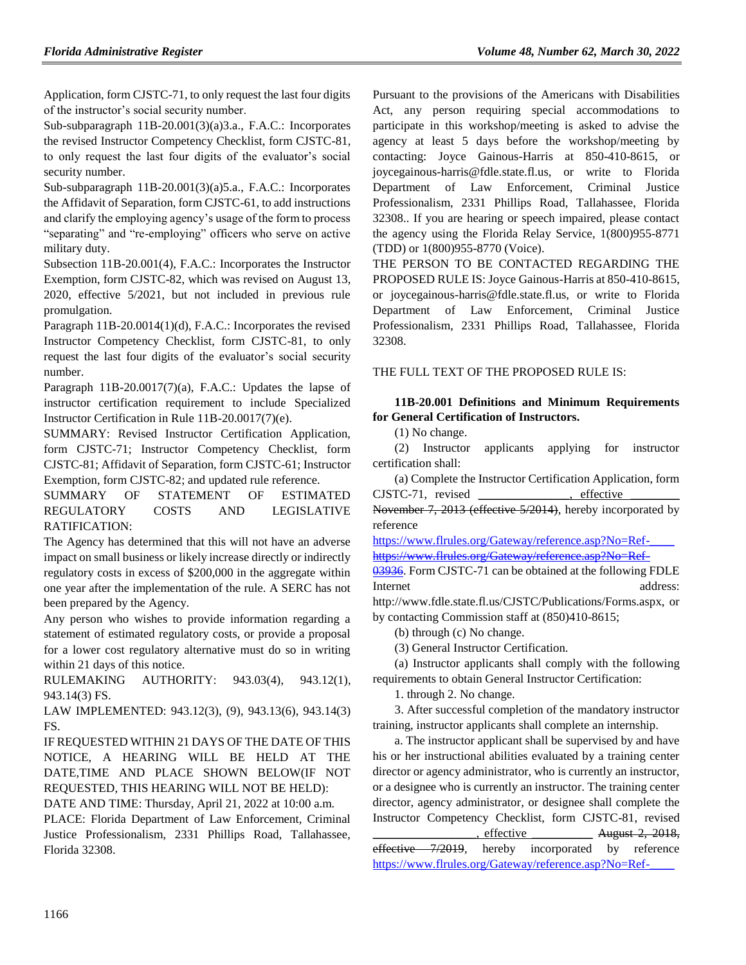Application, form CJSTC-71, to only request the last four digits of the instructor's social security number.

Sub-subparagraph 11B-20.001(3)(a)3.a., F.A.C.: Incorporates the revised Instructor Competency Checklist, form CJSTC-81, to only request the last four digits of the evaluator's social security number.

Sub-subparagraph 11B-20.001(3)(a)5.a., F.A.C.: Incorporates the Affidavit of Separation, form CJSTC-61, to add instructions and clarify the employing agency's usage of the form to process "separating" and "re-employing" officers who serve on active military duty.

Subsection 11B-20.001(4), F.A.C.: Incorporates the Instructor Exemption, form CJSTC-82, which was revised on August 13, 2020, effective 5/2021, but not included in previous rule promulgation.

Paragraph 11B-20.0014(1)(d), F.A.C.: Incorporates the revised Instructor Competency Checklist, form CJSTC-81, to only request the last four digits of the evaluator's social security number.

Paragraph 11B-20.0017(7)(a), F.A.C.: Updates the lapse of instructor certification requirement to include Specialized Instructor Certification in Rule 11B-20.0017(7)(e).

SUMMARY: Revised Instructor Certification Application, form CJSTC-71; Instructor Competency Checklist, form CJSTC-81; Affidavit of Separation, form CJSTC-61; Instructor Exemption, form CJSTC-82; and updated rule reference.

SUMMARY OF STATEMENT OF ESTIMATED REGULATORY COSTS AND LEGISLATIVE RATIFICATION:

The Agency has determined that this will not have an adverse impact on small business or likely increase directly or indirectly regulatory costs in excess of \$200,000 in the aggregate within one year after the implementation of the rule. A SERC has not been prepared by the Agency.

Any person who wishes to provide information regarding a statement of estimated regulatory costs, or provide a proposal for a lower cost regulatory alternative must do so in writing within 21 days of this notice.

RULEMAKING AUTHORITY: [943.03\(4\),](https://www.flrules.org/gateway/statute.asp?id=943.03(4)) [943.12\(1\),](https://www.flrules.org/gateway/statute.asp?id=%20943.12(1)) [943.14\(3\) FS.](https://www.flrules.org/gateway/statute.asp?id=%20943.14(3)%20FS.)

LAW IMPLEMENTED: [943.12\(3\),](https://www.flrules.org/gateway/statute.asp?id=943.12(3)) (9), [943.13\(6\),](https://www.flrules.org/gateway/statute.asp?id=%20943.13(6)) [943.14\(3\)](https://www.flrules.org/gateway/statute.asp?id=%20943.14(3)%20FS.)  [FS.](https://www.flrules.org/gateway/statute.asp?id=%20943.14(3)%20FS.)

IF REQUESTED WITHIN 21 DAYS OF THE DATE OF THIS NOTICE, A HEARING WILL BE HELD AT THE DATE,TIME AND PLACE SHOWN BELOW(IF NOT REQUESTED, THIS HEARING WILL NOT BE HELD):

DATE AND TIME: Thursday, April 21, 2022 at 10:00 a.m.

PLACE: Florida Department of Law Enforcement, Criminal Justice Professionalism, 2331 Phillips Road, Tallahassee, Florida 32308.

Pursuant to the provisions of the Americans with Disabilities Act, any person requiring special accommodations to participate in this workshop/meeting is asked to advise the agency at least 5 days before the workshop/meeting by contacting: Joyce Gainous-Harris at 850-410-8615, or joycegainous-harris@fdle.state.fl.us, or write to Florida Department of Law Enforcement, Criminal Justice Professionalism, 2331 Phillips Road, Tallahassee, Florida 32308.. If you are hearing or speech impaired, please contact the agency using the Florida Relay Service, 1(800)955-8771 (TDD) or 1(800)955-8770 (Voice).

THE PERSON TO BE CONTACTED REGARDING THE PROPOSED RULE IS: Joyce Gainous-Harris at 850-410-8615, or joycegainous-harris@fdle.state.fl.us, or write to Florida Department of Law Enforcement, Criminal Justice Professionalism, 2331 Phillips Road, Tallahassee, Florida 32308.

THE FULL TEXT OF THE PROPOSED RULE IS:

## **11B-20.001 Definitions and Minimum Requirements for General Certification of Instructors.**

(1) No change.

(2) Instructor applicants applying for instructor certification shall:

(a) Complete the Instructor Certification Application, form CJSTC-71, revised effective

November 7, 2013 (effective 5/2014), hereby incorporated by reference

[https://www.flrules.org/Gateway/reference.asp?No=Ref-\\_\\_\\_\\_](https://www.flrules.org/Gateway/reference.asp?No=Ref-____%20)  [https://www.flrules.org/Gateway/reference.asp?No=Ref-](https://www.flrules.org/Gateway/reference.asp?No=Ref-03936)

[03936.](https://www.flrules.org/Gateway/reference.asp?No=Ref-03936) Form CJSTC-71 can be obtained at the following FDLE Internet address:

http://www.fdle.state.fl.us/CJSTC/Publications/Forms.aspx, or by contacting Commission staff at (850)410-8615;

(b) through (c) No change.

(3) General Instructor Certification.

(a) Instructor applicants shall comply with the following requirements to obtain General Instructor Certification:

1. through 2. No change.

3. After successful completion of the mandatory instructor training, instructor applicants shall complete an internship.

a. The instructor applicant shall be supervised by and have his or her instructional abilities evaluated by a training center director or agency administrator, who is currently an instructor, or a designee who is currently an instructor. The training center director, agency administrator, or designee shall complete the Instructor Competency Checklist, form CJSTC-81, revised effective August 2, 2018. effective 7/2019, hereby incorporated by reference https://www.flrules.org/Gateway/reference.asp?No=Ref-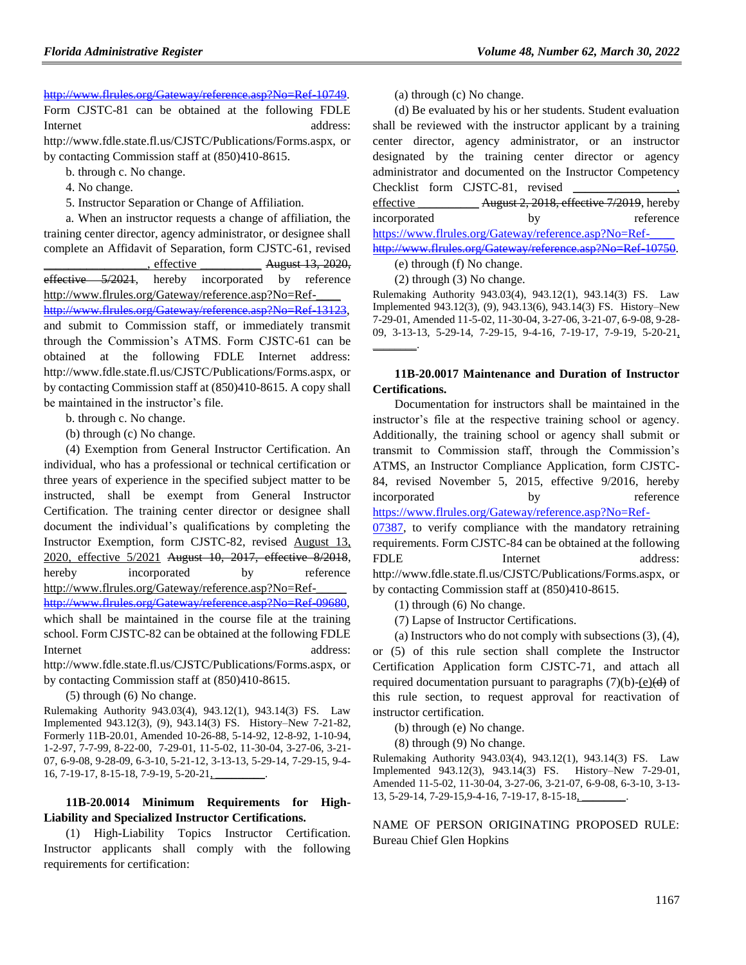#### [http://www.flrules.org/Gateway/reference.asp?No=Ref-10749.](https://www.flrules.org/Gateway/reference.asp?No=Ref-10749)

Form CJSTC-81 can be obtained at the following FDLE Internet address: http://www.fdle.state.fl.us/CJSTC/Publications/Forms.aspx, or

by contacting Commission staff at (850)410-8615.

- b. through c. No change.
- 4. No change.
- 5. Instructor Separation or Change of Affiliation.

a. When an instructor requests a change of affiliation, the training center director, agency administrator, or designee shall complete an Affidavit of Separation, form CJSTC-61, revised effective  $\frac{\text{August } 13, 2020,}{\text{August } 13, 2020, \text{S}}$ effective 5/2021, hereby incorporated by reference http://www.flrules.org/Gateway/reference.asp?No=Ref[http://www.flrules.org/Gateway/reference.asp?No=Ref-13123,](https://www.flrules.org/Gateway/reference.asp?No=Ref-13123) and submit to Commission staff, or immediately transmit through the Commission's ATMS. Form CJSTC-61 can be obtained at the following FDLE Internet address: http://www.fdle.state.fl.us/CJSTC/Publications/Forms.aspx, or by contacting Commission staff at (850)410-8615. A copy shall be maintained in the instructor's file.

b. through c. No change.

(b) through (c) No change.

(4) Exemption from General Instructor Certification. An individual, who has a professional or technical certification or three years of experience in the specified subject matter to be instructed, shall be exempt from General Instructor Certification. The training center director or designee shall document the individual's qualifications by completing the Instructor Exemption, form CJSTC-82, revised August 13, 2020, effective 5/2021 August 10, 2017, effective 8/2018, hereby incorporated by reference http://www.flrules.org/Gateway/reference.asp?No=Ref-\_\_\_\_\_ [http://www.flrules.org/Gateway/reference.asp?No=Ref-09680,](https://www.flrules.org/Gateway/reference.asp?No=Ref-09680) which shall be maintained in the course file at the training

school. Form CJSTC-82 can be obtained at the following FDLE Internet address:

http://www.fdle.state.fl.us/CJSTC/Publications/Forms.aspx, or by contacting Commission staff at (850)410-8615.

(5) through (6) No change.

Rulemaking Authority 943.03(4), 943.12(1), 943.14(3) FS. Law Implemented 943.12(3), (9), 943.14(3) FS. History–New 7-21-82, Formerly 11B-20.01, Amended 10-26-88, 5-14-92, 12-8-92, 1-10-94, 1-2-97, 7-7-99, 8-22-00, 7-29-01, 11-5-02, 11-30-04, 3-27-06, 3-21- 07, 6-9-08, 9-28-09, 6-3-10, 5-21-12, 3-13-13, 5-29-14, 7-29-15, 9-4- 16, 7-19-17, 8-15-18, 7-9-19, 5-20-21, \_\_\_\_\_\_\_\_\_.

## **11B-20.0014 Minimum Requirements for High-Liability and Specialized Instructor Certifications.**

(1) High-Liability Topics Instructor Certification. Instructor applicants shall comply with the following requirements for certification:

(a) through (c) No change.

(d) Be evaluated by his or her students. Student evaluation shall be reviewed with the instructor applicant by a training center director, agency administrator, or an instructor designated by the training center director or agency administrator and documented on the Instructor Competency Checklist form CJSTC-81, revised effective **August 2, 2018, effective 7/2019**, hereby

incorporated by reference https://www.flrules.org/Gateway/reference.asp?No=Ref[http://www.flrules.org/Gateway/reference.asp?No=Ref-10750.](https://www.flrules.org/Gateway/reference.asp?No=Ref-10750)

(e) through (f) No change.

(2) through (3) No change.

Rulemaking Authority 943.03(4), 943.12(1), 943.14(3) FS. Law Implemented 943.12(3), (9), 943.13(6), 943.14(3) FS. History–New 7-29-01, Amended 11-5-02, 11-30-04, 3-27-06, 3-21-07, 6-9-08, 9-28- 09, 3-13-13, 5-29-14, 7-29-15, 9-4-16, 7-19-17, 7-9-19, 5-20-21,  $\overline{\phantom{a}}$ 

#### **11B-20.0017 Maintenance and Duration of Instructor Certifications.**

Documentation for instructors shall be maintained in the instructor's file at the respective training school or agency. Additionally, the training school or agency shall submit or transmit to Commission staff, through the Commission's ATMS, an Instructor Compliance Application, form CJSTC-84, revised November 5, 2015, effective 9/2016, hereby incorporated by reference [https://www.flrules.org/Gateway/reference.asp?No=Ref-](https://www.flrules.org/Gateway/reference.asp?No=Ref-07387)

[07387,](https://www.flrules.org/Gateway/reference.asp?No=Ref-07387) to verify compliance with the mandatory retraining requirements. Form CJSTC-84 can be obtained at the following FDLE Internet address: http://www.fdle.state.fl.us/CJSTC/Publications/Forms.aspx, or by contacting Commission staff at (850)410-8615.

(1) through (6) No change.

(7) Lapse of Instructor Certifications.

(a) Instructors who do not comply with subsections (3), (4), or (5) of this rule section shall complete the Instructor Certification Application form CJSTC-71, and attach all required documentation pursuant to paragraphs  $(7)(b)$ -(e) $\left(\frac{d}{d}\right)$  of this rule section, to request approval for reactivation of instructor certification.

(b) through (e) No change.

(8) through (9) No change.

Rulemaking Authority 943.03(4), 943.12(1), 943.14(3) FS. Law Implemented 943.12(3), 943.14(3) FS. History–New 7-29-01, Amended 11-5-02, 11-30-04, 3-27-06, 3-21-07, 6-9-08, 6-3-10, 3-13- 13, 5-29-14, 7-29-15, 9-4-16, 7-19-17, 8-15-18,

NAME OF PERSON ORIGINATING PROPOSED RULE: Bureau Chief Glen Hopkins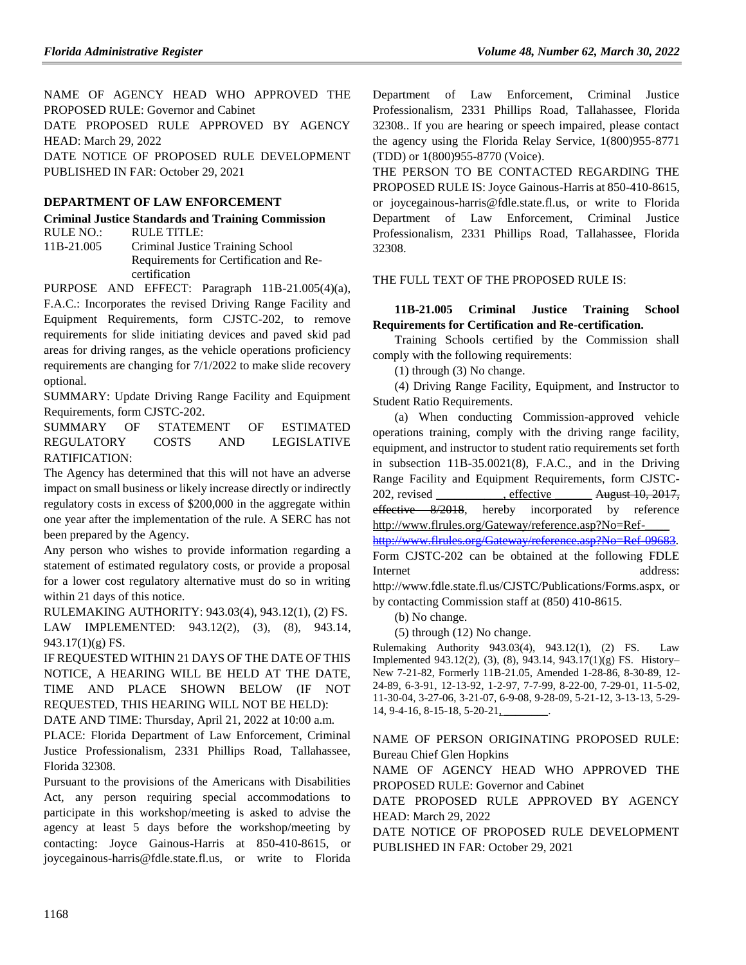NAME OF AGENCY HEAD WHO APPROVED THE PROPOSED RULE: Governor and Cabinet DATE PROPOSED RULE APPROVED BY AGENCY

HEAD: March 29, 2022 DATE NOTICE OF PROPOSED RULE DEVELOPMENT

PUBLISHED IN FAR: October 29, 2021

## **[DEPARTMENT OF LAW ENFORCEMENT](https://www.flrules.org/gateway/department.asp?id=11)**

**[Criminal Justice Standards and Training Commission](https://www.flrules.org/gateway/organization.asp?id=20)** RULE NO.: RULE TITLE:

[11B-21.005](https://www.flrules.org/gateway/ruleNo.asp?id=11B-21.005) Criminal Justice Training School Requirements for Certification and Recertification

PURPOSE AND EFFECT: Paragraph 11B-21.005(4)(a), F.A.C.: Incorporates the revised Driving Range Facility and Equipment Requirements, form CJSTC-202, to remove requirements for slide initiating devices and paved skid pad areas for driving ranges, as the vehicle operations proficiency requirements are changing for 7/1/2022 to make slide recovery optional.

SUMMARY: Update Driving Range Facility and Equipment Requirements, form CJSTC-202.

SUMMARY OF STATEMENT OF ESTIMATED REGULATORY COSTS AND LEGISLATIVE RATIFICATION:

The Agency has determined that this will not have an adverse impact on small business or likely increase directly or indirectly regulatory costs in excess of \$200,000 in the aggregate within one year after the implementation of the rule. A SERC has not been prepared by the Agency.

Any person who wishes to provide information regarding a statement of estimated regulatory costs, or provide a proposal for a lower cost regulatory alternative must do so in writing within 21 days of this notice.

RULEMAKING AUTHORITY: [943.03\(4\),](https://www.flrules.org/gateway/statute.asp?id=943.03(4)) [943.12\(1\),](https://www.flrules.org/gateway/statute.asp?id=%20943.12(1)) (2) FS.

LAW IMPLEMENTED: [943.12\(2\),](https://www.flrules.org/gateway/statute.asp?id=943.12(2)) (3), (8), [943.14,](https://www.flrules.org/gateway/statute.asp?id=%20943.14)  $943.17(1)(g)$  FS.

IF REQUESTED WITHIN 21 DAYS OF THE DATE OF THIS NOTICE, A HEARING WILL BE HELD AT THE DATE, TIME AND PLACE SHOWN BELOW (IF NOT REQUESTED, THIS HEARING WILL NOT BE HELD):

DATE AND TIME: Thursday, April 21, 2022 at 10:00 a.m.

PLACE: Florida Department of Law Enforcement, Criminal Justice Professionalism, 2331 Phillips Road, Tallahassee, Florida 32308.

Pursuant to the provisions of the Americans with Disabilities Act, any person requiring special accommodations to participate in this workshop/meeting is asked to advise the agency at least 5 days before the workshop/meeting by contacting: Joyce Gainous-Harris at 850-410-8615, or joycegainous-harris@fdle.state.fl.us, or write to Florida Department of Law Enforcement, Criminal Justice Professionalism, 2331 Phillips Road, Tallahassee, Florida 32308.. If you are hearing or speech impaired, please contact the agency using the Florida Relay Service, 1(800)955-8771 (TDD) or 1(800)955-8770 (Voice).

THE PERSON TO BE CONTACTED REGARDING THE PROPOSED RULE IS: Joyce Gainous-Harris at 850-410-8615, or joycegainous-harris@fdle.state.fl.us, or write to Florida Department of Law Enforcement, Criminal Justice Professionalism, 2331 Phillips Road, Tallahassee, Florida 32308.

## THE FULL TEXT OF THE PROPOSED RULE IS:

## **11B-21.005 Criminal Justice Training School Requirements for Certification and Re-certification.**

Training Schools certified by the Commission shall comply with the following requirements:

(1) through (3) No change.

(4) Driving Range Facility, Equipment, and Instructor to Student Ratio Requirements.

(a) When conducting Commission-approved vehicle operations training, comply with the driving range facility, equipment, and instructor to student ratio requirements set forth in subsection 11B-35.0021(8), F.A.C., and in the Driving Range Facility and Equipment Requirements, form CJSTC-202, revised , effective August 10, 2017, effective 8/2018, hereby incorporated by reference http://www.flrules.org/Gateway/reference.asp?No=Ref-

[http://www.flrules.org/Gateway/reference.asp?No=Ref-09683.](https://www.flrules.org/Gateway/reference.asp?No=Ref-09683) Form CJSTC-202 can be obtained at the following FDLE Internet address:

http://www.fdle.state.fl.us/CJSTC/Publications/Forms.aspx, or by contacting Commission staff at (850) 410-8615.

(b) No change.

(5) through (12) No change.

Rulemaking Authority 943.03(4), 943.12(1), (2) FS. Law Implemented 943.12(2), (3), (8), 943.14, 943.17(1)(g) FS. History– New 7-21-82, Formerly 11B-21.05, Amended 1-28-86, 8-30-89, 12- 24-89, 6-3-91, 12-13-92, 1-2-97, 7-7-99, 8-22-00, 7-29-01, 11-5-02, 11-30-04, 3-27-06, 3-21-07, 6-9-08, 9-28-09, 5-21-12, 3-13-13, 5-29- 14, 9-4-16, 8-15-18, 5-20-21,

NAME OF PERSON ORIGINATING PROPOSED RULE: Bureau Chief Glen Hopkins

NAME OF AGENCY HEAD WHO APPROVED THE PROPOSED RULE: Governor and Cabinet

DATE PROPOSED RULE APPROVED BY AGENCY HEAD: March 29, 2022

DATE NOTICE OF PROPOSED RULE DEVELOPMENT PUBLISHED IN FAR: October 29, 2021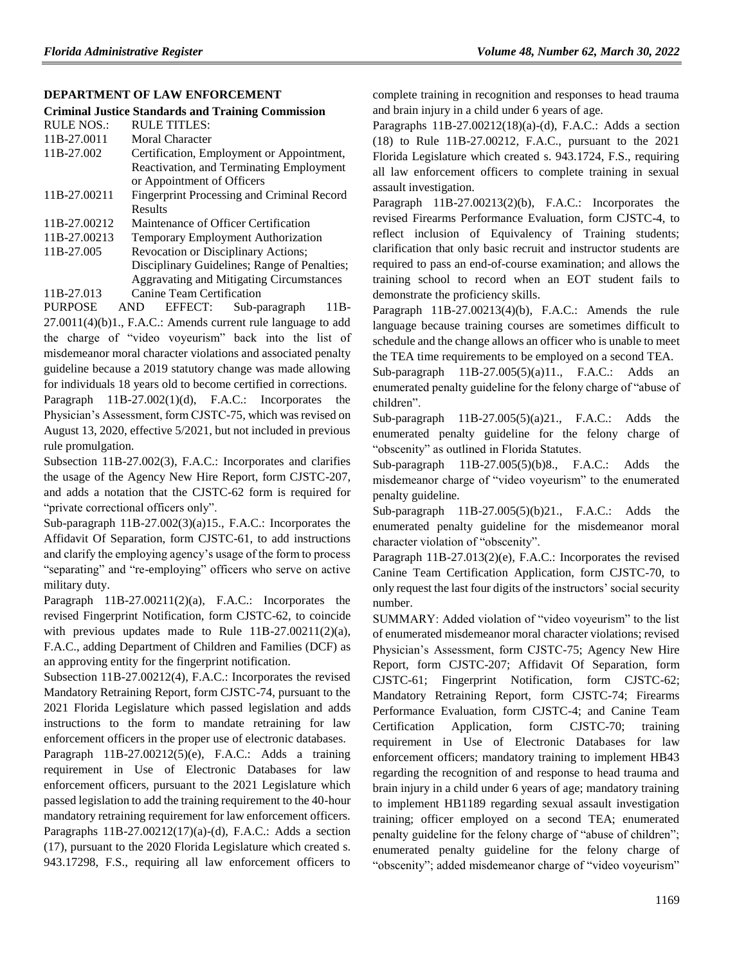#### **[DEPARTMENT OF LAW ENFORCEMENT](https://www.flrules.org/gateway/department.asp?id=11)**

|                   | <b>Criminal Justice Standards and Training Commission</b> |
|-------------------|-----------------------------------------------------------|
| <b>RULE NOS.:</b> | RULE TITLES:                                              |
| 11B-27.0011       | Moral Character                                           |
| 11B-27.002        | Certification, Employment or Appointment,                 |
|                   | Reactivation, and Terminating Employment                  |
|                   | or Appointment of Officers                                |
| 11B-27.00211      | Fingerprint Processing and Criminal Record                |
|                   | Results                                                   |
| 11B-27.00212      | Maintenance of Officer Certification                      |
| 11B-27.00213      | <b>Temporary Employment Authorization</b>                 |
| 11B-27.005        | <b>Revocation or Disciplinary Actions:</b>                |

Disciplinary Guidelines; Range of Penalties; Aggravating and Mitigating Circumstances

[11B-27.013](https://www.flrules.org/gateway/ruleNo.asp?id=11B-27.013) Canine Team Certification

PURPOSE AND EFFECT: Sub-paragraph 11B-27.0011(4)(b)1., F.A.C.: Amends current rule language to add the charge of "video voyeurism" back into the list of misdemeanor moral character violations and associated penalty guideline because a 2019 statutory change was made allowing for individuals 18 years old to become certified in corrections.

Paragraph 11B-27.002(1)(d), F.A.C.: Incorporates the Physician's Assessment, form CJSTC-75, which was revised on August 13, 2020, effective 5/2021, but not included in previous rule promulgation.

Subsection 11B-27.002(3), F.A.C.: Incorporates and clarifies the usage of the Agency New Hire Report, form CJSTC-207, and adds a notation that the CJSTC-62 form is required for "private correctional officers only".

Sub-paragraph 11B-27.002(3)(a)15., F.A.C.: Incorporates the Affidavit Of Separation, form CJSTC-61, to add instructions and clarify the employing agency's usage of the form to process "separating" and "re-employing" officers who serve on active military duty.

Paragraph 11B-27.00211(2)(a), F.A.C.: Incorporates the revised Fingerprint Notification, form CJSTC-62, to coincide with previous updates made to Rule  $11B-27.00211(2)(a)$ , F.A.C., adding Department of Children and Families (DCF) as an approving entity for the fingerprint notification.

Subsection 11B-27.00212(4), F.A.C.: Incorporates the revised Mandatory Retraining Report, form CJSTC-74, pursuant to the 2021 Florida Legislature which passed legislation and adds instructions to the form to mandate retraining for law enforcement officers in the proper use of electronic databases. Paragraph 11B-27.00212(5)(e), F.A.C.: Adds a training requirement in Use of Electronic Databases for law enforcement officers, pursuant to the 2021 Legislature which passed legislation to add the training requirement to the 40-hour mandatory retraining requirement for law enforcement officers. Paragraphs 11B-27.00212(17)(a)-(d), F.A.C.: Adds a section (17), pursuant to the 2020 Florida Legislature which created s. 943.17298, F.S., requiring all law enforcement officers to

complete training in recognition and responses to head trauma and brain injury in a child under 6 years of age.

Paragraphs 11B-27.00212(18)(a)-(d), F.A.C.: Adds a section (18) to Rule 11B-27.00212, F.A.C., pursuant to the 2021 Florida Legislature which created s. 943.1724, F.S., requiring all law enforcement officers to complete training in sexual assault investigation.

Paragraph 11B-27.00213(2)(b), F.A.C.: Incorporates the revised Firearms Performance Evaluation, form CJSTC-4, to reflect inclusion of Equivalency of Training students; clarification that only basic recruit and instructor students are required to pass an end-of-course examination; and allows the training school to record when an EOT student fails to demonstrate the proficiency skills.

Paragraph 11B-27.00213(4)(b), F.A.C.: Amends the rule language because training courses are sometimes difficult to schedule and the change allows an officer who is unable to meet the TEA time requirements to be employed on a second TEA.

Sub-paragraph 11B-27.005(5)(a)11., F.A.C.: Adds an enumerated penalty guideline for the felony charge of "abuse of children".

Sub-paragraph 11B-27.005(5)(a)21., F.A.C.: Adds the enumerated penalty guideline for the felony charge of "obscenity" as outlined in Florida Statutes.

Sub-paragraph 11B-27.005(5)(b)8., F.A.C.: Adds the misdemeanor charge of "video voyeurism" to the enumerated penalty guideline.

Sub-paragraph 11B-27.005(5)(b)21., F.A.C.: Adds the enumerated penalty guideline for the misdemeanor moral character violation of "obscenity".

Paragraph 11B-27.013(2)(e), F.A.C.: Incorporates the revised Canine Team Certification Application, form CJSTC-70, to only request the last four digits of the instructors' social security number.

SUMMARY: Added violation of "video voyeurism" to the list of enumerated misdemeanor moral character violations; revised Physician's Assessment, form CJSTC-75; Agency New Hire Report, form CJSTC-207; Affidavit Of Separation, form CJSTC-61; Fingerprint Notification, form CJSTC-62; Mandatory Retraining Report, form CJSTC-74; Firearms Performance Evaluation, form CJSTC-4; and Canine Team Certification Application, form CJSTC-70; training requirement in Use of Electronic Databases for law enforcement officers; mandatory training to implement HB43 regarding the recognition of and response to head trauma and brain injury in a child under 6 years of age; mandatory training to implement HB1189 regarding sexual assault investigation training; officer employed on a second TEA; enumerated penalty guideline for the felony charge of "abuse of children"; enumerated penalty guideline for the felony charge of "obscenity"; added misdemeanor charge of "video voyeurism"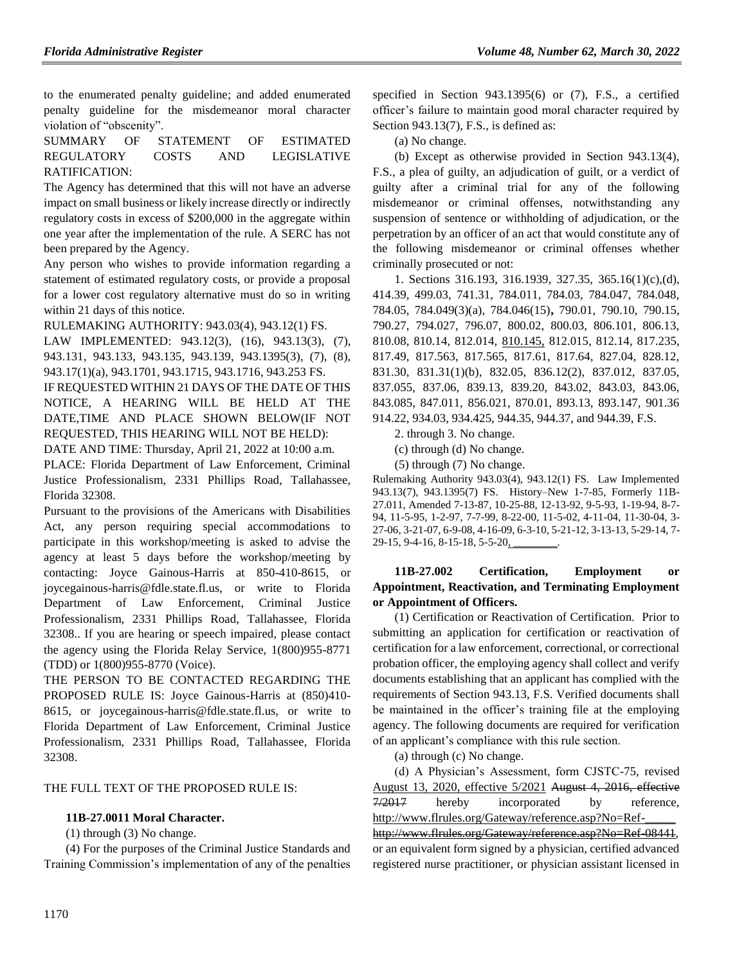to the enumerated penalty guideline; and added enumerated penalty guideline for the misdemeanor moral character violation of "obscenity".

SUMMARY OF STATEMENT OF ESTIMATED REGULATORY COSTS AND LEGISLATIVE RATIFICATION:

The Agency has determined that this will not have an adverse impact on small business or likely increase directly or indirectly regulatory costs in excess of \$200,000 in the aggregate within one year after the implementation of the rule. A SERC has not been prepared by the Agency.

Any person who wishes to provide information regarding a statement of estimated regulatory costs, or provide a proposal for a lower cost regulatory alternative must do so in writing within 21 days of this notice.

RULEMAKING AUTHORITY: [943.03\(4\),](https://www.flrules.org/gateway/statute.asp?id=943.03(4)) [943.12\(1\) FS.](https://www.flrules.org/gateway/statute.asp?id=%20943.12(1)%20FS.)

LAW IMPLEMENTED: [943.12\(3\),](https://www.flrules.org/gateway/statute.asp?id=943.12(3)) (16), [943.13\(3\),](https://www.flrules.org/gateway/statute.asp?id=%20943.13(3)) (7), [943.131,](https://www.flrules.org/gateway/statute.asp?id=%20943.131) [943.133,](https://www.flrules.org/gateway/statute.asp?id=%20943.133) [943.135,](https://www.flrules.org/gateway/statute.asp?id=%20943.135) [943.139,](https://www.flrules.org/gateway/statute.asp?id=%20943.139) [943.1395\(3\),](https://www.flrules.org/gateway/statute.asp?id=%20943.1395(3)) (7), (8), [943.17\(1\)\(a\),](https://www.flrules.org/gateway/statute.asp?id=%20943.17(1)(a)) [943.1701,](https://www.flrules.org/gateway/statute.asp?id=%20943.1701) [943.1715,](https://www.flrules.org/gateway/statute.asp?id=%20943.1715) [943.1716,](https://www.flrules.org/gateway/statute.asp?id=%20943.1716) [943.253 FS.](https://www.flrules.org/gateway/statute.asp?id=%20943.253%20FS.)

IF REQUESTED WITHIN 21 DAYS OF THE DATE OF THIS NOTICE, A HEARING WILL BE HELD AT THE DATE,TIME AND PLACE SHOWN BELOW(IF NOT REQUESTED, THIS HEARING WILL NOT BE HELD):

DATE AND TIME: Thursday, April 21, 2022 at 10:00 a.m.

PLACE: Florida Department of Law Enforcement, Criminal Justice Professionalism, 2331 Phillips Road, Tallahassee, Florida 32308.

Pursuant to the provisions of the Americans with Disabilities Act, any person requiring special accommodations to participate in this workshop/meeting is asked to advise the agency at least 5 days before the workshop/meeting by contacting: Joyce Gainous-Harris at 850-410-8615, or joycegainous-harris@fdle.state.fl.us, or write to Florida Department of Law Enforcement, Criminal Justice Professionalism, 2331 Phillips Road, Tallahassee, Florida 32308.. If you are hearing or speech impaired, please contact the agency using the Florida Relay Service, 1(800)955-8771 (TDD) or 1(800)955-8770 (Voice).

THE PERSON TO BE CONTACTED REGARDING THE PROPOSED RULE IS: Joyce Gainous-Harris at (850)410- 8615, or joycegainous-harris@fdle.state.fl.us, or write to Florida Department of Law Enforcement, Criminal Justice Professionalism, 2331 Phillips Road, Tallahassee, Florida 32308.

THE FULL TEXT OF THE PROPOSED RULE IS:

#### **11B-27.0011 Moral Character.**

(1) through (3) No change.

(4) For the purposes of the Criminal Justice Standards and Training Commission's implementation of any of the penalties specified in Section 943.1395(6) or (7), F.S., a certified officer's failure to maintain good moral character required by Section 943.13(7), F.S., is defined as:

(a) No change.

(b) Except as otherwise provided in Section 943.13(4), F.S., a plea of guilty, an adjudication of guilt, or a verdict of guilty after a criminal trial for any of the following misdemeanor or criminal offenses, notwithstanding any suspension of sentence or withholding of adjudication, or the perpetration by an officer of an act that would constitute any of the following misdemeanor or criminal offenses whether criminally prosecuted or not:

1. Sections 316.193, 316.1939, 327.35, 365.16(1)(c),(d), 414.39, 499.03, 741.31, 784.011, 784.03, 784.047, 784.048, 784.05, 784.049(3)(a), 784.046(15)**,** 790.01, 790.10, 790.15, 790.27, 794.027, 796.07, 800.02, 800.03, 806.101, 806.13, 810.08, 810.14, 812.014, 810.145, 812.015, 812.14, 817.235, 817.49, 817.563, 817.565, 817.61, 817.64, 827.04, 828.12, 831.30, 831.31(1)(b), 832.05, 836.12(2), 837.012, 837.05, 837.055, 837.06, 839.13, 839.20, 843.02, 843.03, 843.06, 843.085, 847.011, 856.021, 870.01, 893.13, 893.147, 901.36 914.22, 934.03, 934.425, 944.35, 944.37, and 944.39, F.S.

2. through 3. No change.

(c) through (d) No change.

(5) through (7) No change.

Rulemaking Authority 943.03(4), 943.12(1) FS. Law Implemented 943.13(7), 943.1395(7) FS. History–New 1-7-85, Formerly 11B-27.011, Amended 7-13-87, 10-25-88, 12-13-92, 9-5-93, 1-19-94, 8-7- 94, 11-5-95, 1-2-97, 7-7-99, 8-22-00, 11-5-02, 4-11-04, 11-30-04, 3- 27-06, 3-21-07, 6-9-08, 4-16-09, 6-3-10, 5-21-12, 3-13-13, 5-29-14, 7- 29-15, 9-4-16, 8-15-18, 5-5-20,

## **11B-27.002 Certification, Employment or Appointment, Reactivation, and Terminating Employment or Appointment of Officers.**

(1) Certification or Reactivation of Certification. Prior to submitting an application for certification or reactivation of certification for a law enforcement, correctional, or correctional probation officer, the employing agency shall collect and verify documents establishing that an applicant has complied with the requirements of Section 943.13, F.S. Verified documents shall be maintained in the officer's training file at the employing agency. The following documents are required for verification of an applicant's compliance with this rule section.

(a) through (c) No change.

(d) A Physician's Assessment, form CJSTC-75, revised August 13, 2020, effective 5/2021 August 4, 2016, effective 7/2017 hereby incorporated by reference, http://www.flrules.org/Gateway/reference.asp?No=Ref-

[http://www.flrules.org/Gateway/reference.asp?No=Ref-08441,](https://www.flrules.org/Gateway/reference.asp?No=Ref-08441) or an equivalent form signed by a physician, certified advanced registered nurse practitioner, or physician assistant licensed in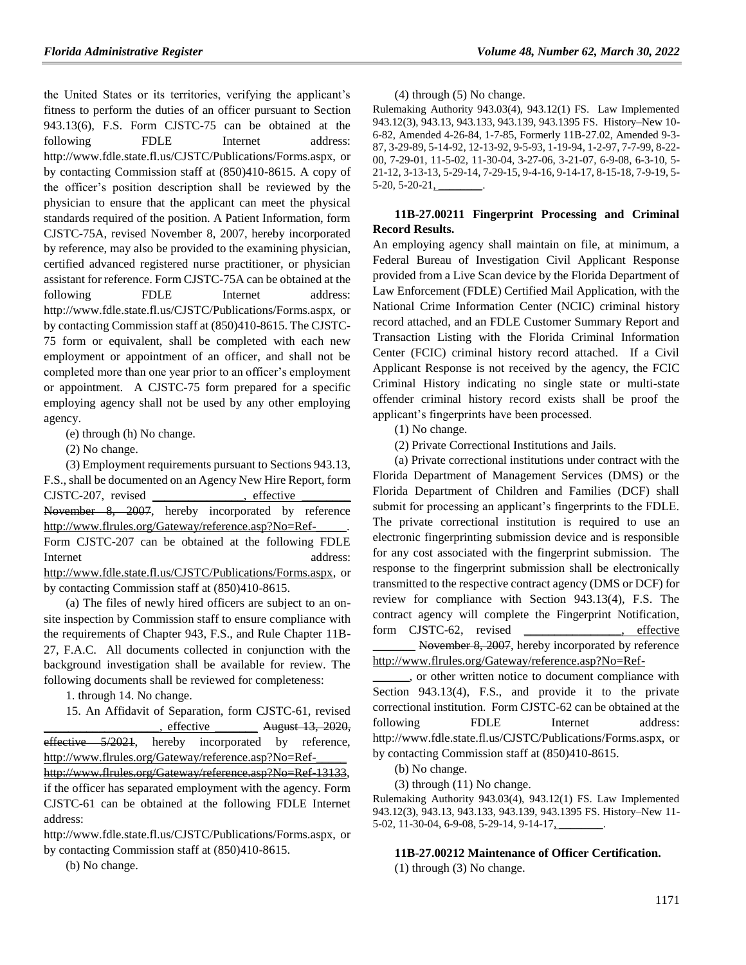the United States or its territories, verifying the applicant's fitness to perform the duties of an officer pursuant to Section 943.13(6), F.S. Form CJSTC-75 can be obtained at the following FDLE Internet address: http://www.fdle.state.fl.us/CJSTC/Publications/Forms.aspx, or by contacting Commission staff at (850)410-8615. A copy of the officer's position description shall be reviewed by the physician to ensure that the applicant can meet the physical standards required of the position. A Patient Information, form CJSTC-75A, revised November 8, 2007, hereby incorporated by reference, may also be provided to the examining physician, certified advanced registered nurse practitioner, or physician assistant for reference. Form CJSTC-75A can be obtained at the following FDLE Internet address: http://www.fdle.state.fl.us/CJSTC/Publications/Forms.aspx, or by contacting Commission staff at (850)410-8615. The CJSTC-75 form or equivalent, shall be completed with each new employment or appointment of an officer, and shall not be completed more than one year prior to an officer's employment or appointment. A CJSTC-75 form prepared for a specific employing agency shall not be used by any other employing agency.

(e) through (h) No change.

(2) No change.

(3) Employment requirements pursuant to Sections 943.13, F.S., shall be documented on an Agency New Hire Report, form CJSTC-207, revised \_\_\_\_\_\_\_\_\_\_\_\_\_\_\_, effective \_\_\_\_\_\_\_\_ November 8, 2007, hereby incorporated by reference http://www.flrules.org/Gateway/reference.asp?No=Ref-\_\_\_\_\_. Form CJSTC-207 can be obtained at the following FDLE Internet address: [http://www.fdle.state.fl.us/CJSTC/Publications/Forms.aspx,](http://www.fdle.state.fl.us/cms/CJSTC/Publications/Forms.aspx) or by contacting Commission staff at (850)410-8615.

(a) The files of newly hired officers are subject to an onsite inspection by Commission staff to ensure compliance with the requirements of Chapter 943, F.S., and Rule Chapter 11B-27, F.A.C. All documents collected in conjunction with the background investigation shall be available for review. The following documents shall be reviewed for completeness:

1. through 14. No change.

15. An Affidavit of Separation, form CJSTC-61, revised  $_{\text{effective}}$   $_{\text{August}$  13, 2020, effective 5/2021, hereby incorporated by reference, http://www.flrules.org/Gateway/reference.asp?No=Ref-\_\_\_\_\_ [http://www.flrules.org/Gateway/reference.asp?No=Ref-13133,](https://www.flrules.org/Gateway/reference.asp?No=Ref-13133) if the officer has separated employment with the agency. Form CJSTC-61 can be obtained at the following FDLE Internet address:

http://www.fdle.state.fl.us/CJSTC/Publications/Forms.aspx, or by contacting Commission staff at (850)410-8615.

(b) No change.

(4) through (5) No change.

Rulemaking Authority 943.03(4), 943.12(1) FS. Law Implemented 943.12(3), 943.13, 943.133, 943.139, 943.1395 FS. History–New 10- 6-82, Amended 4-26-84, 1-7-85, Formerly 11B-27.02, Amended 9-3- 87, 3-29-89, 5-14-92, 12-13-92, 9-5-93, 1-19-94, 1-2-97, 7-7-99, 8-22- 00, 7-29-01, 11-5-02, 11-30-04, 3-27-06, 3-21-07, 6-9-08, 6-3-10, 5- 21-12, 3-13-13, 5-29-14, 7-29-15, 9-4-16, 9-14-17, 8-15-18, 7-9-19, 5-  $5-20, 5-20-21,$ 

#### **11B-27.00211 Fingerprint Processing and Criminal Record Results.**

An employing agency shall maintain on file, at minimum, a Federal Bureau of Investigation Civil Applicant Response provided from a Live Scan device by the Florida Department of Law Enforcement (FDLE) Certified Mail Application, with the National Crime Information Center (NCIC) criminal history record attached, and an FDLE Customer Summary Report and Transaction Listing with the Florida Criminal Information Center (FCIC) criminal history record attached. If a Civil Applicant Response is not received by the agency, the FCIC Criminal History indicating no single state or multi-state offender criminal history record exists shall be proof the applicant's fingerprints have been processed.

(1) No change.

(2) Private Correctional Institutions and Jails.

(a) Private correctional institutions under contract with the Florida Department of Management Services (DMS) or the Florida Department of Children and Families (DCF) shall submit for processing an applicant's fingerprints to the FDLE. The private correctional institution is required to use an electronic fingerprinting submission device and is responsible for any cost associated with the fingerprint submission. The response to the fingerprint submission shall be electronically transmitted to the respective contract agency (DMS or DCF) for review for compliance with Section 943.13(4), F.S. The contract agency will complete the Fingerprint Notification, form CJSTC-62, revised , effective November 8, 2007, hereby incorporated by reference http://www.flrules.org/Gateway/reference.asp?No=Ref-

\_\_\_\_\_\_, or other written notice to document compliance with Section 943.13(4), F.S., and provide it to the private correctional institution. Form CJSTC-62 can be obtained at the following FDLE Internet address: http://www.fdle.state.fl.us/CJSTC/Publications/Forms.aspx, or by contacting Commission staff at (850)410-8615.

(b) No change.

(3) through (11) No change.

Rulemaking Authority 943.03(4), 943.12(1) FS. Law Implemented 943.12(3), 943.13, 943.133, 943.139, 943.1395 FS. History–New 11- 5-02, 11-30-04, 6-9-08, 5-29-14, 9-14-17, \_\_\_\_\_\_\_.

#### **11B-27.00212 Maintenance of Officer Certification.**

(1) through (3) No change.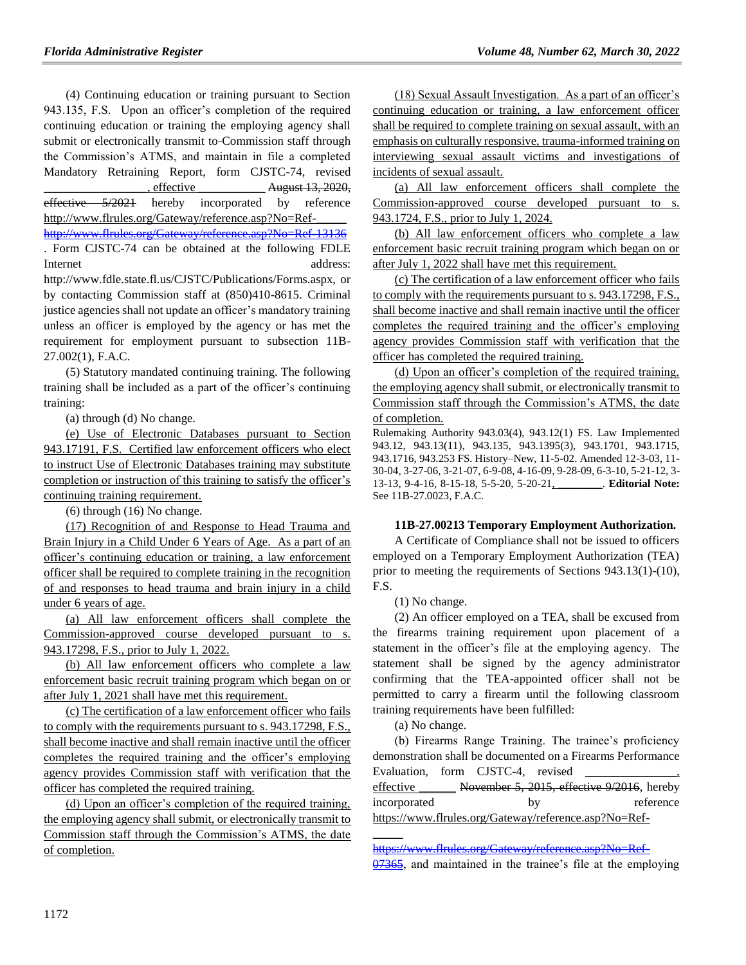(4) Continuing education or training pursuant to Section 943.135, F.S. Upon an officer's completion of the required continuing education or training the employing agency shall submit or electronically transmit to Commission staff through the Commission's ATMS, and maintain in file a completed Mandatory Retraining Report, form CJSTC-74, revised effective  $\frac{\text{August 13, 2020}}{\text{August 13, 2020}}$ effective 5/2021 hereby incorporated by reference http://www.flrules.org/Gateway/reference.asp?No=Ref-\_\_\_\_\_ [http://www.flrules.org/Gateway/reference.asp?No=Ref-13136](https://www.flrules.org/Gateway/reference.asp?No=Ref-13136)

. Form CJSTC-74 can be obtained at the following FDLE Internet address:

http://www.fdle.state.fl.us/CJSTC/Publications/Forms.aspx, or by contacting Commission staff at (850)410-8615. Criminal justice agencies shall not update an officer's mandatory training unless an officer is employed by the agency or has met the requirement for employment pursuant to subsection 11B-27.002(1), F.A.C.

(5) Statutory mandated continuing training. The following training shall be included as a part of the officer's continuing training:

(a) through (d) No change.

(e) Use of Electronic Databases pursuant to Section 943.17191, F.S. Certified law enforcement officers who elect to instruct Use of Electronic Databases training may substitute completion or instruction of this training to satisfy the officer's continuing training requirement.

(6) through (16) No change.

(17) Recognition of and Response to Head Trauma and Brain Injury in a Child Under 6 Years of Age. As a part of an officer's continuing education or training, a law enforcement officer shall be required to complete training in the recognition of and responses to head trauma and brain injury in a child under 6 years of age.

(a) All law enforcement officers shall complete the Commission-approved course developed pursuant to s. 943.17298, F.S., prior to July 1, 2022.

(b) All law enforcement officers who complete a law enforcement basic recruit training program which began on or after July 1, 2021 shall have met this requirement.

(c) The certification of a law enforcement officer who fails to comply with the requirements pursuant to s. 943.17298, F.S., shall become inactive and shall remain inactive until the officer completes the required training and the officer's employing agency provides Commission staff with verification that the officer has completed the required training.

(d) Upon an officer's completion of the required training, the employing agency shall submit, or electronically transmit to Commission staff through the Commission's ATMS, the date of completion.

(18) Sexual Assault Investigation. As a part of an officer's continuing education or training, a law enforcement officer shall be required to complete training on sexual assault, with an emphasis on culturally responsive, trauma-informed training on interviewing sexual assault victims and investigations of incidents of sexual assault.

(a) All law enforcement officers shall complete the Commission-approved course developed pursuant to s. 943.1724, F.S., prior to July 1, 2024.

(b) All law enforcement officers who complete a law enforcement basic recruit training program which began on or after July 1, 2022 shall have met this requirement.

(c) The certification of a law enforcement officer who fails to comply with the requirements pursuant to s. 943.17298, F.S., shall become inactive and shall remain inactive until the officer completes the required training and the officer's employing agency provides Commission staff with verification that the officer has completed the required training.

(d) Upon an officer's completion of the required training, the employing agency shall submit, or electronically transmit to Commission staff through the Commission's ATMS, the date of completion.

Rulemaking Authority 943.03(4), 943.12(1) FS. Law Implemented 943.12, 943.13(11), 943.135, 943.1395(3), 943.1701, 943.1715, 943.1716, 943.253 FS. History–New, 11-5-02. Amended 12-3-03, 11- 30-04, 3-27-06, 3-21-07, 6-9-08, 4-16-09, 9-28-09, 6-3-10, 5-21-12, 3- 13-13, 9-4-16, 8-15-18, 5-5-20, 5-20-21, \_\_\_\_\_\_\_\_. **Editorial Note:** See 11B-27.0023, F.A.C.

#### **11B-27.00213 Temporary Employment Authorization.**

A Certificate of Compliance shall not be issued to officers employed on a Temporary Employment Authorization (TEA) prior to meeting the requirements of Sections 943.13(1)-(10), F.S.

(1) No change.

(2) An officer employed on a TEA, shall be excused from the firearms training requirement upon placement of a statement in the officer's file at the employing agency. The statement shall be signed by the agency administrator confirming that the TEA-appointed officer shall not be permitted to carry a firearm until the following classroom training requirements have been fulfilled:

(a) No change.

 $\overline{\phantom{a}}$ 

(b) Firearms Range Training. The trainee's proficiency demonstration shall be documented on a Firearms Performance Evaluation, form CJSTC-4, revised effective \_\_\_\_\_\_ November 5, 2015, effective 9/2016, hereby incorporated by reference https://www.flrules.org/Gateway/reference.asp?No=Ref-

[https://www.flrules.org/Gateway/reference.asp?No=Ref-](https://www.flrules.org/Gateway/reference.asp?No=Ref-07365)

[<sup>07365,</sup>](https://www.flrules.org/Gateway/reference.asp?No=Ref-07365) and maintained in the trainee's file at the employing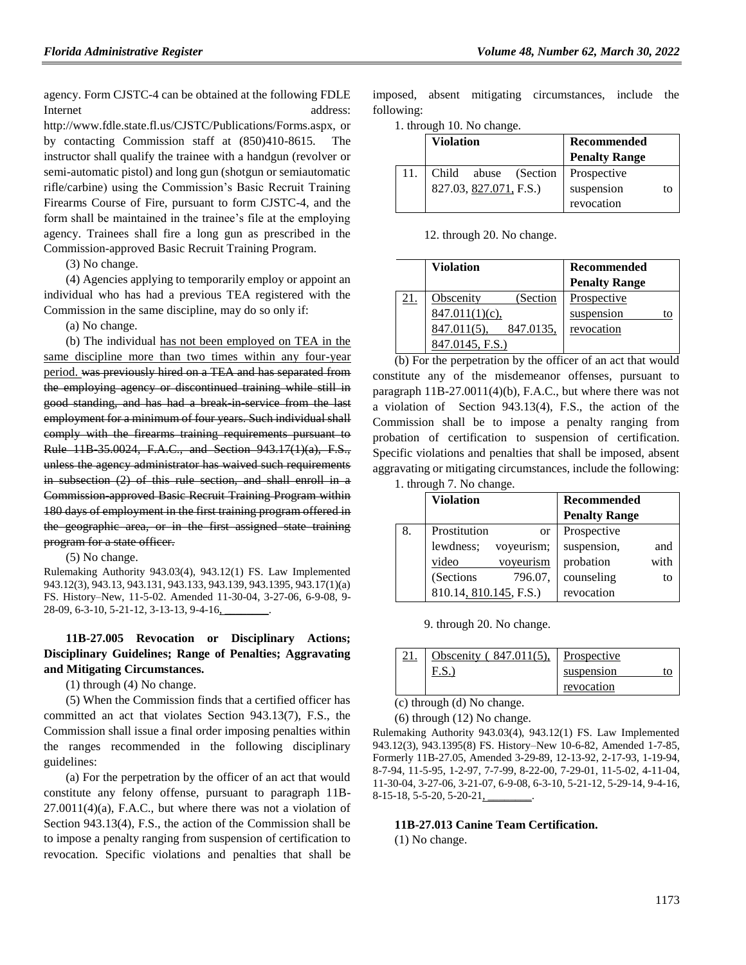agency. Form CJSTC-4 can be obtained at the following FDLE Internet address:

http://www.fdle.state.fl.us/CJSTC/Publications/Forms.aspx, or by contacting Commission staff at  $(850)410-8615$ . instructor shall qualify the trainee with a handgun (revolver or semi-automatic pistol) and long gun (shotgun or semiautomatic rifle/carbine) using the Commission's Basic Recruit Training Firearms Course of Fire, pursuant to form CJSTC-4, and the form shall be maintained in the trainee's file at the employing agency. Trainees shall fire a long gun as prescribed in the Commission-approved Basic Recruit Training Program.

(3) No change.

(4) Agencies applying to temporarily employ or appoint an individual who has had a previous TEA registered with the Commission in the same discipline, may do so only if:

(a) No change.

(b) The individual has not been employed on TEA in the same discipline more than two times within any four-year period. was previously hired on a TEA and has separated from the employing agency or discontinued training while still in good standing, and has had a break in service from the last employment for a minimum of four years. Such individual shall comply with the firearms training requirements pursuant to Rule 11B-35.0024, F.A.C., and Section 943.17(1)(a), F.S., unless the agency administrator has waived such requirements in subsection (2) of this rule section, and shall enroll in a Commission-approved Basic Recruit Training Program within 180 days of employment in the first training program offered in the geographic area, or in the first assigned state training program for a state officer.

(5) No change.

Rulemaking Authority 943.03(4), 943.12(1) FS. Law Implemented 943.12(3), 943.13, 943.131, 943.133, 943.139, 943.1395, 943.17(1)(a) FS. History–New, 11-5-02. Amended 11-30-04, 3-27-06, 6-9-08, 9- 28-09, 6-3-10, 5-21-12, 3-13-13, 9-4-16,

## **11B-27.005 Revocation or Disciplinary Actions; Disciplinary Guidelines; Range of Penalties; Aggravating and Mitigating Circumstances.**

(1) through (4) No change.

(5) When the Commission finds that a certified officer has committed an act that violates Section 943.13(7), F.S., the Commission shall issue a final order imposing penalties within the ranges recommended in the following disciplinary guidelines:

(a) For the perpetration by the officer of an act that would constitute any felony offense, pursuant to paragraph 11B- $27.0011(4)$ (a), F.A.C., but where there was not a violation of Section 943.13(4), F.S., the action of the Commission shall be to impose a penalty ranging from suspension of certification to revocation. Specific violations and penalties that shall be

imposed, absent mitigating circumstances, include the following:

1. through 10. No change.

|     | <b>Violation</b>       | Recommended          |
|-----|------------------------|----------------------|
|     |                        | <b>Penalty Range</b> |
| 11. | Child abuse (Section   | Prospective          |
|     | 827.03, 827.071, F.S.) | suspension<br>ŢΟ     |
|     |                        | revocation           |

12. through 20. No change.

|     | <b>Violation</b>            | <b>Recommended</b>   |
|-----|-----------------------------|----------------------|
|     |                             | <b>Penalty Range</b> |
| 21. | (Section<br>Obscenity       | Prospective          |
|     | $847.011(1)(c)$ ,           | suspension<br>to     |
|     | 847.0135,<br>$847.011(5)$ , | revocation           |
|     | 847.0145, F.S.)             |                      |

(b) For the perpetration by the officer of an act that would constitute any of the misdemeanor offenses, pursuant to paragraph 11B-27.0011(4)(b), F.A.C., but where there was not a violation of Section 943.13(4), F.S., the action of the Commission shall be to impose a penalty ranging from probation of certification to suspension of certification. Specific violations and penalties that shall be imposed, absent aggravating or mitigating circumstances, include the following:

|  | 1. through 7. No change. |  |  |  |
|--|--------------------------|--|--|--|
|--|--------------------------|--|--|--|

|    | <b>Violation</b>       |            | <b>Recommended</b>   |      |
|----|------------------------|------------|----------------------|------|
|    |                        |            | <b>Penalty Range</b> |      |
| 8. | Prostitution           | <b>or</b>  | Prospective          |      |
|    | lewdness;              | voyeurism; | suspension,          | and  |
|    | video                  | voyeurism  | probation            | with |
|    | (Sections              | 796.07,    | counseling           | to   |
|    | 810.14, 810.145, F.S.) |            | revocation           |      |

9. through 20. No change.

| $^{\circ}$ 1 | Obscenity<br>(847.011(5)) | Prospective |
|--------------|---------------------------|-------------|
|              | ٠υ٠                       | suspension  |
|              |                           | revocation  |

(c) through (d) No change.

(6) through (12) No change.

Rulemaking Authority 943.03(4), 943.12(1) FS. Law Implemented 943.12(3), 943.1395(8) FS. History–New 10-6-82, Amended 1-7-85, Formerly 11B-27.05, Amended 3-29-89, 12-13-92, 2-17-93, 1-19-94, 8-7-94, 11-5-95, 1-2-97, 7-7-99, 8-22-00, 7-29-01, 11-5-02, 4-11-04, 11-30-04, 3-27-06, 3-21-07, 6-9-08, 6-3-10, 5-21-12, 5-29-14, 9-4-16, 8-15-18, 5-5-20, 5-20-21,

#### **11B-27.013 Canine Team Certification.**

(1) No change.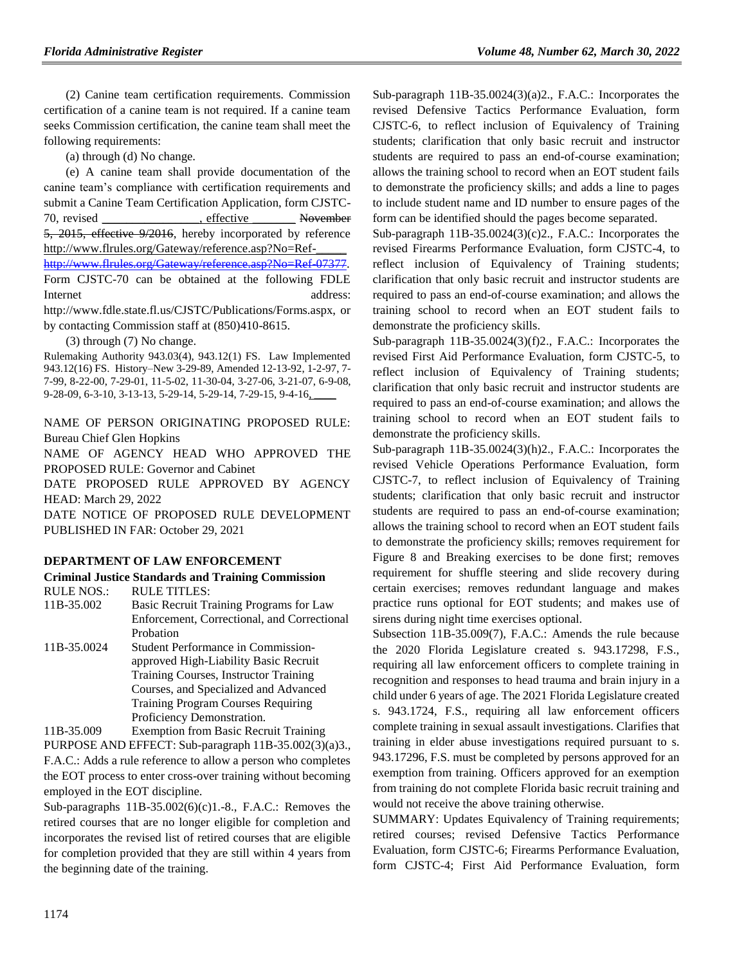(2) Canine team certification requirements. Commission certification of a canine team is not required. If a canine team seeks Commission certification, the canine team shall meet the following requirements:

(a) through (d) No change.

(e) A canine team shall provide documentation of the canine team's compliance with certification requirements and submit a Canine Team Certification Application, form CJSTC-70, revised example reflective November 5, 2015, effective 9/2016, hereby incorporated by reference http://www.flrules.org/Gateway/reference.asp?No=Ref-\_\_\_\_\_ [http://www.flrules.org/Gateway/reference.asp?No=Ref-07377.](https://www.flrules.org/Gateway/reference.asp?No=Ref-07377) Form CJSTC-70 can be obtained at the following FDLE Internet address:

http://www.fdle.state.fl.us/CJSTC/Publications/Forms.aspx, or by contacting Commission staff at (850)410-8615.

(3) through (7) No change.

Rulemaking Authority 943.03(4), 943.12(1) FS. Law Implemented 943.12(16) FS. History–New 3-29-89, Amended 12-13-92, 1-2-97, 7- 7-99, 8-22-00, 7-29-01, 11-5-02, 11-30-04, 3-27-06, 3-21-07, 6-9-08, 9-28-09, 6-3-10, 3-13-13, 5-29-14, 5-29-14, 7-29-15, 9-4-16,

NAME OF PERSON ORIGINATING PROPOSED RULE: Bureau Chief Glen Hopkins

NAME OF AGENCY HEAD WHO APPROVED THE PROPOSED RULE: Governor and Cabinet

DATE PROPOSED RULE APPROVED BY AGENCY HEAD: March 29, 2022

DATE NOTICE OF PROPOSED RULE DEVELOPMENT PUBLISHED IN FAR: October 29, 2021

#### **[DEPARTMENT OF LAW ENFORCEMENT](https://www.flrules.org/gateway/department.asp?id=11)**

#### **[Criminal Justice Standards and Training Commission](https://www.flrules.org/gateway/organization.asp?id=20)**

RULE NOS.: RULE TITLES:

- [11B-35.002](https://www.flrules.org/gateway/ruleNo.asp?id=11B-35.002) Basic Recruit Training Programs for Law Enforcement, Correctional, and Correctional Probation
- [11B-35.0024](https://www.flrules.org/gateway/ruleNo.asp?id=11B-35.0024) Student Performance in Commissionapproved High-Liability Basic Recruit Training Courses, Instructor Training Courses, and Specialized and Advanced Training Program Courses Requiring Proficiency Demonstration.

[11B-35.009](https://www.flrules.org/gateway/ruleNo.asp?id=11B-35.009) Exemption from Basic Recruit Training PURPOSE AND EFFECT: Sub-paragraph 11B-35.002(3)(a)3., F.A.C.: Adds a rule reference to allow a person who completes the EOT process to enter cross-over training without becoming employed in the EOT discipline.

Sub-paragraphs 11B-35.002(6)(c)1.-8., F.A.C.: Removes the retired courses that are no longer eligible for completion and incorporates the revised list of retired courses that are eligible for completion provided that they are still within 4 years from the beginning date of the training.

Sub-paragraph 11B-35.0024(3)(a)2., F.A.C.: Incorporates the revised Defensive Tactics Performance Evaluation, form CJSTC-6, to reflect inclusion of Equivalency of Training students; clarification that only basic recruit and instructor students are required to pass an end-of-course examination; allows the training school to record when an EOT student fails to demonstrate the proficiency skills; and adds a line to pages to include student name and ID number to ensure pages of the form can be identified should the pages become separated.

Sub-paragraph 11B-35.0024(3)(c)2., F.A.C.: Incorporates the revised Firearms Performance Evaluation, form CJSTC-4, to reflect inclusion of Equivalency of Training students; clarification that only basic recruit and instructor students are required to pass an end-of-course examination; and allows the training school to record when an EOT student fails to demonstrate the proficiency skills.

Sub-paragraph 11B-35.0024(3)(f)2., F.A.C.: Incorporates the revised First Aid Performance Evaluation, form CJSTC-5, to reflect inclusion of Equivalency of Training students; clarification that only basic recruit and instructor students are required to pass an end-of-course examination; and allows the training school to record when an EOT student fails to demonstrate the proficiency skills.

Sub-paragraph 11B-35.0024(3)(h)2., F.A.C.: Incorporates the revised Vehicle Operations Performance Evaluation, form CJSTC-7, to reflect inclusion of Equivalency of Training students; clarification that only basic recruit and instructor students are required to pass an end-of-course examination; allows the training school to record when an EOT student fails to demonstrate the proficiency skills; removes requirement for Figure 8 and Breaking exercises to be done first; removes requirement for shuffle steering and slide recovery during certain exercises; removes redundant language and makes practice runs optional for EOT students; and makes use of sirens during night time exercises optional.

Subsection 11B-35.009(7), F.A.C.: Amends the rule because the 2020 Florida Legislature created s. 943.17298, F.S., requiring all law enforcement officers to complete training in recognition and responses to head trauma and brain injury in a child under 6 years of age. The 2021 Florida Legislature created s. 943.1724, F.S., requiring all law enforcement officers complete training in sexual assault investigations. Clarifies that training in elder abuse investigations required pursuant to s. 943.17296, F.S. must be completed by persons approved for an exemption from training. Officers approved for an exemption from training do not complete Florida basic recruit training and would not receive the above training otherwise.

SUMMARY: Updates Equivalency of Training requirements; retired courses; revised Defensive Tactics Performance Evaluation, form CJSTC-6; Firearms Performance Evaluation, form CJSTC-4; First Aid Performance Evaluation, form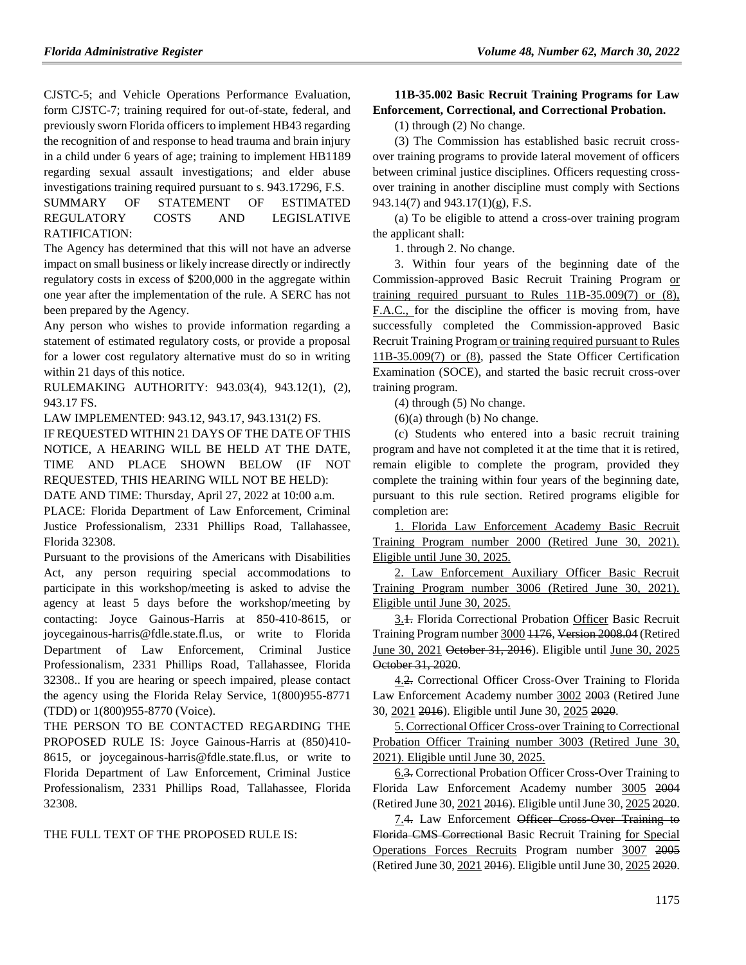CJSTC-5; and Vehicle Operations Performance Evaluation, form CJSTC-7; training required for out-of-state, federal, and previously sworn Florida officers to implement HB43 regarding the recognition of and response to head trauma and brain injury in a child under 6 years of age; training to implement HB1189 regarding sexual assault investigations; and elder abuse investigations training required pursuant to s. 943.17296, F.S.

SUMMARY OF STATEMENT OF ESTIMATED REGULATORY COSTS AND LEGISLATIVE RATIFICATION:

The Agency has determined that this will not have an adverse impact on small business or likely increase directly or indirectly regulatory costs in excess of \$200,000 in the aggregate within one year after the implementation of the rule. A SERC has not been prepared by the Agency.

Any person who wishes to provide information regarding a statement of estimated regulatory costs, or provide a proposal for a lower cost regulatory alternative must do so in writing within 21 days of this notice.

RULEMAKING AUTHORITY: [943.03\(4\),](https://www.flrules.org/gateway/statute.asp?id=943.03(4)) [943.12\(1\),](https://www.flrules.org/gateway/statute.asp?id=%20943.12(1)) (2), [943.17 FS.](https://www.flrules.org/gateway/statute.asp?id=%20943.17%20FS.)

LAW IMPLEMENTED: [943.12,](https://www.flrules.org/gateway/statute.asp?id=943.12) [943.17,](https://www.flrules.org/gateway/statute.asp?id=%20943.17) [943.131\(2\) FS.](https://www.flrules.org/gateway/statute.asp?id=%20943.131(2)%20FS.)

IF REQUESTED WITHIN 21 DAYS OF THE DATE OF THIS NOTICE, A HEARING WILL BE HELD AT THE DATE, TIME AND PLACE SHOWN BELOW (IF NOT REQUESTED, THIS HEARING WILL NOT BE HELD):

DATE AND TIME: Thursday, April 27, 2022 at 10:00 a.m. PLACE: Florida Department of Law Enforcement, Criminal

Justice Professionalism, 2331 Phillips Road, Tallahassee, Florida 32308.

Pursuant to the provisions of the Americans with Disabilities Act, any person requiring special accommodations to participate in this workshop/meeting is asked to advise the agency at least 5 days before the workshop/meeting by contacting: Joyce Gainous-Harris at 850-410-8615, or joycegainous-harris@fdle.state.fl.us, or write to Florida Department of Law Enforcement, Criminal Justice Professionalism, 2331 Phillips Road, Tallahassee, Florida 32308.. If you are hearing or speech impaired, please contact the agency using the Florida Relay Service, 1(800)955-8771 (TDD) or 1(800)955-8770 (Voice).

THE PERSON TO BE CONTACTED REGARDING THE PROPOSED RULE IS: Joyce Gainous-Harris at (850)410- 8615, or joycegainous-harris@fdle.state.fl.us, or write to Florida Department of Law Enforcement, Criminal Justice Professionalism, 2331 Phillips Road, Tallahassee, Florida 32308.

THE FULL TEXT OF THE PROPOSED RULE IS:

## **11B-35.002 Basic Recruit Training Programs for Law Enforcement, Correctional, and Correctional Probation.**

(1) through (2) No change.

(3) The Commission has established basic recruit crossover training programs to provide lateral movement of officers between criminal justice disciplines. Officers requesting crossover training in another discipline must comply with Sections 943.14(7) and 943.17(1)(g), F.S.

(a) To be eligible to attend a cross-over training program the applicant shall:

1. through 2. No change.

3. Within four years of the beginning date of the Commission-approved Basic Recruit Training Program or training required pursuant to Rules 11B-35.009(7) or (8), F.A.C., for the discipline the officer is moving from, have successfully completed the Commission-approved Basic Recruit Training Program or training required pursuant to Rules 11B-35.009(7) or (8), passed the State Officer Certification Examination (SOCE), and started the basic recruit cross-over training program.

(4) through (5) No change.

 $(6)(a)$  through  $(b)$  No change.

(c) Students who entered into a basic recruit training program and have not completed it at the time that it is retired, remain eligible to complete the program, provided they complete the training within four years of the beginning date, pursuant to this rule section. Retired programs eligible for completion are:

1. Florida Law Enforcement Academy Basic Recruit Training Program number 2000 (Retired June 30, 2021). Eligible until June 30, 2025.

2. Law Enforcement Auxiliary Officer Basic Recruit Training Program number 3006 (Retired June 30, 2021). Eligible until June 30, 2025.

3.1. Florida Correctional Probation Officer Basic Recruit Training Program number 3000 1176, Version 2008.04 (Retired June 30, 2021 October 31, 2016). Eligible until June 30, 2025 October 31, 2020.

4.2. Correctional Officer Cross-Over Training to Florida Law Enforcement Academy number 3002 2003 (Retired June 30, 2021 2016). Eligible until June 30, 2025 2020.

5. Correctional Officer Cross-over Training to Correctional Probation Officer Training number 3003 (Retired June 30, 2021). Eligible until June 30, 2025.

6.3. Correctional Probation Officer Cross-Over Training to Florida Law Enforcement Academy number 3005 2004 (Retired June 30, 2021 2016). Eligible until June 30, 2025 2020.

7.4. Law Enforcement Officer Cross-Over Training to Florida CMS Correctional Basic Recruit Training for Special Operations Forces Recruits Program number 3007 2005 (Retired June 30, 2021 2016). Eligible until June 30, 2025 2020.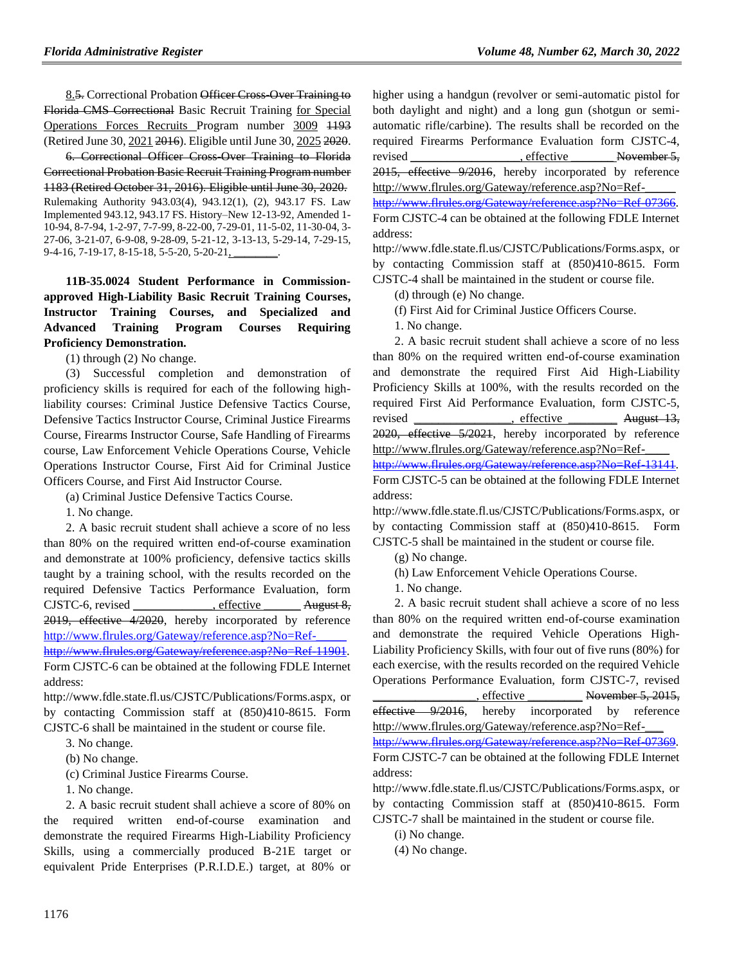8.5. Correctional Probation Officer Cross-Over Training to Florida CMS Correctional Basic Recruit Training for Special Operations Forces Recruits Program number 3009 1193 (Retired June 30, 2021 2016). Eligible until June 30, 2025 2020.

6. Correctional Officer Cross-Over Training to Florida Correctional Probation Basic Recruit Training Program number 1183 (Retired October 31, 2016). Eligible until June 30, 2020. Rulemaking Authority 943.03(4), 943.12(1), (2), 943.17 FS. Law Implemented 943.12, 943.17 FS. History–New 12-13-92, Amended 1- 10-94, 8-7-94, 1-2-97, 7-7-99, 8-22-00, 7-29-01, 11-5-02, 11-30-04, 3- 27-06, 3-21-07, 6-9-08, 9-28-09, 5-21-12, 3-13-13, 5-29-14, 7-29-15, 9-4-16, 7-19-17, 8-15-18, 5-5-20, 5-20-21,

**11B-35.0024 Student Performance in Commissionapproved High-Liability Basic Recruit Training Courses, Instructor Training Courses, and Specialized and Advanced Training Program Courses Requiring Proficiency Demonstration.**

(1) through (2) No change.

(3) Successful completion and demonstration of proficiency skills is required for each of the following highliability courses: Criminal Justice Defensive Tactics Course, Defensive Tactics Instructor Course, Criminal Justice Firearms Course, Firearms Instructor Course, Safe Handling of Firearms course, Law Enforcement Vehicle Operations Course, Vehicle Operations Instructor Course, First Aid for Criminal Justice Officers Course, and First Aid Instructor Course.

(a) Criminal Justice Defensive Tactics Course.

1. No change.

2. A basic recruit student shall achieve a score of no less than 80% on the required written end-of-course examination and demonstrate at 100% proficiency, defensive tactics skills taught by a training school, with the results recorded on the required Defensive Tactics Performance Evaluation, form CJSTC-6, revised effective August 8, 2019, effective 4/2020, hereby incorporated by reference [http://www.flrules.org/Gateway/reference.asp?No=Ref-\\_\\_\\_\\_\\_](https://www.flrules.org/Gateway/reference.asp?No=Ref-_____)

[http://www.flrules.org/Gateway/reference.asp?No=Ref-11901.](https://www.flrules.org/Gateway/reference.asp?No=Ref-11901)

Form CJSTC-6 can be obtained at the following FDLE Internet address:

http://www.fdle.state.fl.us/CJSTC/Publications/Forms.aspx, or by contacting Commission staff at (850)410-8615. Form CJSTC-6 shall be maintained in the student or course file.

3. No change.

(b) No change.

(c) Criminal Justice Firearms Course.

1. No change.

2. A basic recruit student shall achieve a score of 80% on the required written end-of-course examination and demonstrate the required Firearms High-Liability Proficiency Skills, using a commercially produced B-21E target or equivalent Pride Enterprises (P.R.I.D.E.) target, at 80% or higher using a handgun (revolver or semi-automatic pistol for both daylight and night) and a long gun (shotgun or semiautomatic rifle/carbine). The results shall be recorded on the required Firearms Performance Evaluation form CJSTC-4, revised effective November 5, 2015, effective 9/2016, hereby incorporated by reference

http://www.flrules.org/Gateway/reference.asp?No=Ref-\_\_\_\_\_ [http://www.flrules.org/Gateway/reference.asp?No=Ref-07366.](https://www.flrules.org/Gateway/reference.asp?No=Ref-07366) Form CJSTC-4 can be obtained at the following FDLE Internet address:

http://www.fdle.state.fl.us/CJSTC/Publications/Forms.aspx, or by contacting Commission staff at (850)410-8615. Form CJSTC-4 shall be maintained in the student or course file.

(d) through (e) No change.

(f) First Aid for Criminal Justice Officers Course.

1. No change.

2. A basic recruit student shall achieve a score of no less than 80% on the required written end-of-course examination and demonstrate the required First Aid High-Liability Proficiency Skills at 100%, with the results recorded on the required First Aid Performance Evaluation, form CJSTC-5, revised effective August 13, 2020, effective 5/2021, hereby incorporated by reference http://www.flrules.org/Gateway/reference.asp?No=Ref-

[http://www.flrules.org/Gateway/reference.asp?No=Ref-13141.](https://www.flrules.org/Gateway/reference.asp?No=Ref-13141) Form CJSTC-5 can be obtained at the following FDLE Internet address:

http://www.fdle.state.fl.us/CJSTC/Publications/Forms.aspx, or by contacting Commission staff at (850)410-8615. Form CJSTC-5 shall be maintained in the student or course file.

(g) No change.

- (h) Law Enforcement Vehicle Operations Course.
- 1. No change.

2. A basic recruit student shall achieve a score of no less than 80% on the required written end-of-course examination and demonstrate the required Vehicle Operations High-Liability Proficiency Skills, with four out of five runs (80%) for each exercise, with the results recorded on the required Vehicle Operations Performance Evaluation, form CJSTC-7, revised effective November 5, 2015,

effective 9/2016, hereby incorporated by reference http://www.flrules.org/Gateway/reference.asp?No=Ref-\_\_\_

[http://www.flrules.org/Gateway/reference.asp?No=Ref-07369.](https://www.flrules.org/Gateway/reference.asp?No=Ref-07369)

Form CJSTC-7 can be obtained at the following FDLE Internet address:

http://www.fdle.state.fl.us/CJSTC/Publications/Forms.aspx, or by contacting Commission staff at (850)410-8615. Form CJSTC-7 shall be maintained in the student or course file.

(i) No change.

(4) No change.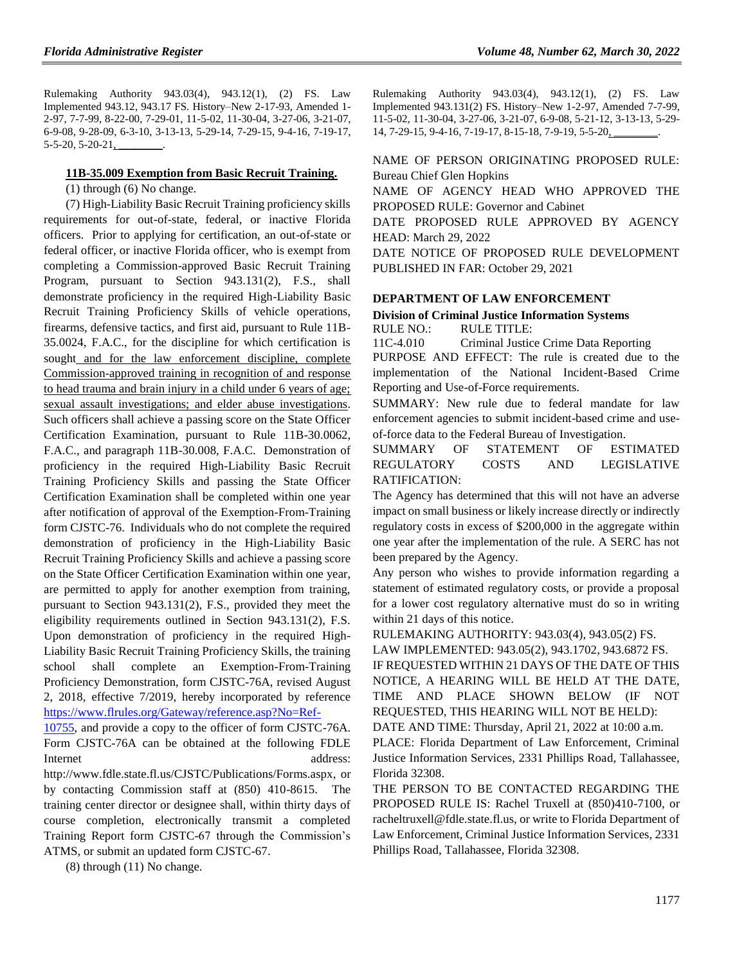Rulemaking Authority 943.03(4), 943.12(1), (2) FS. Law Implemented 943.12, 943.17 FS. History–New 2-17-93, Amended 1- 2-97, 7-7-99, 8-22-00, 7-29-01, 11-5-02, 11-30-04, 3-27-06, 3-21-07, 6-9-08, 9-28-09, 6-3-10, 3-13-13, 5-29-14, 7-29-15, 9-4-16, 7-19-17, 5-5-20, 5-20-21,

#### **11B-35.009 Exemption from Basic Recruit Training.**

(1) through (6) No change.

(7) High-Liability Basic Recruit Training proficiency skills requirements for out-of-state, federal, or inactive Florida officers. Prior to applying for certification, an out-of-state or federal officer, or inactive Florida officer, who is exempt from completing a Commission-approved Basic Recruit Training Program, pursuant to Section 943.131(2), F.S., shall demonstrate proficiency in the required High-Liability Basic Recruit Training Proficiency Skills of vehicle operations, firearms, defensive tactics, and first aid, pursuant to Rule 11B-35.0024, F.A.C., for the discipline for which certification is sought and for the law enforcement discipline, complete Commission-approved training in recognition of and response to head trauma and brain injury in a child under 6 years of age; sexual assault investigations; and elder abuse investigations. Such officers shall achieve a passing score on the State Officer Certification Examination, pursuant to Rule 11B-30.0062, F.A.C., and paragraph 11B-30.008, F.A.C. Demonstration of proficiency in the required High-Liability Basic Recruit Training Proficiency Skills and passing the State Officer Certification Examination shall be completed within one year after notification of approval of the Exemption-From-Training form CJSTC-76. Individuals who do not complete the required demonstration of proficiency in the High-Liability Basic Recruit Training Proficiency Skills and achieve a passing score on the State Officer Certification Examination within one year, are permitted to apply for another exemption from training, pursuant to Section 943.131(2), F.S., provided they meet the eligibility requirements outlined in Section 943.131(2), F.S. Upon demonstration of proficiency in the required High-Liability Basic Recruit Training Proficiency Skills, the training school shall complete an Exemption-From-Training Proficiency Demonstration, form CJSTC-76A, revised August 2, 2018, effective 7/2019, hereby incorporated by reference [https://www.flrules.org/Gateway/reference.asp?No=Ref-](https://www.flrules.org/Gateway/reference.asp?No=Ref-10755)

[10755,](https://www.flrules.org/Gateway/reference.asp?No=Ref-10755) and provide a copy to the officer of form CJSTC-76A. Form CJSTC-76A can be obtained at the following FDLE Internet address:

http://www.fdle.state.fl.us/CJSTC/Publications/Forms.aspx, or by contacting Commission staff at (850) 410-8615. The training center director or designee shall, within thirty days of course completion, electronically transmit a completed Training Report form CJSTC-67 through the Commission's ATMS, or submit an updated form CJSTC-67.

(8) through (11) No change.

Rulemaking Authority 943.03(4), 943.12(1), (2) FS. Law Implemented 943.131(2) FS. History–New 1-2-97, Amended 7-7-99, 11-5-02, 11-30-04, 3-27-06, 3-21-07, 6-9-08, 5-21-12, 3-13-13, 5-29- 14, 7-29-15, 9-4-16, 7-19-17, 8-15-18, 7-9-19, 5-5-20,

NAME OF PERSON ORIGINATING PROPOSED RULE: Bureau Chief Glen Hopkins

NAME OF AGENCY HEAD WHO APPROVED THE PROPOSED RULE: Governor and Cabinet

DATE PROPOSED RULE APPROVED BY AGENCY HEAD: March 29, 2022

DATE NOTICE OF PROPOSED RULE DEVELOPMENT PUBLISHED IN FAR: October 29, 2021

## **[DEPARTMENT OF LAW ENFORCEMENT](https://www.flrules.org/gateway/department.asp?id=11)**

#### **[Division of Criminal Justice Information Systems](https://www.flrules.org/gateway/organization.asp?id=21)** RULE NO.: RULE TITLE:

[11C-4.010](https://www.flrules.org/gateway/ruleNo.asp?id=11C-4.010) Criminal Justice Crime Data Reporting

PURPOSE AND EFFECT: The rule is created due to the implementation of the National Incident-Based Crime Reporting and Use-of-Force requirements.

SUMMARY: New rule due to federal mandate for law enforcement agencies to submit incident-based crime and useof-force data to the Federal Bureau of Investigation.

## SUMMARY OF STATEMENT OF ESTIMATED REGULATORY COSTS AND LEGISLATIVE RATIFICATION:

The Agency has determined that this will not have an adverse impact on small business or likely increase directly or indirectly regulatory costs in excess of \$200,000 in the aggregate within one year after the implementation of the rule. A SERC has not been prepared by the Agency.

Any person who wishes to provide information regarding a statement of estimated regulatory costs, or provide a proposal for a lower cost regulatory alternative must do so in writing within 21 days of this notice.

RULEMAKING AUTHORITY: [943.03\(4\),](https://www.flrules.org/gateway/statute.asp?id=943.03(4)) [943.05\(2\) FS.](https://www.flrules.org/gateway/statute.asp?id=%20943.05(2)%20FS.)

LAW IMPLEMENTED: [943.05\(2\),](https://www.flrules.org/gateway/statute.asp?id=943.05(2)) [943.1702,](https://www.flrules.org/gateway/statute.asp?id=%20943.1702) [943.6872 FS.](https://www.flrules.org/gateway/statute.asp?id=%20943.6872%20FS.)

IF REQUESTED WITHIN 21 DAYS OF THE DATE OF THIS NOTICE, A HEARING WILL BE HELD AT THE DATE, TIME AND PLACE SHOWN BELOW (IF NOT REQUESTED, THIS HEARING WILL NOT BE HELD):

DATE AND TIME: Thursday, April 21, 2022 at 10:00 a.m.

PLACE: Florida Department of Law Enforcement, Criminal Justice Information Services, 2331 Phillips Road, Tallahassee, Florida 32308.

THE PERSON TO BE CONTACTED REGARDING THE PROPOSED RULE IS: Rachel Truxell at (850)410-7100, or racheltruxell@fdle.state.fl.us, or write to Florida Department of Law Enforcement, Criminal Justice Information Services, 2331 Phillips Road, Tallahassee, Florida 32308.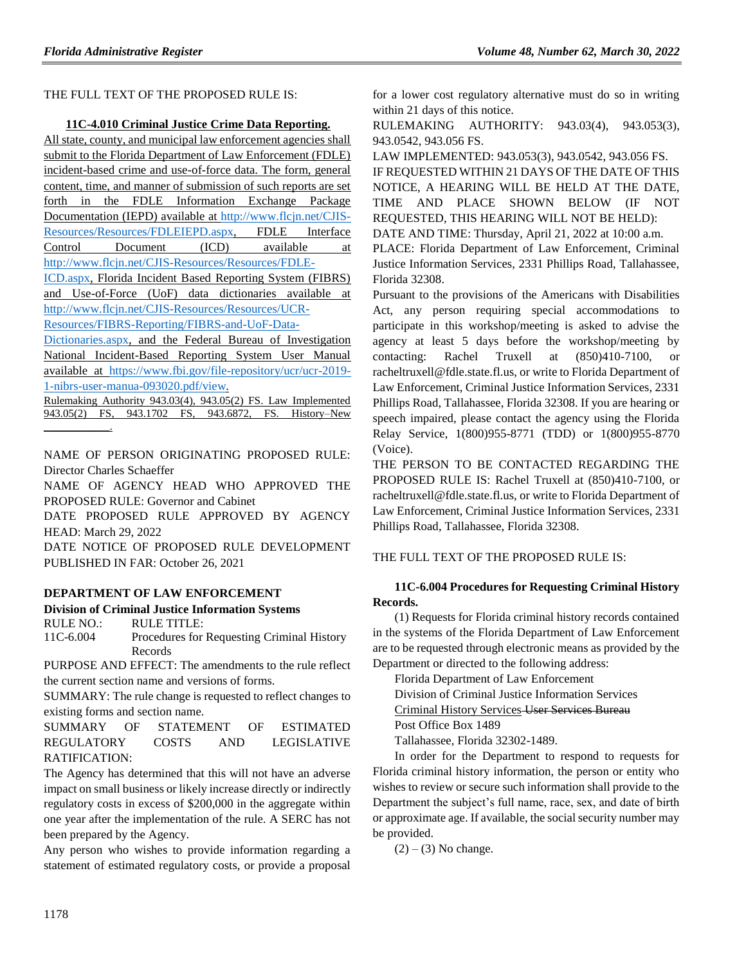THE FULL TEXT OF THE PROPOSED RULE IS:

#### **11C-4.010 Criminal Justice Crime Data Reporting.**

All state, county, and municipal law enforcement agencies shall submit to the Florida Department of Law Enforcement (FDLE) incident-based crime and use-of-force data. The form, general content, time, and manner of submission of such reports are set forth in the FDLE Information Exchange Package Documentation (IEPD) available at [http://www.flcjn.net/CJIS-](http://www.flcjn.net/CJIS-Resources/Resources/FDLEIEPD.aspx)[Resources/Resources/FDLEIEPD.aspx,](http://www.flcjn.net/CJIS-Resources/Resources/FDLEIEPD.aspx) FDLE Interface Control Document (ICD) available at

[http://www.flcjn.net/CJIS-Resources/Resources/FDLE-](http://www.flcjn.net/CJIS-Resources/Resources/FDLE-ICD.aspx)

[ICD.aspx,](http://www.flcjn.net/CJIS-Resources/Resources/FDLE-ICD.aspx) Florida Incident Based Reporting System (FIBRS) and Use-of-Force (UoF) data dictionaries available at [http://www.flcjn.net/CJIS-Resources/Resources/UCR-](http://www.flcjn.net/CJIS-Resources/Resources/UCR-Resources/FIBRS-Reporting/FIBRS-and-UoF-Data-Dictionaries.aspx)

[Resources/FIBRS-Reporting/FIBRS-and-UoF-Data-](http://www.flcjn.net/CJIS-Resources/Resources/UCR-Resources/FIBRS-Reporting/FIBRS-and-UoF-Data-Dictionaries.aspx)

[Dictionaries.aspx,](http://www.flcjn.net/CJIS-Resources/Resources/UCR-Resources/FIBRS-Reporting/FIBRS-and-UoF-Data-Dictionaries.aspx) and the Federal Bureau of Investigation National Incident-Based Reporting System User Manual available at [https://www.fbi.gov/file-repository/ucr/ucr-2019-](https://www.fbi.gov/file-repository/ucr/ucr-2019-1-nibrs-user-manua-093020.pdf/view) [1-nibrs-user-manua-093020.pdf/view.](https://www.fbi.gov/file-repository/ucr/ucr-2019-1-nibrs-user-manua-093020.pdf/view)

Rulemaking Authority 943.03(4), 943.05(2) FS. Law Implemented 943.05(2) FS, 943.1702 FS, 943.6872, FS. History–New  $\mathcal{L}=\mathcal{L}^{\mathcal{L}}$ 

NAME OF PERSON ORIGINATING PROPOSED RULE: Director Charles Schaeffer

NAME OF AGENCY HEAD WHO APPROVED THE PROPOSED RULE: Governor and Cabinet

DATE PROPOSED RULE APPROVED BY AGENCY HEAD: March 29, 2022

DATE NOTICE OF PROPOSED RULE DEVELOPMENT PUBLISHED IN FAR: October 26, 2021

## **[DEPARTMENT OF LAW ENFORCEMENT](https://www.flrules.org/gateway/department.asp?id=11)**

## **[Division of Criminal Justice Information Systems](https://www.flrules.org/gateway/organization.asp?id=21)**

RULE NO.: RULE TITLE: [11C-6.004](https://www.flrules.org/gateway/ruleNo.asp?id=11C-6.004) Procedures for Requesting Criminal History Records

PURPOSE AND EFFECT: The amendments to the rule reflect the current section name and versions of forms.

SUMMARY: The rule change is requested to reflect changes to existing forms and section name.

SUMMARY OF STATEMENT OF ESTIMATED REGULATORY COSTS AND LEGISLATIVE RATIFICATION:

The Agency has determined that this will not have an adverse impact on small business or likely increase directly or indirectly regulatory costs in excess of \$200,000 in the aggregate within one year after the implementation of the rule. A SERC has not been prepared by the Agency.

Any person who wishes to provide information regarding a statement of estimated regulatory costs, or provide a proposal

for a lower cost regulatory alternative must do so in writing within 21 days of this notice.

RULEMAKING AUTHORITY: [943.03\(4\),](https://www.flrules.org/gateway/statute.asp?id=943.03(4)) [943.053\(3\),](https://www.flrules.org/gateway/statute.asp?id=%20943.053(3)) [943.0542,](https://www.flrules.org/gateway/statute.asp?id=%20%20943.0542) [943.056 FS.](https://www.flrules.org/gateway/statute.asp?id=%20943.056%20FS.)

LAW IMPLEMENTED: [943.053\(3\),](https://www.flrules.org/gateway/statute.asp?id=943.053(3)) [943.0542,](https://www.flrules.org/gateway/statute.asp?id=%20943.0542) [943.056 FS.](https://www.flrules.org/gateway/statute.asp?id=%20943.056%20FS.) IF REQUESTED WITHIN 21 DAYS OF THE DATE OF THIS NOTICE, A HEARING WILL BE HELD AT THE DATE, TIME AND PLACE SHOWN BELOW (IF NOT REQUESTED, THIS HEARING WILL NOT BE HELD):

DATE AND TIME: Thursday, April 21, 2022 at 10:00 a.m.

PLACE: Florida Department of Law Enforcement, Criminal Justice Information Services, 2331 Phillips Road, Tallahassee, Florida 32308.

Pursuant to the provisions of the Americans with Disabilities Act, any person requiring special accommodations to participate in this workshop/meeting is asked to advise the agency at least 5 days before the workshop/meeting by contacting: Rachel Truxell at (850)410-7100, or racheltruxell@fdle.state.fl.us, or write to Florida Department of Law Enforcement, Criminal Justice Information Services, 2331 Phillips Road, Tallahassee, Florida 32308. If you are hearing or speech impaired, please contact the agency using the Florida Relay Service, 1(800)955-8771 (TDD) or 1(800)955-8770 (Voice).

THE PERSON TO BE CONTACTED REGARDING THE PROPOSED RULE IS: Rachel Truxell at (850)410-7100, or racheltruxell@fdle.state.fl.us, or write to Florida Department of Law Enforcement, Criminal Justice Information Services, 2331 Phillips Road, Tallahassee, Florida 32308.

## THE FULL TEXT OF THE PROPOSED RULE IS:

## **11C-6.004 Procedures for Requesting Criminal History Records.**

(1) Requests for Florida criminal history records contained in the systems of the Florida Department of Law Enforcement are to be requested through electronic means as provided by the Department or directed to the following address:

Florida Department of Law Enforcement

Division of Criminal Justice Information Services

Criminal History Services User Services Bureau

Post Office Box 1489

Tallahassee, Florida 32302-1489.

In order for the Department to respond to requests for Florida criminal history information, the person or entity who wishes to review or secure such information shall provide to the Department the subject's full name, race, sex, and date of birth or approximate age. If available, the social security number may be provided.

 $(2) - (3)$  No change.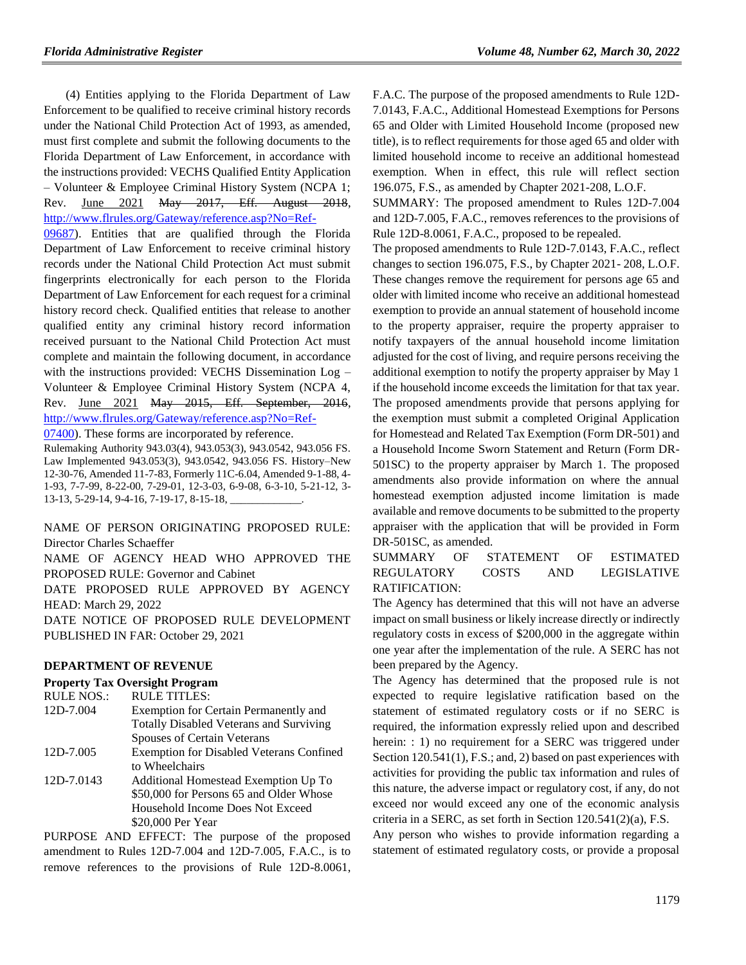(4) Entities applying to the Florida Department of Law Enforcement to be qualified to receive criminal history records under the National Child Protection Act of 1993, as amended, must first complete and submit the following documents to the Florida Department of Law Enforcement, in accordance with the instructions provided: VECHS Qualified Entity Application – Volunteer & Employee Criminal History System (NCPA 1; Rev. June 2021 May 2017, Eff. August 2018, [http://www.flrules.org/Gateway/reference.asp?No=Ref-](https://www.flrules.org/Gateway/reference.asp?No=Ref-09687)

[09687\)](https://www.flrules.org/Gateway/reference.asp?No=Ref-09687). Entities that are qualified through the Florida Department of Law Enforcement to receive criminal history records under the National Child Protection Act must submit fingerprints electronically for each person to the Florida Department of Law Enforcement for each request for a criminal history record check. Qualified entities that release to another qualified entity any criminal history record information received pursuant to the National Child Protection Act must complete and maintain the following document, in accordance with the instructions provided: VECHS Dissemination Log – Volunteer & Employee Criminal History System (NCPA 4, Rev. June 2021 May 2015, Eff. September, 2016, [http://www.flrules.org/Gateway/reference.asp?No=Ref-](https://www.flrules.org/Gateway/reference.asp?No=Ref-07400)

[07400\)](https://www.flrules.org/Gateway/reference.asp?No=Ref-07400). These forms are incorporated by reference.

Rulemaking Authority 943.03(4), 943.053(3), 943.0542, 943.056 FS. Law Implemented 943.053(3), 943.0542, 943.056 FS. History–New 12-30-76, Amended 11-7-83, Formerly 11C-6.04, Amended 9-1-88, 4- 1-93, 7-7-99, 8-22-00, 7-29-01, 12-3-03, 6-9-08, 6-3-10, 5-21-12, 3- 13-13, 5-29-14, 9-4-16, 7-19-17, 8-15-18,

NAME OF PERSON ORIGINATING PROPOSED RULE: Director Charles Schaeffer

NAME OF AGENCY HEAD WHO APPROVED THE PROPOSED RULE: Governor and Cabinet

DATE PROPOSED RULE APPROVED BY AGENCY HEAD: March 29, 2022

DATE NOTICE OF PROPOSED RULE DEVELOPMENT PUBLISHED IN FAR: October 29, 2021

#### **[DEPARTMENT OF REVENUE](https://www.flrules.org/gateway/department.asp?id=12)**

**[Property Tax Oversight Program](https://www.flrules.org/gateway/organization.asp?id=36)**

| <b>RULE NOS.:</b> | <b>RULE TITLES:</b>                             |
|-------------------|-------------------------------------------------|
| 12D-7.004         | Exemption for Certain Permanently and           |
|                   | <b>Totally Disabled Veterans and Surviving</b>  |
|                   | Spouses of Certain Veterans                     |
| 12D-7.005         | <b>Exemption for Disabled Veterans Confined</b> |
|                   | to Wheelchairs                                  |
| 12D-7.0143        | Additional Homestead Exemption Up To            |
|                   | \$50,000 for Persons 65 and Older Whose         |
|                   | Household Income Does Not Exceed                |
|                   | \$20,000 Per Year                               |

PURPOSE AND EFFECT: The purpose of the proposed amendment to Rules 12D-7.004 and 12D-7.005, F.A.C., is to remove references to the provisions of Rule 12D-8.0061, F.A.C. The purpose of the proposed amendments to Rule 12D-7.0143, F.A.C., Additional Homestead Exemptions for Persons 65 and Older with Limited Household Income (proposed new title), is to reflect requirements for those aged 65 and older with limited household income to receive an additional homestead exemption. When in effect, this rule will reflect section 196.075, F.S., as amended by Chapter 2021-208, L.O.F.

SUMMARY: The proposed amendment to Rules 12D-7.004 and 12D-7.005, F.A.C., removes references to the provisions of Rule 12D-8.0061, F.A.C., proposed to be repealed.

The proposed amendments to Rule 12D-7.0143, F.A.C., reflect changes to section 196.075, F.S., by Chapter 2021- 208, L.O.F. These changes remove the requirement for persons age 65 and older with limited income who receive an additional homestead exemption to provide an annual statement of household income to the property appraiser, require the property appraiser to notify taxpayers of the annual household income limitation adjusted for the cost of living, and require persons receiving the additional exemption to notify the property appraiser by May 1 if the household income exceeds the limitation for that tax year. The proposed amendments provide that persons applying for the exemption must submit a completed Original Application for Homestead and Related Tax Exemption (Form DR-501) and a Household Income Sworn Statement and Return (Form DR-501SC) to the property appraiser by March 1. The proposed amendments also provide information on where the annual homestead exemption adjusted income limitation is made available and remove documents to be submitted to the property appraiser with the application that will be provided in Form DR-501SC, as amended.

SUMMARY OF STATEMENT OF ESTIMATED REGULATORY COSTS AND LEGISLATIVE RATIFICATION:

The Agency has determined that this will not have an adverse impact on small business or likely increase directly or indirectly regulatory costs in excess of \$200,000 in the aggregate within one year after the implementation of the rule. A SERC has not been prepared by the Agency.

The Agency has determined that the proposed rule is not expected to require legislative ratification based on the statement of estimated regulatory costs or if no SERC is required, the information expressly relied upon and described herein: : 1) no requirement for a SERC was triggered under Section 120.541(1), F.S.; and, 2) based on past experiences with activities for providing the public tax information and rules of this nature, the adverse impact or regulatory cost, if any, do not exceed nor would exceed any one of the economic analysis criteria in a SERC, as set forth in Section 120.541(2)(a), F.S.

Any person who wishes to provide information regarding a statement of estimated regulatory costs, or provide a proposal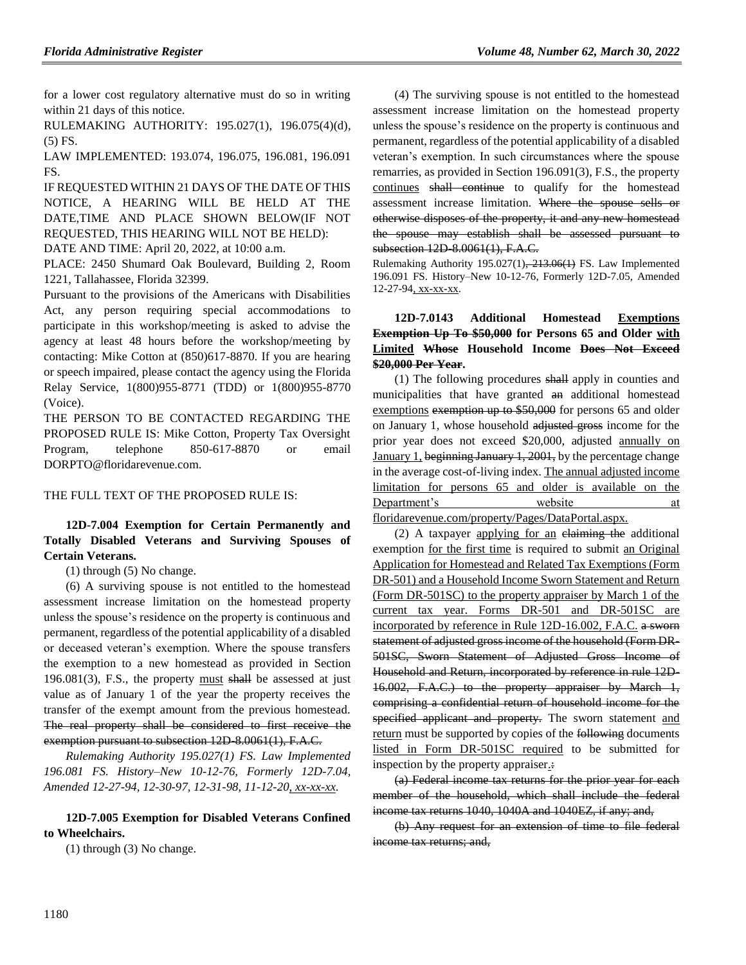for a lower cost regulatory alternative must do so in writing within 21 days of this notice.

RULEMAKING AUTHORITY: [195.027\(1\),](https://www.flrules.org/gateway/statute.asp?id=195.027(1)) [196.075\(4\)\(d\),](https://www.flrules.org/gateway/statute.asp?id=%20196.075(4)(d)) (5) FS.

LAW IMPLEMENTED: [193.074,](https://www.flrules.org/gateway/statute.asp?id=193.074) [196.075,](https://www.flrules.org/gateway/statute.asp?id=%20196.075) [196.081,](https://www.flrules.org/gateway/statute.asp?id=%20196.081) [196.091](https://www.flrules.org/gateway/statute.asp?id=%20196.091%20FS.)  [FS.](https://www.flrules.org/gateway/statute.asp?id=%20196.091%20FS.)

IF REQUESTED WITHIN 21 DAYS OF THE DATE OF THIS NOTICE, A HEARING WILL BE HELD AT THE DATE,TIME AND PLACE SHOWN BELOW(IF NOT REQUESTED, THIS HEARING WILL NOT BE HELD):

DATE AND TIME: April 20, 2022, at 10:00 a.m.

PLACE: 2450 Shumard Oak Boulevard, Building 2, Room 1221, Tallahassee, Florida 32399.

Pursuant to the provisions of the Americans with Disabilities Act, any person requiring special accommodations to participate in this workshop/meeting is asked to advise the agency at least 48 hours before the workshop/meeting by contacting: Mike Cotton at (850)617-8870. If you are hearing or speech impaired, please contact the agency using the Florida Relay Service, 1(800)955-8771 (TDD) or 1(800)955-8770 (Voice).

THE PERSON TO BE CONTACTED REGARDING THE PROPOSED RULE IS: Mike Cotton, Property Tax Oversight Program, telephone 850-617-8870 or email DORPTO@floridarevenue.com.

#### THE FULL TEXT OF THE PROPOSED RULE IS:

## **12D-7.004 Exemption for Certain Permanently and Totally Disabled Veterans and Surviving Spouses of Certain Veterans.**

(1) through (5) No change.

(6) A surviving spouse is not entitled to the homestead assessment increase limitation on the homestead property unless the spouse's residence on the property is continuous and permanent, regardless of the potential applicability of a disabled or deceased veteran's exemption. Where the spouse transfers the exemption to a new homestead as provided in Section  $196.081(3)$ , F.S., the property must shall be assessed at just value as of January 1 of the year the property receives the transfer of the exempt amount from the previous homestead. The real property shall be considered to first receive the exemption pursuant to subsection 12D-8.0061(1), F.A.C.

*Rulemaking Authority 195.027(1) FS. Law Implemented 196.081 FS. History–New 10-12-76, Formerly 12D-7.04, Amended 12-27-94, 12-30-97, 12-31-98, 11-12-20, xx-xx-xx.*

**12D-7.005 Exemption for Disabled Veterans Confined to Wheelchairs.**

(1) through (3) No change.

(4) The surviving spouse is not entitled to the homestead assessment increase limitation on the homestead property unless the spouse's residence on the property is continuous and permanent, regardless of the potential applicability of a disabled veteran's exemption. In such circumstances where the spouse remarries, as provided in Section 196.091(3), F.S., the property continues shall continue to qualify for the homestead assessment increase limitation. Where the spouse sells or otherwise disposes of the property, it and any new homestead the spouse may establish shall be assessed pursuant to subsection 12D 8.0061(1), F.A.C.

Rulemaking Authority 195.027(1), 213.06(1) FS. Law Implemented 196.091 FS. History–New 10-12-76, Formerly 12D-7.05, Amended 12-27-94, xx-xx-xx.

## **12D-7.0143 Additional Homestead Exemptions Exemption Up To \$50,000 for Persons 65 and Older with Limited Whose Household Income Does Not Exceed \$20,000 Per Year.**

(1) The following procedures shall apply in counties and municipalities that have granted an additional homestead exemptions exemption up to \$50,000 for persons 65 and older on January 1, whose household adjusted gross income for the prior year does not exceed \$20,000, adjusted annually on January 1, beginning January 1, 2001, by the percentage change in the average cost-of-living index. The annual adjusted income limitation for persons 65 and older is available on the Department's website at

floridarevenue.com/property/Pages/DataPortal.aspx.

(2) A taxpayer applying for an claiming the additional exemption for the first time is required to submit an Original Application for Homestead and Related Tax Exemptions (Form DR-501) and a Household Income Sworn Statement and Return (Form DR-501SC) to the property appraiser by March 1 of the current tax year. Forms DR-501 and DR-501SC are incorporated by reference in Rule 12D-16.002, F.A.C. a sworn statement of adjusted gross income of the household (Form DR-501SC, Sworn Statement of Adjusted Gross Income of Household and Return, incorporated by reference in rule 12D-16.002, F.A.C.) to the property appraiser by March 1, comprising a confidential return of household income for the specified applicant and property. The sworn statement and return must be supported by copies of the following documents listed in Form DR-501SC required to be submitted for inspection by the property appraiser.:

(a) Federal income tax returns for the prior year for each member of the household, which shall include the federal income tax returns 1040, 1040A and 1040EZ, if any; and,

(b) Any request for an extension of time to file federal income tax returns; and,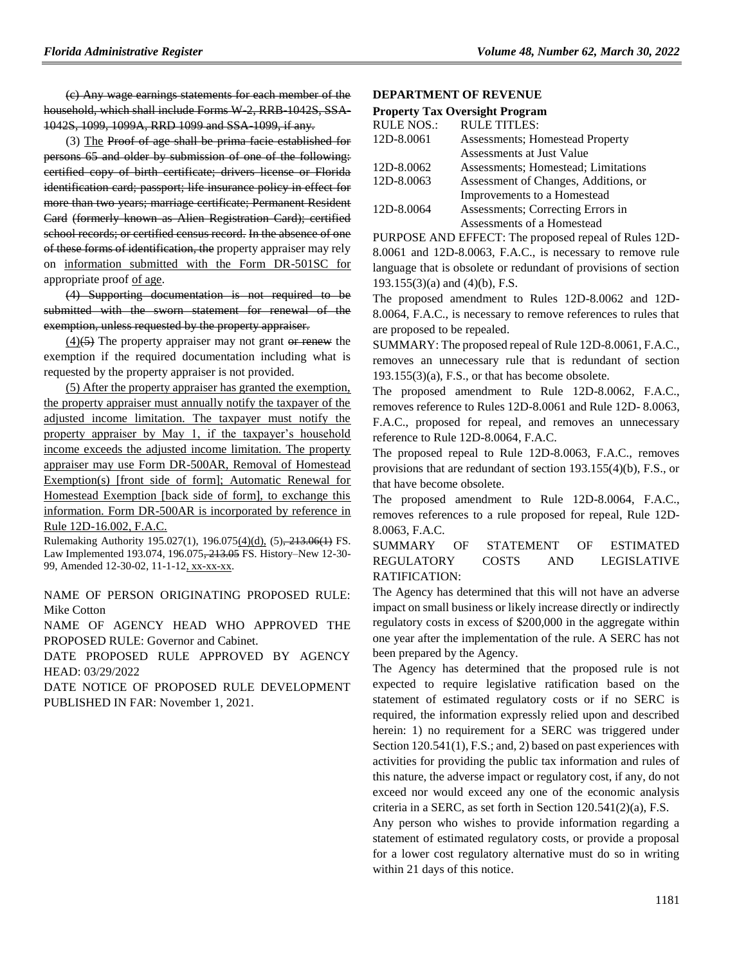(c) Any wage earnings statements for each member of the household, which shall include Forms W-2, RRB-1042S, SSA-1042S, 1099, 1099A, RRD 1099 and SSA-1099, if any.

(3) The Proof of age shall be prima facie established for persons 65 and older by submission of one of the following: certified copy of birth certificate; drivers license or Florida identification card; passport; life insurance policy in effect for more than two years; marriage certificate; Permanent Resident Card (formerly known as Alien Registration Card); certified school records; or certified census record. In the absence of one of these forms of identification, the property appraiser may rely on information submitted with the Form DR-501SC for appropriate proof of age.

(4) Supporting documentation is not required to be submitted with the sworn statement for renewal of the exemption, unless requested by the property appraiser.

 $(4)(5)$  The property appraiser may not grant or renew the exemption if the required documentation including what is requested by the property appraiser is not provided.

(5) After the property appraiser has granted the exemption, the property appraiser must annually notify the taxpayer of the adjusted income limitation. The taxpayer must notify the property appraiser by May 1, if the taxpayer's household income exceeds the adjusted income limitation. The property appraiser may use Form DR-500AR, Removal of Homestead Exemption(s) [front side of form]; Automatic Renewal for Homestead Exemption [back side of form], to exchange this information. Form DR-500AR is incorporated by reference in Rule 12D-16.002, F.A.C.

Rulemaking Authority 195.027(1), 196.075(4)(d), (5), 213.06(1) FS. Law Implemented 193.074, 196.075, 213.05 FS. History–New 12-30- 99, Amended 12-30-02, 11-1-12, xx-xx-xx.

NAME OF PERSON ORIGINATING PROPOSED RULE: Mike Cotton

NAME OF AGENCY HEAD WHO APPROVED THE PROPOSED RULE: Governor and Cabinet.

DATE PROPOSED RULE APPROVED BY AGENCY HEAD: 03/29/2022

DATE NOTICE OF PROPOSED RULE DEVELOPMENT PUBLISHED IN FAR: November 1, 2021.

#### **[DEPARTMENT OF REVENUE](https://www.flrules.org/gateway/department.asp?id=12)**

#### **[Property Tax Oversight Program](https://www.flrules.org/gateway/organization.asp?id=36)**

| <b>RULE NOS.:</b> | <b>RULE TITLES:</b>                     |
|-------------------|-----------------------------------------|
| 12D-8.0061        | <b>Assessments</b> ; Homestead Property |
|                   | Assessments at Just Value               |
| 12D-8.0062        | Assessments; Homestead; Limitations     |
| 12D-8.0063        | Assessment of Changes, Additions, or    |
|                   | Improvements to a Homestead             |
| 12D-8.0064        | Assessments; Correcting Errors in       |
|                   | Assessments of a Homestead              |

PURPOSE AND EFFECT: The proposed repeal of Rules 12D-8.0061 and 12D-8.0063, F.A.C., is necessary to remove rule language that is obsolete or redundant of provisions of section 193.155(3)(a) and (4)(b), F.S.

The proposed amendment to Rules 12D-8.0062 and 12D-8.0064, F.A.C., is necessary to remove references to rules that are proposed to be repealed.

SUMMARY: The proposed repeal of Rule 12D-8.0061, F.A.C., removes an unnecessary rule that is redundant of section  $193.155(3)(a)$ , F.S., or that has become obsolete.

The proposed amendment to Rule 12D-8.0062, F.A.C., removes reference to Rules 12D-8.0061 and Rule 12D- 8.0063, F.A.C., proposed for repeal, and removes an unnecessary reference to Rule 12D-8.0064, F.A.C.

The proposed repeal to Rule 12D-8.0063, F.A.C., removes provisions that are redundant of section 193.155(4)(b), F.S., or that have become obsolete.

The proposed amendment to Rule 12D-8.0064, F.A.C., removes references to a rule proposed for repeal, Rule 12D-8.0063, F.A.C.

SUMMARY OF STATEMENT OF ESTIMATED REGULATORY COSTS AND LEGISLATIVE RATIFICATION:

The Agency has determined that this will not have an adverse impact on small business or likely increase directly or indirectly regulatory costs in excess of \$200,000 in the aggregate within one year after the implementation of the rule. A SERC has not been prepared by the Agency.

The Agency has determined that the proposed rule is not expected to require legislative ratification based on the statement of estimated regulatory costs or if no SERC is required, the information expressly relied upon and described herein: 1) no requirement for a SERC was triggered under Section 120.541(1), F.S.; and, 2) based on past experiences with activities for providing the public tax information and rules of this nature, the adverse impact or regulatory cost, if any, do not exceed nor would exceed any one of the economic analysis criteria in a SERC, as set forth in Section 120.541(2)(a), F.S.

Any person who wishes to provide information regarding a statement of estimated regulatory costs, or provide a proposal for a lower cost regulatory alternative must do so in writing within 21 days of this notice.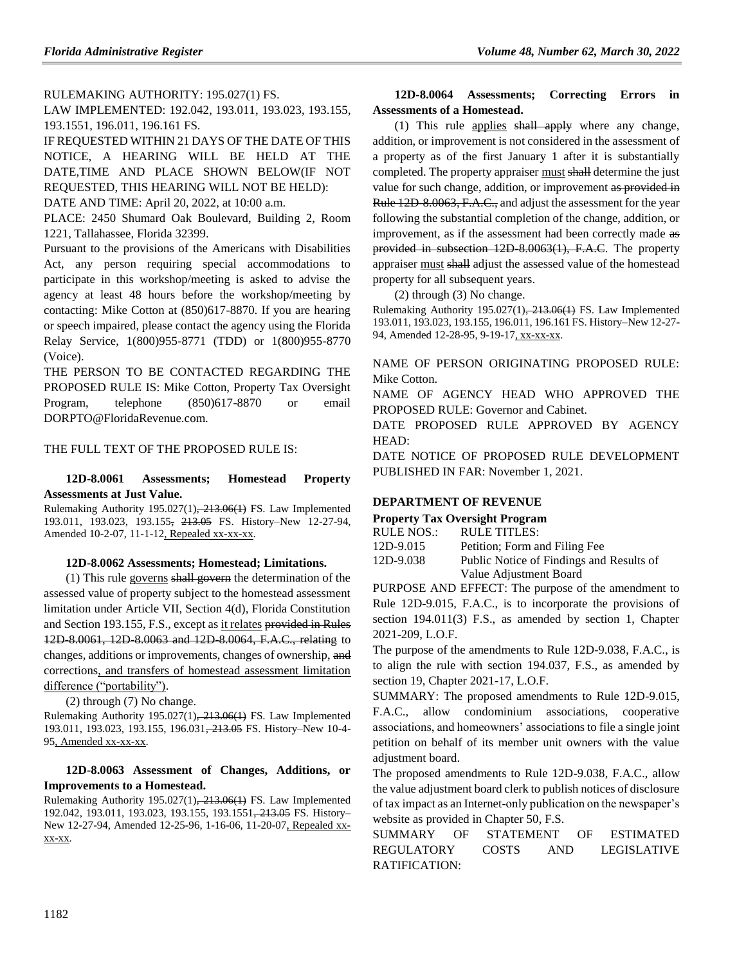RULEMAKING AUTHORITY: [195.027\(1\) FS.](https://www.flrules.org/gateway/statute.asp?id=195.027(1)%20FS.)

LAW IMPLEMENTED: [192.042,](https://www.flrules.org/gateway/statute.asp?id=192.042) [193.011,](https://www.flrules.org/gateway/statute.asp?id=%20193.011) [193.023,](https://www.flrules.org/gateway/statute.asp?id=%20193.023) [193.155,](https://www.flrules.org/gateway/statute.asp?id=%20193.155) [193.1551,](https://www.flrules.org/gateway/statute.asp?id=%20193.1551) [196.011,](https://www.flrules.org/gateway/statute.asp?id=%20196.011) [196.161 FS.](https://www.flrules.org/gateway/statute.asp?id=%20196.161%20FS.)

IF REQUESTED WITHIN 21 DAYS OF THE DATE OF THIS NOTICE, A HEARING WILL BE HELD AT THE DATE,TIME AND PLACE SHOWN BELOW(IF NOT REQUESTED, THIS HEARING WILL NOT BE HELD):

DATE AND TIME: April 20, 2022, at 10:00 a.m.

PLACE: 2450 Shumard Oak Boulevard, Building 2, Room 1221, Tallahassee, Florida 32399.

Pursuant to the provisions of the Americans with Disabilities Act, any person requiring special accommodations to participate in this workshop/meeting is asked to advise the agency at least 48 hours before the workshop/meeting by contacting: Mike Cotton at (850)617-8870. If you are hearing or speech impaired, please contact the agency using the Florida Relay Service, 1(800)955-8771 (TDD) or 1(800)955-8770 (Voice).

THE PERSON TO BE CONTACTED REGARDING THE PROPOSED RULE IS: Mike Cotton, Property Tax Oversight Program, telephone (850)617-8870 or email DORPTO@FloridaRevenue.com.

## THE FULL TEXT OF THE PROPOSED RULE IS:

#### **12D-8.0061 Assessments; Homestead Property Assessments at Just Value.**

Rulemaking Authority 195.027(1), 213.06(1) FS. Law Implemented 193.011, 193.023, 193.155, 213.05 FS. History–New 12-27-94, Amended 10-2-07, 11-1-12, Repealed xx-xx-xx.

#### **12D-8.0062 Assessments; Homestead; Limitations.**

(1) This rule governs shall govern the determination of the assessed value of property subject to the homestead assessment limitation under Article VII, Section 4(d), Florida Constitution and Section 193.155, F.S., except as it relates provided in Rules 12D-8.0061, 12D-8.0063 and 12D-8.0064, F.A.C., relating to changes, additions or improvements, changes of ownership, and corrections, and transfers of homestead assessment limitation difference ("portability").

(2) through (7) No change.

Rulemaking Authority 195.027(1), 213.06(1) FS. Law Implemented 193.011, 193.023, 193.155, 196.031<del>, 213.05</del> FS. History–New 10-4-95, Amended xx-xx-xx.

## **12D-8.0063 Assessment of Changes, Additions, or Improvements to a Homestead.**

Rulemaking Authority 195.027(1), 213.06(1) FS. Law Implemented 192.042, 193.011, 193.023, 193.155, 193.1551, 213.05 FS. History– New 12-27-94, Amended 12-25-96, 1-16-06, 11-20-07, Repealed xxxx-xx.

### **12D-8.0064 Assessments; Correcting Errors in Assessments of a Homestead.**

(1) This rule applies shall apply where any change, addition, or improvement is not considered in the assessment of a property as of the first January 1 after it is substantially completed. The property appraiser must shall determine the just value for such change, addition, or improvement as provided in Rule 12D-8.0063, F.A.C., and adjust the assessment for the year following the substantial completion of the change, addition, or improvement, as if the assessment had been correctly made as provided in subsection 12D 8.0063(1), F.A.C. The property appraiser must shall adjust the assessed value of the homestead property for all subsequent years.

(2) through (3) No change.

Rulemaking Authority 195.027(1), 213.06(1) FS. Law Implemented 193.011, 193.023, 193.155, 196.011, 196.161 FS. History–New 12-27- 94, Amended 12-28-95, 9-19-17, xx-xx-xx.

NAME OF PERSON ORIGINATING PROPOSED RULE: Mike Cotton.

NAME OF AGENCY HEAD WHO APPROVED THE PROPOSED RULE: Governor and Cabinet.

DATE PROPOSED RULE APPROVED BY AGENCY HEAD:

DATE NOTICE OF PROPOSED RULE DEVELOPMENT PUBLISHED IN FAR: November 1, 2021.

## **[DEPARTMENT OF REVENUE](https://www.flrules.org/gateway/department.asp?id=12)**

|                   | <b>Property Tax Oversight Program</b> |
|-------------------|---------------------------------------|
| <b>DITT DITOO</b> | <b>BYT RETRY RO</b>                   |

| RULE NOS.: | RULE TITLES:                             |
|------------|------------------------------------------|
| 12D-9.015  | Petition; Form and Filing Fee            |
| 12D-9.038  | Public Notice of Findings and Results of |
|            | Value Adjustment Board                   |

PURPOSE AND EFFECT: The purpose of the amendment to Rule 12D-9.015, F.A.C., is to incorporate the provisions of section 194.011(3) F.S., as amended by section 1, Chapter 2021-209, L.O.F.

The purpose of the amendments to Rule 12D-9.038, F.A.C., is to align the rule with section 194.037, F.S., as amended by section 19, Chapter 2021-17, L.O.F.

SUMMARY: The proposed amendments to Rule 12D-9.015, F.A.C., allow condominium associations, cooperative associations, and homeowners' associations to file a single joint petition on behalf of its member unit owners with the value adjustment board.

The proposed amendments to Rule 12D-9.038, F.A.C., allow the value adjustment board clerk to publish notices of disclosure of tax impact as an Internet-only publication on the newspaper's website as provided in Chapter 50, F.S.

SUMMARY OF STATEMENT OF ESTIMATED REGULATORY COSTS AND LEGISLATIVE RATIFICATION: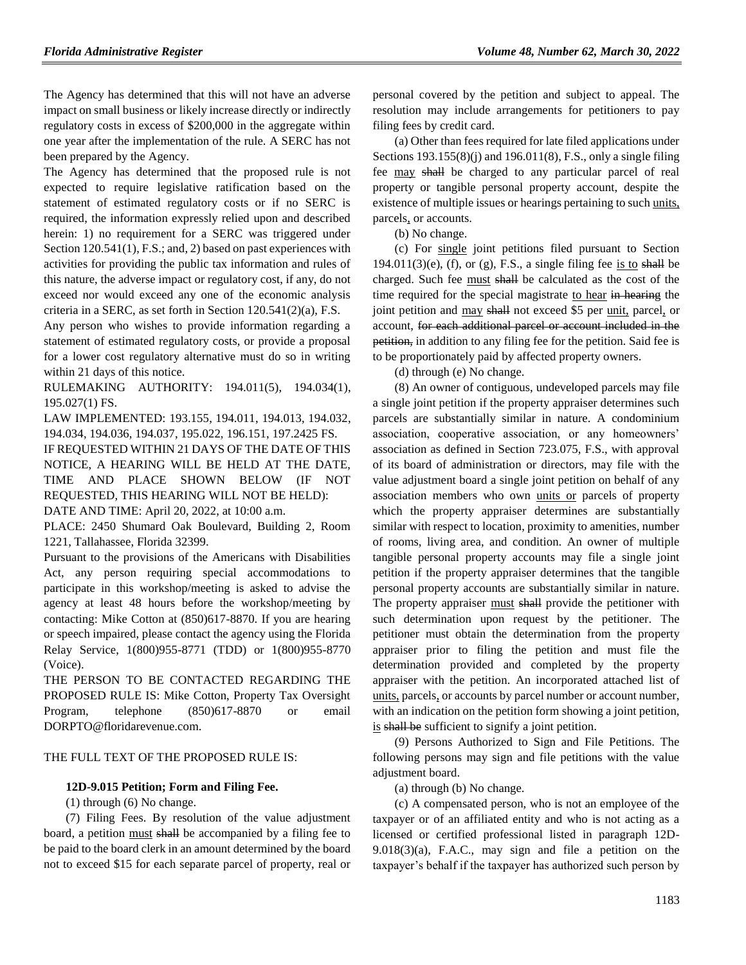The Agency has determined that this will not have an adverse impact on small business or likely increase directly or indirectly regulatory costs in excess of \$200,000 in the aggregate within one year after the implementation of the rule. A SERC has not been prepared by the Agency.

The Agency has determined that the proposed rule is not expected to require legislative ratification based on the statement of estimated regulatory costs or if no SERC is required, the information expressly relied upon and described herein: 1) no requirement for a SERC was triggered under Section 120.541(1), F.S.; and, 2) based on past experiences with activities for providing the public tax information and rules of this nature, the adverse impact or regulatory cost, if any, do not exceed nor would exceed any one of the economic analysis criteria in a SERC, as set forth in Section 120.541(2)(a), F.S.

Any person who wishes to provide information regarding a statement of estimated regulatory costs, or provide a proposal for a lower cost regulatory alternative must do so in writing within 21 days of this notice.

RULEMAKING AUTHORITY: [194.011\(5\),](https://www.flrules.org/gateway/statute.asp?id=194.011(5)) [194.034\(1\),](https://www.flrules.org/gateway/statute.asp?id=%20194.034(1)) [195.027\(1\) FS.](https://www.flrules.org/gateway/statute.asp?id=%20195.027(1)%20FS.)

LAW IMPLEMENTED: [193.155,](https://www.flrules.org/gateway/statute.asp?id=193.155) [194.011,](https://www.flrules.org/gateway/statute.asp?id=%20194.011) [194.013,](https://www.flrules.org/gateway/statute.asp?id=%20194.013) [194.032,](https://www.flrules.org/gateway/statute.asp?id=%20194.032) [194.034,](https://www.flrules.org/gateway/statute.asp?id=%20194.034) [194.036,](https://www.flrules.org/gateway/statute.asp?id=%20194.036) [194.037,](https://www.flrules.org/gateway/statute.asp?id=%20194.037) [195.022,](https://www.flrules.org/gateway/statute.asp?id=%20195.022) [196.151,](https://www.flrules.org/gateway/statute.asp?id=%20196.151) [197.2425 FS.](https://www.flrules.org/gateway/statute.asp?id=%20197.2425%20FS.)

IF REQUESTED WITHIN 21 DAYS OF THE DATE OF THIS NOTICE, A HEARING WILL BE HELD AT THE DATE, TIME AND PLACE SHOWN BELOW (IF NOT REQUESTED, THIS HEARING WILL NOT BE HELD):

DATE AND TIME: April 20, 2022, at 10:00 a.m.

PLACE: 2450 Shumard Oak Boulevard, Building 2, Room 1221, Tallahassee, Florida 32399.

Pursuant to the provisions of the Americans with Disabilities Act, any person requiring special accommodations to participate in this workshop/meeting is asked to advise the agency at least 48 hours before the workshop/meeting by contacting: Mike Cotton at (850)617-8870. If you are hearing or speech impaired, please contact the agency using the Florida Relay Service, 1(800)955-8771 (TDD) or 1(800)955-8770 (Voice).

THE PERSON TO BE CONTACTED REGARDING THE PROPOSED RULE IS: Mike Cotton, Property Tax Oversight Program, telephone (850)617-8870 or email DORPTO@floridarevenue.com.

#### THE FULL TEXT OF THE PROPOSED RULE IS:

#### **12D-9.015 Petition; Form and Filing Fee.**

(1) through (6) No change.

(7) Filing Fees. By resolution of the value adjustment board, a petition must shall be accompanied by a filing fee to be paid to the board clerk in an amount determined by the board not to exceed \$15 for each separate parcel of property, real or

personal covered by the petition and subject to appeal. The resolution may include arrangements for petitioners to pay filing fees by credit card.

(a) Other than fees required for late filed applications under Sections 193.155(8)(j) and 196.011(8), F.S., only a single filing fee may shall be charged to any particular parcel of real property or tangible personal property account, despite the existence of multiple issues or hearings pertaining to such units, parcels, or accounts.

(b) No change.

(c) For single joint petitions filed pursuant to Section  $194.011(3)$ (e), (f), or (g), F.S., a single filing fee is to shall be charged. Such fee must shall be calculated as the cost of the time required for the special magistrate to hear in hearing the joint petition and may shall not exceed \$5 per unit, parcel, or account, for each additional parcel or account included in the petition, in addition to any filing fee for the petition. Said fee is to be proportionately paid by affected property owners.

(d) through (e) No change.

(8) An owner of contiguous, undeveloped parcels may file a single joint petition if the property appraiser determines such parcels are substantially similar in nature. A condominium association, cooperative association, or any homeowners' association as defined in Section 723.075, F.S., with approval of its board of administration or directors, may file with the value adjustment board a single joint petition on behalf of any association members who own units or parcels of property which the property appraiser determines are substantially similar with respect to location, proximity to amenities, number of rooms, living area, and condition. An owner of multiple tangible personal property accounts may file a single joint petition if the property appraiser determines that the tangible personal property accounts are substantially similar in nature. The property appraiser must shall provide the petitioner with such determination upon request by the petitioner. The petitioner must obtain the determination from the property appraiser prior to filing the petition and must file the determination provided and completed by the property appraiser with the petition. An incorporated attached list of units, parcels, or accounts by parcel number or account number, with an indication on the petition form showing a joint petition, is shall be sufficient to signify a joint petition.

(9) Persons Authorized to Sign and File Petitions. The following persons may sign and file petitions with the value adjustment board.

(a) through (b) No change.

(c) A compensated person, who is not an employee of the taxpayer or of an affiliated entity and who is not acting as a licensed or certified professional listed in paragraph 12D-9.018(3)(a), F.A.C., may sign and file a petition on the taxpayer's behalf if the taxpayer has authorized such person by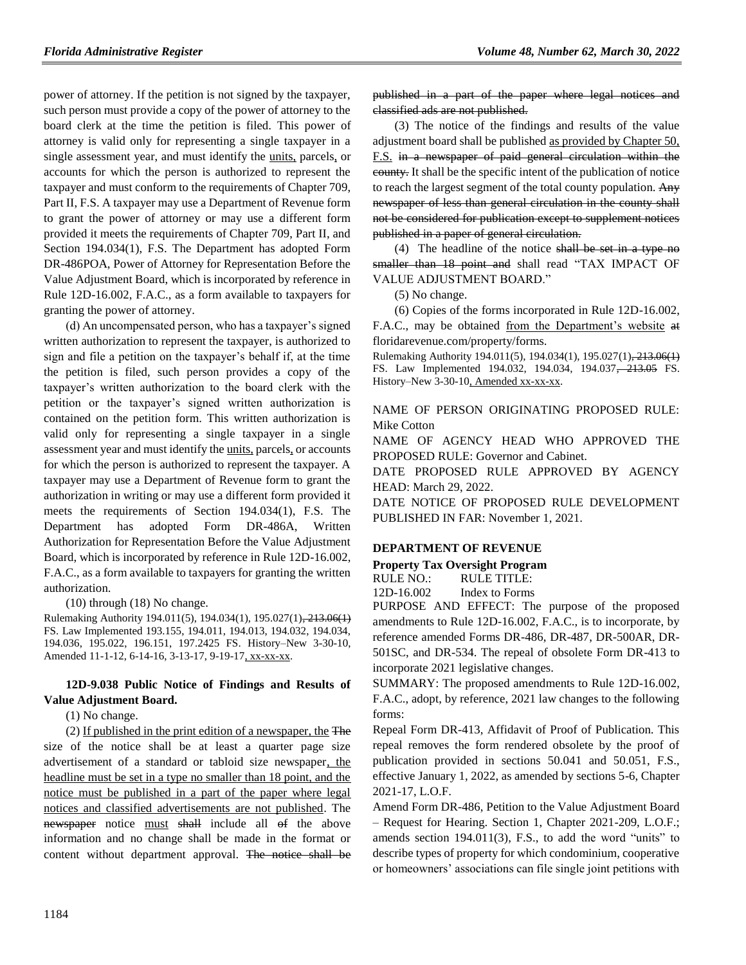power of attorney. If the petition is not signed by the taxpayer, such person must provide a copy of the power of attorney to the board clerk at the time the petition is filed. This power of attorney is valid only for representing a single taxpayer in a single assessment year, and must identify the units, parcels, or accounts for which the person is authorized to represent the taxpayer and must conform to the requirements of Chapter 709, Part II, F.S. A taxpayer may use a Department of Revenue form to grant the power of attorney or may use a different form provided it meets the requirements of Chapter 709, Part II, and Section 194.034(1), F.S. The Department has adopted Form DR-486POA, Power of Attorney for Representation Before the Value Adjustment Board, which is incorporated by reference in Rule 12D-16.002, F.A.C., as a form available to taxpayers for granting the power of attorney.

(d) An uncompensated person, who has a taxpayer's signed written authorization to represent the taxpayer, is authorized to sign and file a petition on the taxpayer's behalf if, at the time the petition is filed, such person provides a copy of the taxpayer's written authorization to the board clerk with the petition or the taxpayer's signed written authorization is contained on the petition form. This written authorization is valid only for representing a single taxpayer in a single assessment year and must identify the units, parcels, or accounts for which the person is authorized to represent the taxpayer. A taxpayer may use a Department of Revenue form to grant the authorization in writing or may use a different form provided it meets the requirements of Section 194.034(1), F.S. The Department has adopted Form DR-486A, Written Authorization for Representation Before the Value Adjustment Board, which is incorporated by reference in Rule 12D-16.002, F.A.C., as a form available to taxpayers for granting the written authorization.

(10) through (18) No change.

Rulemaking Authority 194.011(5), 194.034(1), 195.027(1), 213.06(1) FS. Law Implemented 193.155, 194.011, 194.013, 194.032, 194.034, 194.036, 195.022, 196.151, 197.2425 FS. History–New 3-30-10, Amended 11-1-12, 6-14-16, 3-13-17, 9-19-17, xx-xx-xx.

## **12D-9.038 Public Notice of Findings and Results of Value Adjustment Board.**

(1) No change.

(2) If published in the print edition of a newspaper, the The size of the notice shall be at least a quarter page size advertisement of a standard or tabloid size newspaper, the headline must be set in a type no smaller than 18 point, and the notice must be published in a part of the paper where legal notices and classified advertisements are not published. The newspaper notice must shall include all of the above information and no change shall be made in the format or content without department approval. The notice shall be

published in a part of the paper where legal notices and classified ads are not published.

(3) The notice of the findings and results of the value adjustment board shall be published as provided by Chapter 50, F.S. in a newspaper of paid general circulation within the county. It shall be the specific intent of the publication of notice to reach the largest segment of the total county population. Any newspaper of less than general circulation in the county shall not be considered for publication except to supplement notices published in a paper of general circulation.

(4) The headline of the notice shall be set in a type no smaller than 18 point and shall read "TAX IMPACT OF VALUE ADJUSTMENT BOARD."

(5) No change.

(6) Copies of the forms incorporated in Rule 12D-16.002, F.A.C., may be obtained from the Department's website at floridarevenue.com/property/forms.

Rulemaking Authority 194.011(5), 194.034(1), 195.027(1), 213.06(1) FS. Law Implemented 194.032, 194.034, 194.037<del>, 213.05</del> FS. History–New 3-30-10, Amended xx-xx-xx.

NAME OF PERSON ORIGINATING PROPOSED RULE: Mike Cotton

NAME OF AGENCY HEAD WHO APPROVED THE PROPOSED RULE: Governor and Cabinet.

DATE PROPOSED RULE APPROVED BY AGENCY HEAD: March 29, 2022.

DATE NOTICE OF PROPOSED RULE DEVELOPMENT PUBLISHED IN FAR: November 1, 2021.

## **[DEPARTMENT OF REVENUE](https://www.flrules.org/gateway/department.asp?id=12)**

## **[Property Tax Oversight Program](https://www.flrules.org/gateway/organization.asp?id=36)**

RULE NO.: RULE TITLE: [12D-16.002](https://www.flrules.org/gateway/ruleNo.asp?id=12D-16.002) Index to Forms

PURPOSE AND EFFECT: The purpose of the proposed amendments to Rule 12D-16.002, F.A.C., is to incorporate, by reference amended Forms DR-486, DR-487, DR-500AR, DR-501SC, and DR-534. The repeal of obsolete Form DR-413 to incorporate 2021 legislative changes.

SUMMARY: The proposed amendments to Rule 12D-16.002, F.A.C., adopt, by reference, 2021 law changes to the following forms:

Repeal Form DR-413, Affidavit of Proof of Publication. This repeal removes the form rendered obsolete by the proof of publication provided in sections 50.041 and 50.051, F.S., effective January 1, 2022, as amended by sections 5-6, Chapter 2021-17, L.O.F.

Amend Form DR-486, Petition to the Value Adjustment Board – Request for Hearing. Section 1, Chapter 2021-209, L.O.F.; amends section 194.011(3), F.S., to add the word "units" to describe types of property for which condominium, cooperative or homeowners' associations can file single joint petitions with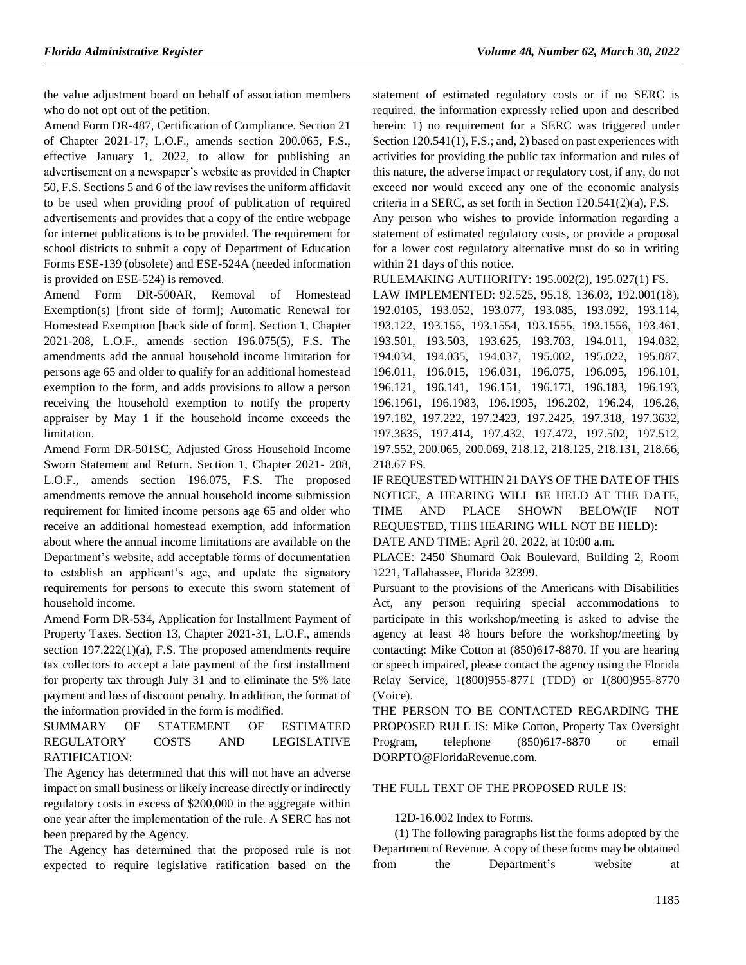the value adjustment board on behalf of association members who do not opt out of the petition.

Amend Form DR-487, Certification of Compliance. Section 21 of Chapter 2021-17, L.O.F., amends section 200.065, F.S., effective January 1, 2022, to allow for publishing an advertisement on a newspaper's website as provided in Chapter 50, F.S. Sections 5 and 6 of the law revises the uniform affidavit to be used when providing proof of publication of required advertisements and provides that a copy of the entire webpage for internet publications is to be provided. The requirement for school districts to submit a copy of Department of Education Forms ESE-139 (obsolete) and ESE-524A (needed information is provided on ESE-524) is removed.

Amend Form DR-500AR, Removal of Homestead Exemption(s) [front side of form]; Automatic Renewal for Homestead Exemption [back side of form]. Section 1, Chapter 2021-208, L.O.F., amends section 196.075(5), F.S. The amendments add the annual household income limitation for persons age 65 and older to qualify for an additional homestead exemption to the form, and adds provisions to allow a person receiving the household exemption to notify the property appraiser by May 1 if the household income exceeds the limitation.

Amend Form DR-501SC, Adjusted Gross Household Income Sworn Statement and Return. Section 1, Chapter 2021- 208, L.O.F., amends section 196.075, F.S. The proposed amendments remove the annual household income submission requirement for limited income persons age 65 and older who receive an additional homestead exemption, add information about where the annual income limitations are available on the Department's website, add acceptable forms of documentation to establish an applicant's age, and update the signatory requirements for persons to execute this sworn statement of household income.

Amend Form DR-534, Application for Installment Payment of Property Taxes. Section 13, Chapter 2021-31, L.O.F., amends section 197.222(1)(a), F.S. The proposed amendments require tax collectors to accept a late payment of the first installment for property tax through July 31 and to eliminate the 5% late payment and loss of discount penalty. In addition, the format of the information provided in the form is modified.

### SUMMARY OF STATEMENT OF ESTIMATED REGULATORY COSTS AND LEGISLATIVE RATIFICATION:

The Agency has determined that this will not have an adverse impact on small business or likely increase directly or indirectly regulatory costs in excess of \$200,000 in the aggregate within one year after the implementation of the rule. A SERC has not been prepared by the Agency.

The Agency has determined that the proposed rule is not expected to require legislative ratification based on the statement of estimated regulatory costs or if no SERC is required, the information expressly relied upon and described herein: 1) no requirement for a SERC was triggered under Section 120.541(1), F.S.; and, 2) based on past experiences with activities for providing the public tax information and rules of this nature, the adverse impact or regulatory cost, if any, do not exceed nor would exceed any one of the economic analysis criteria in a SERC, as set forth in Section 120.541(2)(a), F.S.

Any person who wishes to provide information regarding a statement of estimated regulatory costs, or provide a proposal for a lower cost regulatory alternative must do so in writing within 21 days of this notice.

RULEMAKING AUTHORITY: [195.002\(2\),](https://www.flrules.org/gateway/statute.asp?id=195.002(2)) [195.027\(1\) FS.](https://www.flrules.org/gateway/statute.asp?id=%20195.027(1)%20FS.)

LAW IMPLEMENTED: [92.525,](https://www.flrules.org/gateway/statute.asp?id=92.525) [95.18,](https://www.flrules.org/gateway/statute.asp?id=%2095.18) [136.03,](https://www.flrules.org/gateway/statute.asp?id=%20136.03) [192.001\(18\),](https://www.flrules.org/gateway/statute.asp?id=%20192.001(18)) [192.0105,](https://www.flrules.org/gateway/statute.asp?id=%20192.0105) [193.052,](https://www.flrules.org/gateway/statute.asp?id=%20193.052) [193.077,](https://www.flrules.org/gateway/statute.asp?id=%20193.077) [193.085,](https://www.flrules.org/gateway/statute.asp?id=%20193.085) [193.092,](https://www.flrules.org/gateway/statute.asp?id=%20193.092) [193.114,](https://www.flrules.org/gateway/statute.asp?id=%20193.114) [193.122,](https://www.flrules.org/gateway/statute.asp?id=%20193.122) [193.155,](https://www.flrules.org/gateway/statute.asp?id=%20193.155) [193.1554,](https://www.flrules.org/gateway/statute.asp?id=%20193.1554) [193.1555,](https://www.flrules.org/gateway/statute.asp?id=%20193.1555) [193.1556,](https://www.flrules.org/gateway/statute.asp?id=%20193.1556) [193.461,](https://www.flrules.org/gateway/statute.asp?id=%20193.461) [193.501,](https://www.flrules.org/gateway/statute.asp?id=%20193.501) [193.503,](https://www.flrules.org/gateway/statute.asp?id=%20193.503) [193.625,](https://www.flrules.org/gateway/statute.asp?id=%20193.625) [193.703,](https://www.flrules.org/gateway/statute.asp?id=%20193.703) [194.011,](https://www.flrules.org/gateway/statute.asp?id=%20194.011) [194.032,](https://www.flrules.org/gateway/statute.asp?id=%20194.032) [194.034,](https://www.flrules.org/gateway/statute.asp?id=%20194.034) [194.035,](https://www.flrules.org/gateway/statute.asp?id=%20194.035) [194.037,](https://www.flrules.org/gateway/statute.asp?id=%20194.037) [195.002,](https://www.flrules.org/gateway/statute.asp?id=%20195.002) [195.022,](https://www.flrules.org/gateway/statute.asp?id=%20195.022) [195.087,](https://www.flrules.org/gateway/statute.asp?id=%20195.087) [196.011,](https://www.flrules.org/gateway/statute.asp?id=%20196.011) [196.015,](https://www.flrules.org/gateway/statute.asp?id=%20196.015) [196.031,](https://www.flrules.org/gateway/statute.asp?id=%20196.031) [196.075,](https://www.flrules.org/gateway/statute.asp?id=%20196.075) [196.095,](https://www.flrules.org/gateway/statute.asp?id=%20196.095) [196.101,](https://www.flrules.org/gateway/statute.asp?id=%20196.101) [196.121,](https://www.flrules.org/gateway/statute.asp?id=%20196.121) [196.141,](https://www.flrules.org/gateway/statute.asp?id=%20196.141) [196.151,](https://www.flrules.org/gateway/statute.asp?id=%20196.151) [196.173,](https://www.flrules.org/gateway/statute.asp?id=%20196.173) [196.183,](https://www.flrules.org/gateway/statute.asp?id=%20196.183) [196.193,](https://www.flrules.org/gateway/statute.asp?id=%20196.193) [196.1961,](https://www.flrules.org/gateway/statute.asp?id=%20196.1961) [196.1983,](https://www.flrules.org/gateway/statute.asp?id=%20196.1983) [196.1995,](https://www.flrules.org/gateway/statute.asp?id=%20196.1995) [196.202,](https://www.flrules.org/gateway/statute.asp?id=%20196.202) [196.24,](https://www.flrules.org/gateway/statute.asp?id=%20196.24) [196.26,](https://www.flrules.org/gateway/statute.asp?id=%20196.26) [197.182,](https://www.flrules.org/gateway/statute.asp?id=%20197.182) [197.222,](https://www.flrules.org/gateway/statute.asp?id=%20197.222) [197.2423,](https://www.flrules.org/gateway/statute.asp?id=%20197.2423) [197.2425,](https://www.flrules.org/gateway/statute.asp?id=%20197.2425) [197.318,](https://www.flrules.org/gateway/statute.asp?id=%20197.318) [197.3632,](https://www.flrules.org/gateway/statute.asp?id=%20197.3632) [197.3635,](https://www.flrules.org/gateway/statute.asp?id=%20197.3635) [197.414,](https://www.flrules.org/gateway/statute.asp?id=%20197.414) [197.432,](https://www.flrules.org/gateway/statute.asp?id=%20197.432) [197.472,](https://www.flrules.org/gateway/statute.asp?id=%20197.472) [197.502,](https://www.flrules.org/gateway/statute.asp?id=%20197.502) [197.512,](https://www.flrules.org/gateway/statute.asp?id=%20197.512) [197.552,](https://www.flrules.org/gateway/statute.asp?id=%20197.552) [200.065,](https://www.flrules.org/gateway/statute.asp?id=%20200.065) [200.069,](https://www.flrules.org/gateway/statute.asp?id=%20200.069) [218.12,](https://www.flrules.org/gateway/statute.asp?id=%20218.12) [218.125,](https://www.flrules.org/gateway/statute.asp?id=%20218.125) [218.131,](https://www.flrules.org/gateway/statute.asp?id=%20218.131) [218.66,](https://www.flrules.org/gateway/statute.asp?id=%20218.66) [218.67 FS.](https://www.flrules.org/gateway/statute.asp?id=%20218.67%20FS.)

IF REQUESTED WITHIN 21 DAYS OF THE DATE OF THIS NOTICE, A HEARING WILL BE HELD AT THE DATE, TIME AND PLACE SHOWN BELOW(IF NOT REQUESTED, THIS HEARING WILL NOT BE HELD):

DATE AND TIME: April 20, 2022, at 10:00 a.m.

PLACE: 2450 Shumard Oak Boulevard, Building 2, Room 1221, Tallahassee, Florida 32399.

Pursuant to the provisions of the Americans with Disabilities Act, any person requiring special accommodations to participate in this workshop/meeting is asked to advise the agency at least 48 hours before the workshop/meeting by contacting: Mike Cotton at (850)617-8870. If you are hearing or speech impaired, please contact the agency using the Florida Relay Service, 1(800)955-8771 (TDD) or 1(800)955-8770 (Voice).

THE PERSON TO BE CONTACTED REGARDING THE PROPOSED RULE IS: Mike Cotton, Property Tax Oversight Program, telephone (850)617-8870 or email DORPTO@FloridaRevenue.com.

#### THE FULL TEXT OF THE PROPOSED RULE IS:

#### 12D-16.002 Index to Forms.

(1) The following paragraphs list the forms adopted by the Department of Revenue. A copy of these forms may be obtained from the Department's website at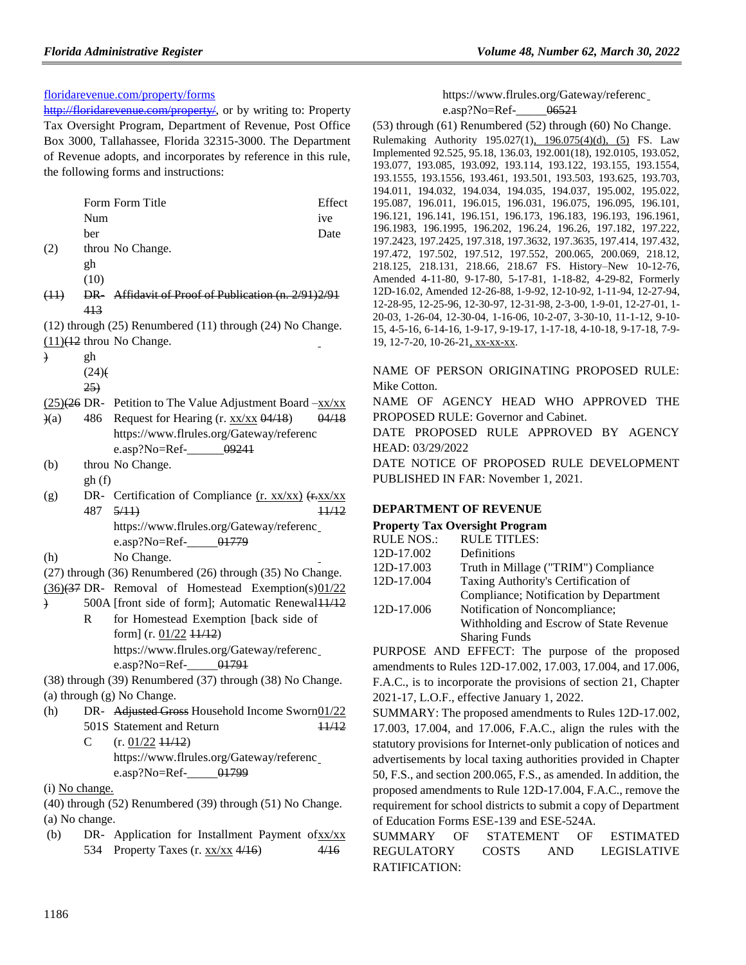## [floridarevenue.com/property/forms](https://floridarevenue.com/property/forms)

[http://floridarevenue.com/property/,](http://floridarevenue.com/property/) or by writing to: Property Tax Oversight Program, Department of Revenue, Post Office Box 3000, Tallahassee, Florida 32315-3000. The Department of Revenue adopts, and incorporates by reference in this rule, the following forms and instructions:

|           |      | Form Form Title                                           | Effect |
|-----------|------|-----------------------------------------------------------|--------|
|           | Num  |                                                           | ive    |
|           | her  |                                                           | Date   |
| (2)       |      | throu No Change.                                          |        |
|           | gh   |                                                           |        |
|           | (10) |                                                           |        |
| (11)      | PR   | Affidavit of Proof of Publication (n. 2/91) 2/91          |        |
|           | 413  |                                                           |        |
|           |      | (12) through (25) Renumbered (11) through (24) No Change. |        |
|           |      | $(11)$ <del><math>(12)</math></del> throu No Change.      |        |
| $\lambda$ | gh   |                                                           |        |
|           | (24) |                                                           |        |
|           | 25.  |                                                           |        |

- $(25)(26)$  DR- Petition to The Value Adjustment Board  $-xx/xx$
- $(a)$ 486 Request for Hearing (r. xx/xx 04/18) 04/18 https://www.flrules.org/Gateway/referenc e.asp?No=Ref- $0.99241$
- (b) throu No Change. gh (f)
- (g) DR- Certification of Compliance  $(r. xx/xx)$   $(+. xx/xx)$ 487 <del>5/11)</del> 11/12 https://www.flrules.org/Gateway/referenc e.asp?No=Ref- $01779$
- (h) No Change.
- (27) through (36) Renumbered (26) through (35) No Change.
- $(36)(37)$  DR- Removal of Homestead Exemption(s) $01/22$
- ) 500A [front side of form]; Automatic Renewal11/12 R for Homestead Exemption [back side of form]  $(r. 01/22 +1/12)$ https://www.flrules.org/Gateway/referenc e.asp?No=Ref- $01791$

(38) through (39) Renumbered (37) through (38) No Change. (a) through (g) No Change.

- (h) DR- Adjusted Gross Household Income Sworn01/22 501S Statement and Return 11/12
	- $\mathcal{C}$  $(r. 01/22 +1/12)$ https://www.flrules.org/Gateway/referenc e.asp?No=Ref- $01799$
- (i) No change.

(40) through (52) Renumbered (39) through (51) No Change. (a) No change.

(b) DR- Application for Installment Payment of $xx/xx$ 534 Property Taxes (r. xx/xx 4/16) 4/16

https://www.flrules.org/Gateway/referenc e.asp?No=Ref- $06521$ 

(53) through (61) Renumbered (52) through (60) No Change. Rulemaking Authority 195.027(1), 196.075(4)(d), (5) FS. Law Implemented 92.525, 95.18, 136.03, 192.001(18), 192.0105, 193.052, 193.077, 193.085, 193.092, 193.114, 193.122, 193.155, 193.1554, 193.1555, 193.1556, 193.461, 193.501, 193.503, 193.625, 193.703, 194.011, 194.032, 194.034, 194.035, 194.037, 195.002, 195.022, 195.087, 196.011, 196.015, 196.031, 196.075, 196.095, 196.101, 196.121, 196.141, 196.151, 196.173, 196.183, 196.193, 196.1961, 196.1983, 196.1995, 196.202, 196.24, 196.26, 197.182, 197.222, 197.2423, 197.2425, 197.318, 197.3632, 197.3635, 197.414, 197.432, 197.472, 197.502, 197.512, 197.552, 200.065, 200.069, 218.12, 218.125, 218.131, 218.66, 218.67 FS. History–New 10-12-76, Amended 4-11-80, 9-17-80, 5-17-81, 1-18-82, 4-29-82, Formerly 12D-16.02, Amended 12-26-88, 1-9-92, 12-10-92, 1-11-94, 12-27-94, 12-28-95, 12-25-96, 12-30-97, 12-31-98, 2-3-00, 1-9-01, 12-27-01, 1- 20-03, 1-26-04, 12-30-04, 1-16-06, 10-2-07, 3-30-10, 11-1-12, 9-10- 15, 4-5-16, 6-14-16, 1-9-17, 9-19-17, 1-17-18, 4-10-18, 9-17-18, 7-9- 19, 12-7-20, 10-26-21, xx-xx-xx.

NAME OF PERSON ORIGINATING PROPOSED RULE: Mike Cotton.

NAME OF AGENCY HEAD WHO APPROVED THE PROPOSED RULE: Governor and Cabinet.

DATE PROPOSED RULE APPROVED BY AGENCY HEAD: 03/29/2022

DATE NOTICE OF PROPOSED RULE DEVELOPMENT PUBLISHED IN FAR: November 1, 2021.

## **[DEPARTMENT OF REVENUE](https://www.flrules.org/gateway/department.asp?id=12)**

#### **[Property Tax Oversight Program](https://www.flrules.org/gateway/organization.asp?id=36)**

| <b>RULE NOS.:</b> | <b>RULE TITLES:</b>                     |
|-------------------|-----------------------------------------|
| 12D-17.002        | Definitions                             |
| 12D-17.003        | Truth in Millage ("TRIM") Compliance    |
| 12D-17.004        | Taxing Authority's Certification of     |
|                   | Compliance; Notification by Department  |
| 12D-17.006        | Notification of Noncompliance;          |
|                   | Withholding and Escrow of State Revenue |
|                   | <b>Sharing Funds</b>                    |
|                   |                                         |

PURPOSE AND EFFECT: The purpose of the proposed amendments to Rules 12D-17.002, 17.003, 17.004, and 17.006, F.A.C., is to incorporate the provisions of section 21, Chapter 2021-17, L.O.F., effective January 1, 2022.

SUMMARY: The proposed amendments to Rules 12D-17.002, 17.003, 17.004, and 17.006, F.A.C., align the rules with the statutory provisions for Internet-only publication of notices and advertisements by local taxing authorities provided in Chapter 50, F.S., and section 200.065, F.S., as amended. In addition, the proposed amendments to Rule 12D-17.004, F.A.C., remove the requirement for school districts to submit a copy of Department of Education Forms ESE-139 and ESE-524A.

SUMMARY OF STATEMENT OF ESTIMATED REGULATORY COSTS AND LEGISLATIVE RATIFICATION: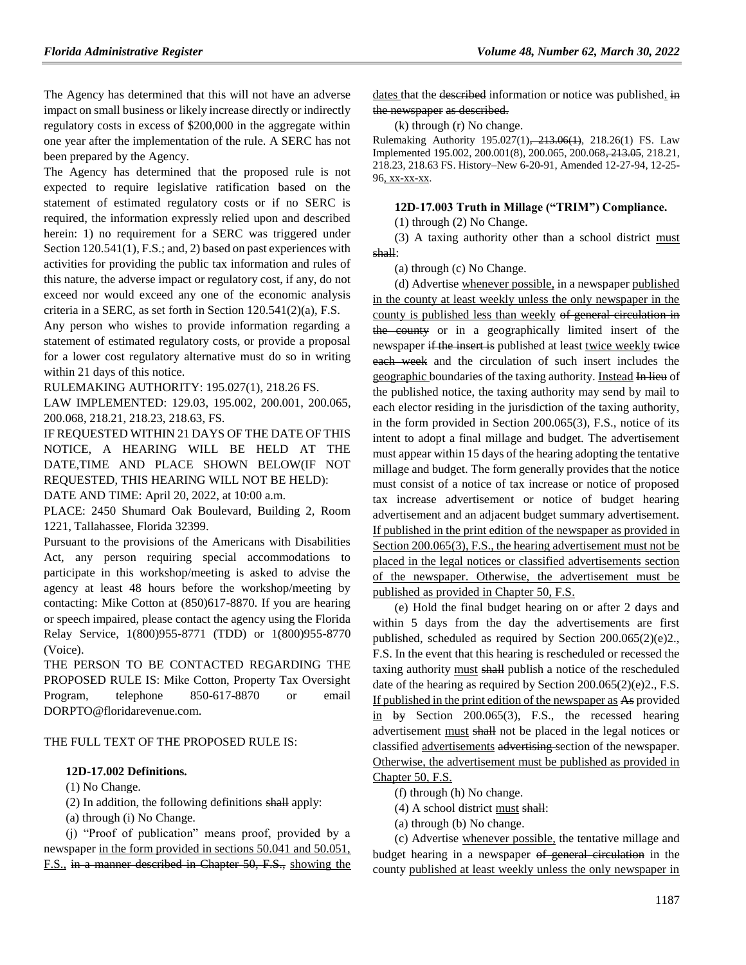The Agency has determined that this will not have an adverse impact on small business or likely increase directly or indirectly regulatory costs in excess of \$200,000 in the aggregate within one year after the implementation of the rule. A SERC has not been prepared by the Agency.

The Agency has determined that the proposed rule is not expected to require legislative ratification based on the statement of estimated regulatory costs or if no SERC is required, the information expressly relied upon and described herein: 1) no requirement for a SERC was triggered under Section 120.541(1), F.S.; and, 2) based on past experiences with activities for providing the public tax information and rules of this nature, the adverse impact or regulatory cost, if any, do not exceed nor would exceed any one of the economic analysis criteria in a SERC, as set forth in Section 120.541(2)(a), F.S.

Any person who wishes to provide information regarding a statement of estimated regulatory costs, or provide a proposal for a lower cost regulatory alternative must do so in writing within 21 days of this notice.

RULEMAKING AUTHORITY: [195.027\(1\),](https://www.flrules.org/gateway/statute.asp?id=195.027(1)) [218.26 FS.](https://www.flrules.org/gateway/statute.asp?id=%20218.26%20FS.)

LAW IMPLEMENTED: [129.03,](https://www.flrules.org/gateway/statute.asp?id=129.03) [195.002,](https://www.flrules.org/gateway/statute.asp?id=%20195.002) [200.001,](https://www.flrules.org/gateway/statute.asp?id=%20200.001) [200.065,](https://www.flrules.org/gateway/statute.asp?id=%20200.065) [200.068,](https://www.flrules.org/gateway/statute.asp?id=%20200.068) [218.21,](https://www.flrules.org/gateway/statute.asp?id=%20218.21) [218.23,](https://www.flrules.org/gateway/statute.asp?id=%20218.23) [218.63,](https://www.flrules.org/gateway/statute.asp?id=%20218.63) FS.

IF REQUESTED WITHIN 21 DAYS OF THE DATE OF THIS NOTICE, A HEARING WILL BE HELD AT THE DATE,TIME AND PLACE SHOWN BELOW(IF NOT REQUESTED, THIS HEARING WILL NOT BE HELD): DATE AND TIME: April 20, 2022, at 10:00 a.m.

PLACE: 2450 Shumard Oak Boulevard, Building 2, Room 1221, Tallahassee, Florida 32399.

Pursuant to the provisions of the Americans with Disabilities Act, any person requiring special accommodations to participate in this workshop/meeting is asked to advise the agency at least 48 hours before the workshop/meeting by contacting: Mike Cotton at (850)617-8870. If you are hearing or speech impaired, please contact the agency using the Florida Relay Service, 1(800)955-8771 (TDD) or 1(800)955-8770 (Voice).

THE PERSON TO BE CONTACTED REGARDING THE PROPOSED RULE IS: Mike Cotton, Property Tax Oversight Program, telephone 850-617-8870 or email DORPTO@floridarevenue.com.

#### THE FULL TEXT OF THE PROPOSED RULE IS:

#### **12D-17.002 Definitions.**

(1) No Change.

(2) In addition, the following definitions shall apply:

(a) through (i) No Change.

(j) "Proof of publication" means proof, provided by a newspaper in the form provided in sections 50.041 and 50.051, F.S., in a manner described in Chapter 50, F.S., showing the dates that the described information or notice was published. in the newspaper as described.

(k) through (r) No change.

Rulemaking Authority 195.027(1), 213.06(1), 218.26(1) FS. Law Implemented 195.002, 200.001(8), 200.065, 200.068, 213.05, 218.21, 218.23, 218.63 FS. History–New 6-20-91, Amended 12-27-94, 12-25- 96, xx-xx-xx.

#### **12D-17.003 Truth in Millage ("TRIM") Compliance.**

(1) through (2) No Change.

(3) A taxing authority other than a school district must shall:

(a) through (c) No Change.

(d) Advertise whenever possible, in a newspaper published in the county at least weekly unless the only newspaper in the county is published less than weekly of general circulation in the county or in a geographically limited insert of the newspaper if the insert is published at least twice weekly twice each week and the circulation of such insert includes the geographic boundaries of the taxing authority. Instead In lieu of the published notice, the taxing authority may send by mail to each elector residing in the jurisdiction of the taxing authority, in the form provided in Section 200.065(3), F.S., notice of its intent to adopt a final millage and budget. The advertisement must appear within 15 days of the hearing adopting the tentative millage and budget. The form generally provides that the notice must consist of a notice of tax increase or notice of proposed tax increase advertisement or notice of budget hearing advertisement and an adjacent budget summary advertisement. If published in the print edition of the newspaper as provided in Section 200.065(3), F.S., the hearing advertisement must not be placed in the legal notices or classified advertisements section of the newspaper. Otherwise, the advertisement must be published as provided in Chapter 50, F.S.

(e) Hold the final budget hearing on or after 2 days and within 5 days from the day the advertisements are first published, scheduled as required by Section 200.065(2)(e)2., F.S. In the event that this hearing is rescheduled or recessed the taxing authority must shall publish a notice of the rescheduled date of the hearing as required by Section 200.065(2)(e)2., F.S. If published in the print edition of the newspaper as As provided  $\frac{\text{in}}{\text{by}}$  Section 200.065(3), F.S., the recessed hearing advertisement must shall not be placed in the legal notices or classified advertisements advertising section of the newspaper. Otherwise, the advertisement must be published as provided in Chapter 50, F.S.

(f) through (h) No change.

(4) A school district must shall:

(a) through (b) No change.

(c) Advertise whenever possible, the tentative millage and budget hearing in a newspaper of general circulation in the county published at least weekly unless the only newspaper in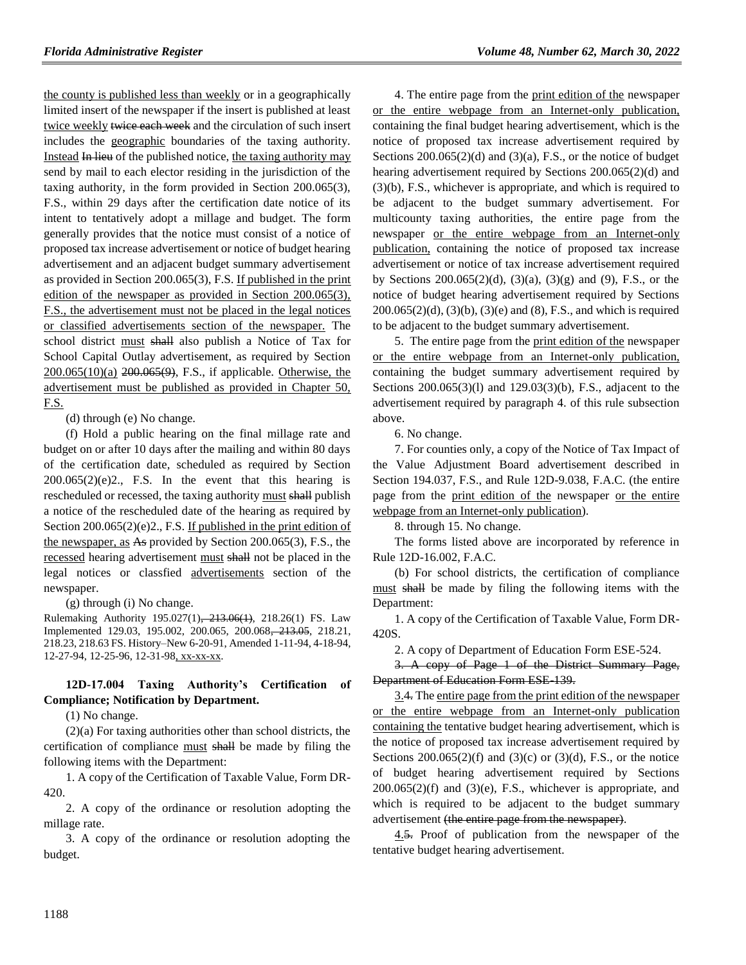the county is published less than weekly or in a geographically limited insert of the newspaper if the insert is published at least twice weekly twice each week and the circulation of such insert includes the geographic boundaries of the taxing authority. Instead In lieu of the published notice, the taxing authority may send by mail to each elector residing in the jurisdiction of the taxing authority, in the form provided in Section 200.065(3), F.S., within 29 days after the certification date notice of its intent to tentatively adopt a millage and budget. The form generally provides that the notice must consist of a notice of proposed tax increase advertisement or notice of budget hearing advertisement and an adjacent budget summary advertisement as provided in Section 200.065(3), F.S. If published in the print edition of the newspaper as provided in Section 200.065(3), F.S., the advertisement must not be placed in the legal notices or classified advertisements section of the newspaper. The school district must shall also publish a Notice of Tax for School Capital Outlay advertisement, as required by Section  $200.065(10)$ (a)  $200.065(9)$ , F.S., if applicable. Otherwise, the advertisement must be published as provided in Chapter 50, F.S.

(d) through (e) No change.

(f) Hold a public hearing on the final millage rate and budget on or after 10 days after the mailing and within 80 days of the certification date, scheduled as required by Section  $200.065(2)(e)2$ ., F.S. In the event that this hearing is rescheduled or recessed, the taxing authority must shall publish a notice of the rescheduled date of the hearing as required by Section 200.065(2)(e)2., F.S. If published in the print edition of the newspaper, as As provided by Section 200.065(3), F.S., the recessed hearing advertisement must shall not be placed in the legal notices or classfied advertisements section of the newspaper.

(g) through (i) No change.

Rulemaking Authority 195.027(1), 213.06(1), 218.26(1) FS. Law Implemented 129.03, 195.002, 200.065, 200.068, 213.05, 218.21, 218.23, 218.63 FS. History–New 6-20-91, Amended 1-11-94, 4-18-94, 12-27-94, 12-25-96, 12-31-98, xx-xx-xx.

## **12D-17.004 Taxing Authority's Certification of Compliance; Notification by Department.**

(1) No change.

(2)(a) For taxing authorities other than school districts, the certification of compliance must shall be made by filing the following items with the Department:

1. A copy of the Certification of Taxable Value, Form DR-420.

2. A copy of the ordinance or resolution adopting the millage rate.

3. A copy of the ordinance or resolution adopting the budget.

4. The entire page from the print edition of the newspaper or the entire webpage from an Internet-only publication, containing the final budget hearing advertisement, which is the notice of proposed tax increase advertisement required by Sections  $200.065(2)(d)$  and  $(3)(a)$ , F.S., or the notice of budget hearing advertisement required by Sections 200.065(2)(d) and (3)(b), F.S., whichever is appropriate, and which is required to be adjacent to the budget summary advertisement. For multicounty taxing authorities, the entire page from the newspaper or the entire webpage from an Internet-only publication, containing the notice of proposed tax increase advertisement or notice of tax increase advertisement required by Sections 200.065(2)(d), (3)(a), (3)(g) and (9), F.S., or the notice of budget hearing advertisement required by Sections  $200.065(2)(d)$ ,  $(3)(b)$ ,  $(3)(e)$  and  $(8)$ , F.S., and which is required to be adjacent to the budget summary advertisement.

5. The entire page from the print edition of the newspaper or the entire webpage from an Internet-only publication, containing the budget summary advertisement required by Sections 200.065(3)(l) and 129.03(3)(b), F.S., adjacent to the advertisement required by paragraph 4. of this rule subsection above.

6. No change.

7. For counties only, a copy of the Notice of Tax Impact of the Value Adjustment Board advertisement described in Section 194.037, F.S., and Rule 12D-9.038, F.A.C. (the entire page from the print edition of the newspaper or the entire webpage from an Internet-only publication).

8. through 15. No change.

The forms listed above are incorporated by reference in Rule 12D-16.002, F.A.C.

(b) For school districts, the certification of compliance must shall be made by filing the following items with the Department:

1. A copy of the Certification of Taxable Value, Form DR-420S.

2. A copy of Department of Education Form ESE-524.

3. A copy of Page 1 of the District Summary Page, Department of Education Form ESE-139.

3.4. The entire page from the print edition of the newspaper or the entire webpage from an Internet-only publication containing the tentative budget hearing advertisement, which is the notice of proposed tax increase advertisement required by Sections  $200.065(2)(f)$  and  $(3)(c)$  or  $(3)(d)$ , F.S., or the notice of budget hearing advertisement required by Sections  $200.065(2)(f)$  and  $(3)(e)$ , F.S., whichever is appropriate, and which is required to be adjacent to the budget summary advertisement (the entire page from the newspaper).

4.5. Proof of publication from the newspaper of the tentative budget hearing advertisement.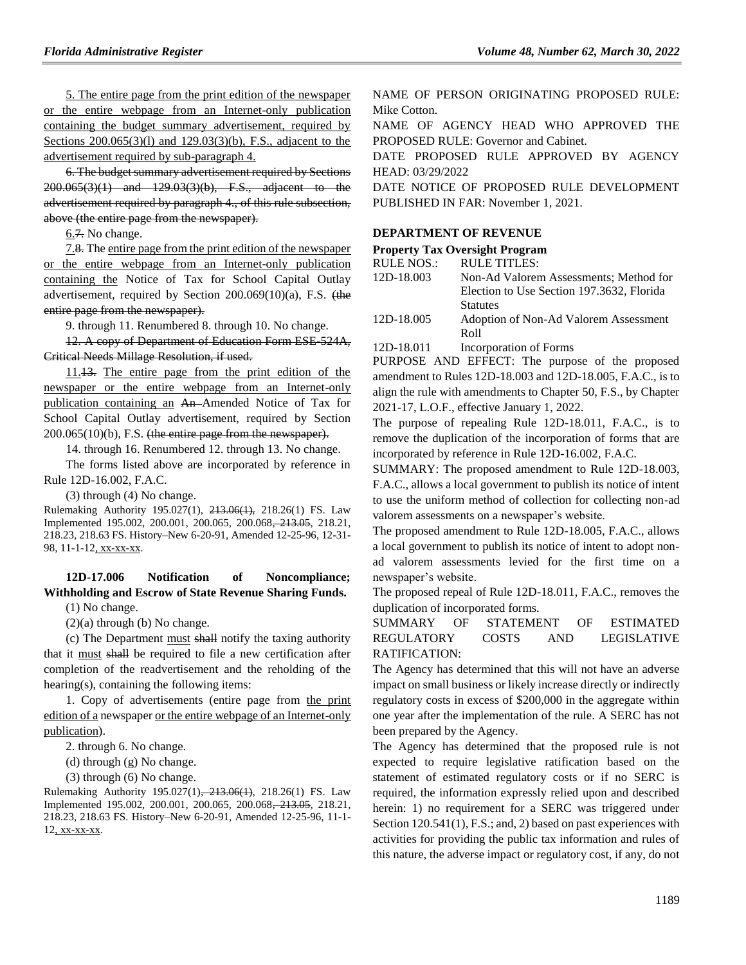5. The entire page from the print edition of the newspaper or the entire webpage from an Internet-only publication containing the budget summary advertisement, required by Sections 200.065(3)(l) and 129.03(3)(b), F.S., adjacent to the advertisement required by sub-paragraph 4.

6. The budget summary advertisement required by Sections 200.065(3)(1) and 129.03(3)(b), F.S., adjacent to the advertisement required by paragraph 4., of this rule subsection, above (the entire page from the newspaper).

6.7. No change.

7.8. The entire page from the print edition of the newspaper or the entire webpage from an Internet-only publication containing the Notice of Tax for School Capital Outlay advertisement, required by Section 200.069(10)(a), F.S. (the entire page from the newspaper).

9. through 11. Renumbered 8. through 10. No change.

12. A copy of Department of Education Form ESE-524A, Critical Needs Millage Resolution, if used.

11.13. The entire page from the print edition of the newspaper or the entire webpage from an Internet-only publication containing an An Amended Notice of Tax for School Capital Outlay advertisement, required by Section  $200.065(10)(b)$ , F.S. (the entire page from the newspaper).

14. through 16. Renumbered 12. through 13. No change.

The forms listed above are incorporated by reference in Rule 12D-16.002, F.A.C.

(3) through (4) No change.

Rulemaking Authority 195.027(1), 213.06(1), 218.26(1) FS. Law Implemented 195.002, 200.001, 200.065, 200.068, 213.05, 218.21, 218.23, 218.63 FS. History–New 6-20-91, Amended 12-25-96, 12-31- 98, 11-1-12, xx-xx-xx.

## **12D-17.006 Notification of Noncompliance; Withholding and Escrow of State Revenue Sharing Funds.**

(1) No change.

(2)(a) through (b) No change.

(c) The Department must shall notify the taxing authority that it must shall be required to file a new certification after completion of the readvertisement and the reholding of the hearing(s), containing the following items:

1. Copy of advertisements (entire page from the print edition of a newspaper or the entire webpage of an Internet-only publication).

2. through 6. No change.

(d) through (g) No change.

(3) through (6) No change.

Rulemaking Authority 195.027(1), 213.06(1), 218.26(1) FS. Law Implemented 195.002, 200.001, 200.065, 200.068, 213.05, 218.21, 218.23, 218.63 FS. History–New 6-20-91, Amended 12-25-96, 11-1- 12, xx-xx-xx.

NAME OF PERSON ORIGINATING PROPOSED RULE: Mike Cotton.

NAME OF AGENCY HEAD WHO APPROVED THE PROPOSED RULE: Governor and Cabinet.

DATE PROPOSED RULE APPROVED BY AGENCY HEAD: 03/29/2022

DATE NOTICE OF PROPOSED RULE DEVELOPMENT PUBLISHED IN FAR: November 1, 2021.

#### **[DEPARTMENT OF REVENUE](https://www.flrules.org/gateway/department.asp?id=12)**

#### **[Property Tax Oversight Program](https://www.flrules.org/gateway/organization.asp?id=36)**

| RULE NOS.: | <b>RULE TITLES:</b>                       |
|------------|-------------------------------------------|
| 12D-18.003 | Non-Ad Valorem Assessments: Method for    |
|            | Election to Use Section 197.3632, Florida |
|            | <b>Statutes</b>                           |
| 12D-18.005 | Adoption of Non-Ad Valorem Assessment     |
|            | Roll                                      |

[12D-18.011](https://www.flrules.org/gateway/ruleNo.asp?id=12D-18.011) Incorporation of Forms

PURPOSE AND EFFECT: The purpose of the proposed amendment to Rules 12D-18.003 and 12D-18.005, F.A.C., is to align the rule with amendments to Chapter 50, F.S., by Chapter 2021-17, L.O.F., effective January 1, 2022.

The purpose of repealing Rule 12D-18.011, F.A.C., is to remove the duplication of the incorporation of forms that are incorporated by reference in Rule 12D-16.002, F.A.C.

SUMMARY: The proposed amendment to Rule 12D-18.003, F.A.C., allows a local government to publish its notice of intent to use the uniform method of collection for collecting non-ad valorem assessments on a newspaper's website.

The proposed amendment to Rule 12D-18.005, F.A.C., allows a local government to publish its notice of intent to adopt nonad valorem assessments levied for the first time on a newspaper's website.

The proposed repeal of Rule 12D-18.011, F.A.C., removes the duplication of incorporated forms.

## SUMMARY OF STATEMENT OF ESTIMATED REGULATORY COSTS AND LEGISLATIVE RATIFICATION:

The Agency has determined that this will not have an adverse impact on small business or likely increase directly or indirectly regulatory costs in excess of \$200,000 in the aggregate within one year after the implementation of the rule. A SERC has not been prepared by the Agency.

The Agency has determined that the proposed rule is not expected to require legislative ratification based on the statement of estimated regulatory costs or if no SERC is required, the information expressly relied upon and described herein: 1) no requirement for a SERC was triggered under Section 120.541(1), F.S.; and, 2) based on past experiences with activities for providing the public tax information and rules of this nature, the adverse impact or regulatory cost, if any, do not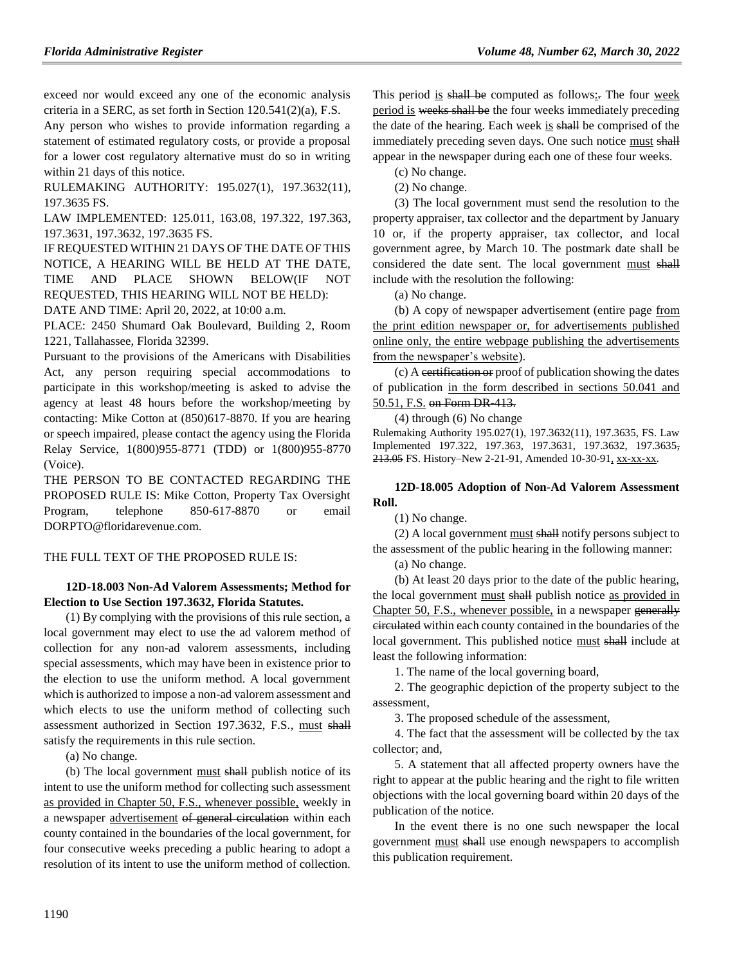exceed nor would exceed any one of the economic analysis criteria in a SERC, as set forth in Section 120.541(2)(a), F.S.

Any person who wishes to provide information regarding a statement of estimated regulatory costs, or provide a proposal for a lower cost regulatory alternative must do so in writing within 21 days of this notice.

RULEMAKING AUTHORITY: [195.027\(1\),](https://www.flrules.org/gateway/statute.asp?id=195.027(1)) [197.3632\(11\),](https://www.flrules.org/gateway/statute.asp?id=%20197.3632(11)) [197.3635 FS.](https://www.flrules.org/gateway/statute.asp?id=%20197.3635%20FS.)

LAW IMPLEMENTED: [125.011,](https://www.flrules.org/gateway/statute.asp?id=125.011) [163.08,](https://www.flrules.org/gateway/statute.asp?id=%20163.08) [197.322,](https://www.flrules.org/gateway/statute.asp?id=%20197.322) [197.363,](https://www.flrules.org/gateway/statute.asp?id=%20197.363) [197.3631,](https://www.flrules.org/gateway/statute.asp?id=%20197.3631) [197.3632,](https://www.flrules.org/gateway/statute.asp?id=%20197.3632) [197.3635 FS.](https://www.flrules.org/gateway/statute.asp?id=%20197.3635%20FS.)

IF REQUESTED WITHIN 21 DAYS OF THE DATE OF THIS NOTICE, A HEARING WILL BE HELD AT THE DATE, TIME AND PLACE SHOWN BELOW(IF NOT REQUESTED, THIS HEARING WILL NOT BE HELD):

DATE AND TIME: April 20, 2022, at 10:00 a.m.

PLACE: 2450 Shumard Oak Boulevard, Building 2, Room 1221, Tallahassee, Florida 32399.

Pursuant to the provisions of the Americans with Disabilities Act, any person requiring special accommodations to participate in this workshop/meeting is asked to advise the agency at least 48 hours before the workshop/meeting by contacting: Mike Cotton at (850)617-8870. If you are hearing or speech impaired, please contact the agency using the Florida Relay Service, 1(800)955-8771 (TDD) or 1(800)955-8770 (Voice).

THE PERSON TO BE CONTACTED REGARDING THE PROPOSED RULE IS: Mike Cotton, Property Tax Oversight Program, telephone 850-617-8870 or email DORPTO@floridarevenue.com.

#### THE FULL TEXT OF THE PROPOSED RULE IS:

#### **12D-18.003 Non-Ad Valorem Assessments; Method for Election to Use Section 197.3632, Florida Statutes.**

(1) By complying with the provisions of this rule section, a local government may elect to use the ad valorem method of collection for any non-ad valorem assessments, including special assessments, which may have been in existence prior to the election to use the uniform method. A local government which is authorized to impose a non-ad valorem assessment and which elects to use the uniform method of collecting such assessment authorized in Section 197.3632, F.S., must shall satisfy the requirements in this rule section.

(a) No change.

(b) The local government must shall publish notice of its intent to use the uniform method for collecting such assessment as provided in Chapter 50, F.S., whenever possible, weekly in a newspaper advertisement of general circulation within each county contained in the boundaries of the local government, for four consecutive weeks preceding a public hearing to adopt a resolution of its intent to use the uniform method of collection.

This period is shall be computed as follows: The four week period is weeks shall be the four weeks immediately preceding the date of the hearing. Each week is shall be comprised of the immediately preceding seven days. One such notice must shall appear in the newspaper during each one of these four weeks.

(c) No change.

(2) No change.

(3) The local government must send the resolution to the property appraiser, tax collector and the department by January 10 or, if the property appraiser, tax collector, and local government agree, by March 10. The postmark date shall be considered the date sent. The local government must shall include with the resolution the following:

(a) No change.

(b) A copy of newspaper advertisement (entire page from the print edition newspaper or, for advertisements published online only, the entire webpage publishing the advertisements from the newspaper's website).

(c) A certification or proof of publication showing the dates of publication in the form described in sections 50.041 and 50.51, F.S. on Form DR 413.

#### (4) through (6) No change

Rulemaking Authority 195.027(1), 197.3632(11), 197.3635, FS. Law Implemented 197.322, 197.363, 197.3631, 197.3632, 197.3635, 213.05 FS. History–New 2-21-91, Amended 10-30-91, xx-xx-xx.

#### **12D-18.005 Adoption of Non-Ad Valorem Assessment Roll.**

(1) No change.

(2) A local government must shall notify persons subject to the assessment of the public hearing in the following manner:

(a) No change.

(b) At least 20 days prior to the date of the public hearing, the local government must shall publish notice as provided in Chapter 50, F.S., whenever possible, in a newspaper generally circulated within each county contained in the boundaries of the local government. This published notice must shall include at least the following information:

1. The name of the local governing board,

2. The geographic depiction of the property subject to the assessment,

3. The proposed schedule of the assessment,

4. The fact that the assessment will be collected by the tax collector; and,

5. A statement that all affected property owners have the right to appear at the public hearing and the right to file written objections with the local governing board within 20 days of the publication of the notice.

In the event there is no one such newspaper the local government must shall use enough newspapers to accomplish this publication requirement.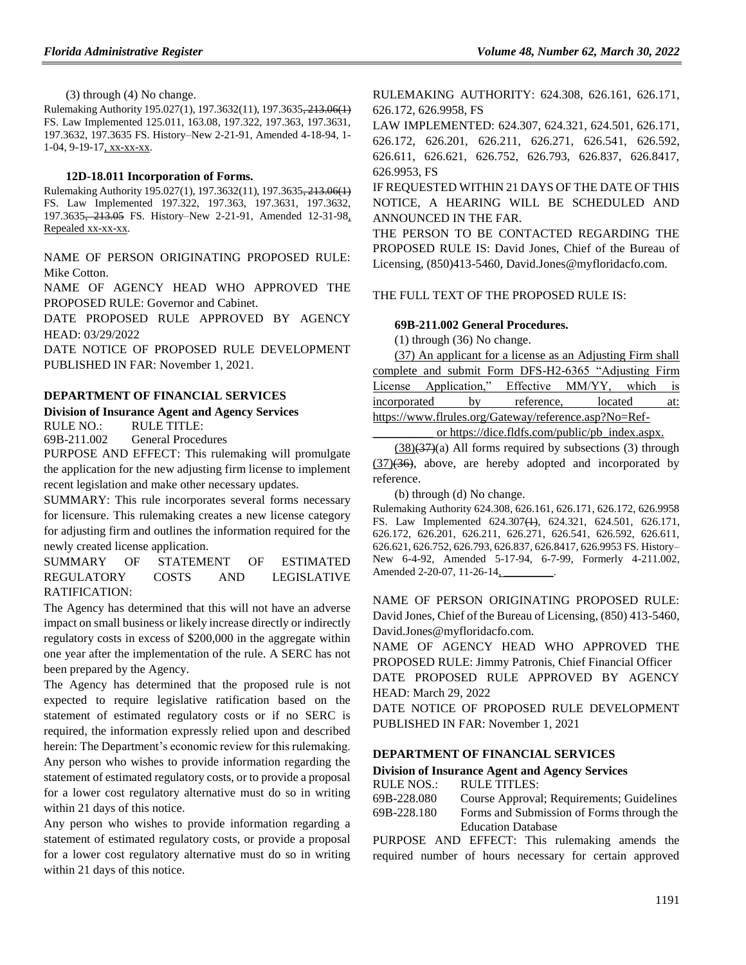(3) through (4) No change.

Rulemaking Authority 195.027(1), 197.3632(11), 197.3635, 213.06(1) FS. Law Implemented 125.011, 163.08, 197.322, 197.363, 197.3631, 197.3632, 197.3635 FS. History–New 2-21-91, Amended 4-18-94, 1- 1-04, 9-19-17, xx-xx-xx.

#### **12D-18.011 Incorporation of Forms.**

Rulemaking Authority 195.027(1), 197.3632(11), 197.3635, 213.06(1) FS. Law Implemented 197.322, 197.363, 197.3631, 197.3632, 197.3635, 213.05 FS. History–New 2-21-91, Amended 12-31-98, Repealed xx-xx-xx.

NAME OF PERSON ORIGINATING PROPOSED RULE: Mike Cotton.

NAME OF AGENCY HEAD WHO APPROVED THE PROPOSED RULE: Governor and Cabinet.

DATE PROPOSED RULE APPROVED BY AGENCY HEAD: 03/29/2022

DATE NOTICE OF PROPOSED RULE DEVELOPMENT PUBLISHED IN FAR: November 1, 2021.

#### **[DEPARTMENT OF FINANCIAL SERVICES](https://www.flrules.org/gateway/department.asp?id=69)**

#### **[Division of Insurance Agent and Agency Services](https://www.flrules.org/gateway/organization.asp?id=360)**

RULE NO.: RULE TITLE:

[69B-211.002](https://www.flrules.org/gateway/ruleNo.asp?id=69B-211.002) General Procedures

PURPOSE AND EFFECT: This rulemaking will promulgate the application for the new adjusting firm license to implement recent legislation and make other necessary updates.

SUMMARY: This rule incorporates several forms necessary for licensure. This rulemaking creates a new license category for adjusting firm and outlines the information required for the newly created license application.

SUMMARY OF STATEMENT OF ESTIMATED REGULATORY COSTS AND LEGISLATIVE RATIFICATION:

The Agency has determined that this will not have an adverse impact on small business or likely increase directly or indirectly regulatory costs in excess of \$200,000 in the aggregate within one year after the implementation of the rule. A SERC has not been prepared by the Agency.

The Agency has determined that the proposed rule is not expected to require legislative ratification based on the statement of estimated regulatory costs or if no SERC is required, the information expressly relied upon and described herein: The Department's economic review for this rulemaking. Any person who wishes to provide information regarding the statement of estimated regulatory costs, or to provide a proposal for a lower cost regulatory alternative must do so in writing within 21 days of this notice.

Any person who wishes to provide information regarding a statement of estimated regulatory costs, or provide a proposal for a lower cost regulatory alternative must do so in writing within 21 days of this notice.

RULEMAKING AUTHORITY: [624.308, 626.161, 626.171,](https://www.flrules.org/gateway/cfr.asp?id=624.308,%20626.161,%20626.171,%20626.172,%20626.9958,%20FS)  [626.172, 626.9958, FS](https://www.flrules.org/gateway/cfr.asp?id=624.308,%20626.161,%20626.171,%20626.172,%20626.9958,%20FS)

LAW IMPLEMENTED: [624.307, 624.321, 624.501, 626.171,](https://www.flrules.org/gateway/cfr.asp?id=624.307,%20624.321,%20624.501,%20626.171,%20626.172,%20626.201,%20626.211,%20626.271,%20626.541,%20626.592,%20626.611,%20626.621,%20626.752,%20626.793,%20626.837,%20626.8417,%20626.9953,%20FS)  [626.172, 626.201, 626.211, 626.271, 626.541, 626.592,](https://www.flrules.org/gateway/cfr.asp?id=624.307,%20624.321,%20624.501,%20626.171,%20626.172,%20626.201,%20626.211,%20626.271,%20626.541,%20626.592,%20626.611,%20626.621,%20626.752,%20626.793,%20626.837,%20626.8417,%20626.9953,%20FS)  [626.611, 626.621, 626.752, 626.793, 626.837, 626.8417,](https://www.flrules.org/gateway/cfr.asp?id=624.307,%20624.321,%20624.501,%20626.171,%20626.172,%20626.201,%20626.211,%20626.271,%20626.541,%20626.592,%20626.611,%20626.621,%20626.752,%20626.793,%20626.837,%20626.8417,%20626.9953,%20FS)  [626.9953, FS](https://www.flrules.org/gateway/cfr.asp?id=624.307,%20624.321,%20624.501,%20626.171,%20626.172,%20626.201,%20626.211,%20626.271,%20626.541,%20626.592,%20626.611,%20626.621,%20626.752,%20626.793,%20626.837,%20626.8417,%20626.9953,%20FS)

IF REQUESTED WITHIN 21 DAYS OF THE DATE OF THIS NOTICE, A HEARING WILL BE SCHEDULED AND ANNOUNCED IN THE FAR.

THE PERSON TO BE CONTACTED REGARDING THE PROPOSED RULE IS: David Jones, Chief of the Bureau of Licensing, (850)413-5460, David.Jones@myfloridacfo.com.

#### THE FULL TEXT OF THE PROPOSED RULE IS:

#### **69B-211.002 General Procedures.**

(1) through (36) No change.

(37) An applicant for a license as an Adjusting Firm shall complete and submit Form DFS-H2-6365 "Adjusting Firm License Application," Effective MM/YY, which is incorporated by reference, located at: https://www.flrules.org/Gateway/reference.asp?No=Ref-

or https://dice.fldfs.com/public/pb\_index.aspx.

 $(38)(37)(a)$  All forms required by subsections (3) through  $(37)(36)$ , above, are hereby adopted and incorporated by reference.

(b) through (d) No change.

Rulemaking Authority 624.308, 626.161, 626.171, 626.172, 626.9958 FS. Law Implemented 624.307(1), 624.321, 624.501, 626.171, 626.172, 626.201, 626.211, 626.271, 626.541, 626.592, 626.611, 626.621, 626.752, 626.793, 626.837, 626.8417, 626.9953 FS. History– New 6-4-92, Amended 5-17-94, 6-7-99, Formerly 4-211.002, Amended 2-20-07, 11-26-14,

NAME OF PERSON ORIGINATING PROPOSED RULE: David Jones, Chief of the Bureau of Licensing, (850) 413-5460, David.Jones@myfloridacfo.com.

NAME OF AGENCY HEAD WHO APPROVED THE PROPOSED RULE: Jimmy Patronis, Chief Financial Officer DATE PROPOSED RULE APPROVED BY AGENCY HEAD: March 29, 2022

DATE NOTICE OF PROPOSED RULE DEVELOPMENT PUBLISHED IN FAR: November 1, 2021

#### **[DEPARTMENT OF FINANCIAL SERVICES](https://www.flrules.org/gateway/department.asp?id=69)**

#### **[Division of Insurance Agent and Agency Services](https://www.flrules.org/gateway/organization.asp?id=360)**

| RULE NOS.:  | RULE TITLES:                              |
|-------------|-------------------------------------------|
| 69B-228.080 | Course Approval; Requirements; Guidelines |
| 69B-228.180 | Forms and Submission of Forms through the |
|             | <b>Education Database</b>                 |

PURPOSE AND EFFECT: This rulemaking amends the required number of hours necessary for certain approved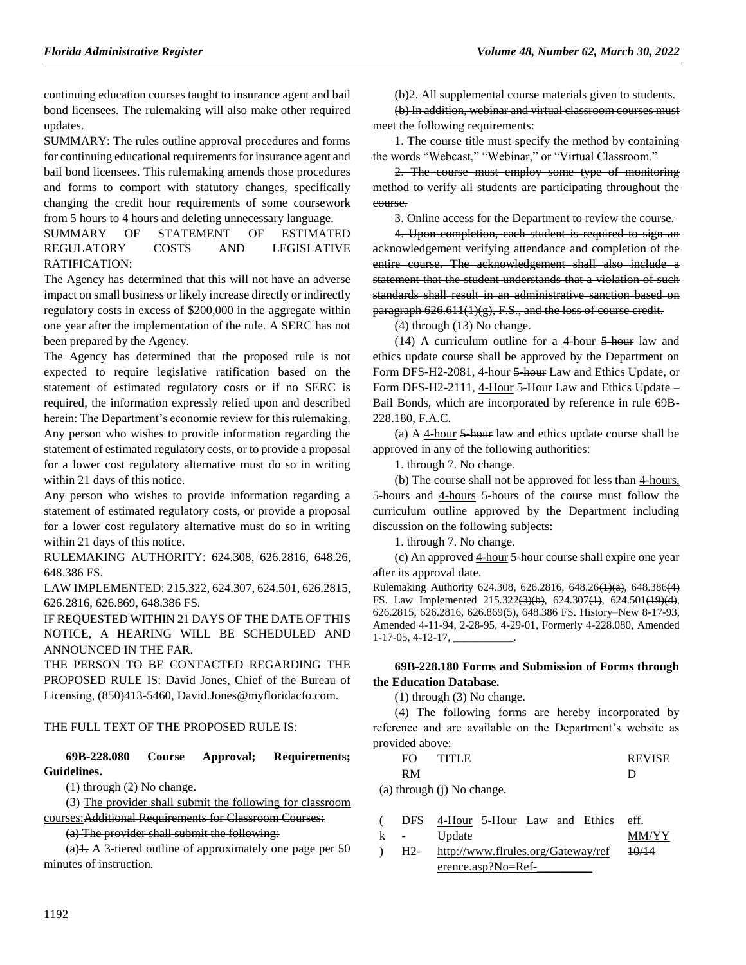continuing education courses taught to insurance agent and bail bond licensees. The rulemaking will also make other required updates.

SUMMARY: The rules outline approval procedures and forms for continuing educational requirements for insurance agent and bail bond licensees. This rulemaking amends those procedures and forms to comport with statutory changes, specifically changing the credit hour requirements of some coursework from 5 hours to 4 hours and deleting unnecessary language.

SUMMARY OF STATEMENT OF ESTIMATED REGULATORY COSTS AND LEGISLATIVE RATIFICATION:

The Agency has determined that this will not have an adverse impact on small business or likely increase directly or indirectly regulatory costs in excess of \$200,000 in the aggregate within one year after the implementation of the rule. A SERC has not been prepared by the Agency.

The Agency has determined that the proposed rule is not expected to require legislative ratification based on the statement of estimated regulatory costs or if no SERC is required, the information expressly relied upon and described herein: The Department's economic review for this rulemaking. Any person who wishes to provide information regarding the statement of estimated regulatory costs, or to provide a proposal for a lower cost regulatory alternative must do so in writing within 21 days of this notice.

Any person who wishes to provide information regarding a statement of estimated regulatory costs, or provide a proposal for a lower cost regulatory alternative must do so in writing within 21 days of this notice.

RULEMAKING AUTHORITY: [624.308,](https://www.flrules.org/gateway/statute.asp?id=624.308) [626.2816,](https://www.flrules.org/gateway/statute.asp?id=%20626.2816) [648.26,](https://www.flrules.org/gateway/statute.asp?id=%20648.26) [648.386 FS.](https://www.flrules.org/gateway/statute.asp?id=%20648.386%20FS.)

LAW IMPLEMENTED[: 215.322,](https://www.flrules.org/gateway/statute.asp?id=215.322) [624.307,](https://www.flrules.org/gateway/statute.asp?id=%20624.307) [624.501,](https://www.flrules.org/gateway/statute.asp?id=%20624.501) [626.2815,](https://www.flrules.org/gateway/statute.asp?id=%20626.2815) [626.2816,](https://www.flrules.org/gateway/statute.asp?id=%20626.2816) [626.869,](https://www.flrules.org/gateway/statute.asp?id=%20626.869) [648.386 FS.](https://www.flrules.org/gateway/statute.asp?id=%20648.386%20FS.)

IF REQUESTED WITHIN 21 DAYS OF THE DATE OF THIS NOTICE, A HEARING WILL BE SCHEDULED AND ANNOUNCED IN THE FAR.

THE PERSON TO BE CONTACTED REGARDING THE PROPOSED RULE IS: David Jones, Chief of the Bureau of Licensing, (850)413-5460, David.Jones@myfloridacfo.com.

#### THE FULL TEXT OF THE PROPOSED RULE IS:

#### **69B-228.080 Course Approval; Requirements; Guidelines.**

(1) through (2) No change.

(3) The provider shall submit the following for classroom

courses:Additional Requirements for Classroom Courses:

(a) The provider shall submit the following:

 $(a)$ 1. A 3-tiered outline of approximately one page per 50 minutes of instruction.

(b)2. All supplemental course materials given to students.

(b) In addition, webinar and virtual classroom courses must meet the following requirements:

1. The course title must specify the method by containing the words "Webcast," "Webinar," or "Virtual Classroom."

2. The course must employ some type of monitoring method to verify all students are participating throughout the course.

3. Online access for the Department to review the course.

4. Upon completion, each student is required to sign an acknowledgement verifying attendance and completion of the entire course. The acknowledgement shall also include a statement that the student understands that a violation of such standards shall result in an administrative sanction based on paragraph 626.611(1)(g), F.S., and the loss of course credit.

(4) through (13) No change.

(14) A curriculum outline for a  $4$ -hour  $5$ -hour law and ethics update course shall be approved by the Department on Form DFS-H2-2081, 4-hour 5 hour Law and Ethics Update, or Form DFS-H2-2111, 4-Hour 5-Hour Law and Ethics Update – Bail Bonds, which are incorporated by reference in rule 69B-228.180, F.A.C.

(a) A 4-hour  $\frac{5 \text{ hour}}{2 \text{ hour}}$  law and ethics update course shall be approved in any of the following authorities:

1. through 7. No change.

(b) The course shall not be approved for less than 4-hours, 5-hours and 4-hours 5-hours of the course must follow the curriculum outline approved by the Department including discussion on the following subjects:

1. through 7. No change.

(c) An approved  $4$ -hour  $5$ -hour course shall expire one year after its approval date.

Rulemaking Authority 624.308, 626.2816, 648.26(1)(a), 648.386(4) FS. Law Implemented 215.322(3)(b), 624.307(1), 624.501(19)(d), 626.2815, 626.2816, 626.869(5), 648.386 FS. History–New 8-17-93, Amended 4-11-94, 2-28-95, 4-29-01, Formerly 4-228.080, Amended  $1-17-05, 4-12-17, \underline{\hspace{1cm}}$ 

#### **69B-228.180 Forms and Submission of Forms through the Education Database.**

(1) through (3) No change.

(4) The following forms are hereby incorporated by reference and are available on the Department's website as provided above:

| FΩ | TITI E | <b>REVISE</b> |
|----|--------|---------------|
| RM |        |               |

(a) through (j) No change.

|   |        | DFS 4-Hour 5-Hour Law and Ethics eff. |  |  |              |
|---|--------|---------------------------------------|--|--|--------------|
| k | $\sim$ | Update                                |  |  | <b>MM/YY</b> |

 $\lambda$ H2 http://www.flrules.org/Gateway/ref erence.asp?No=Ref-10/14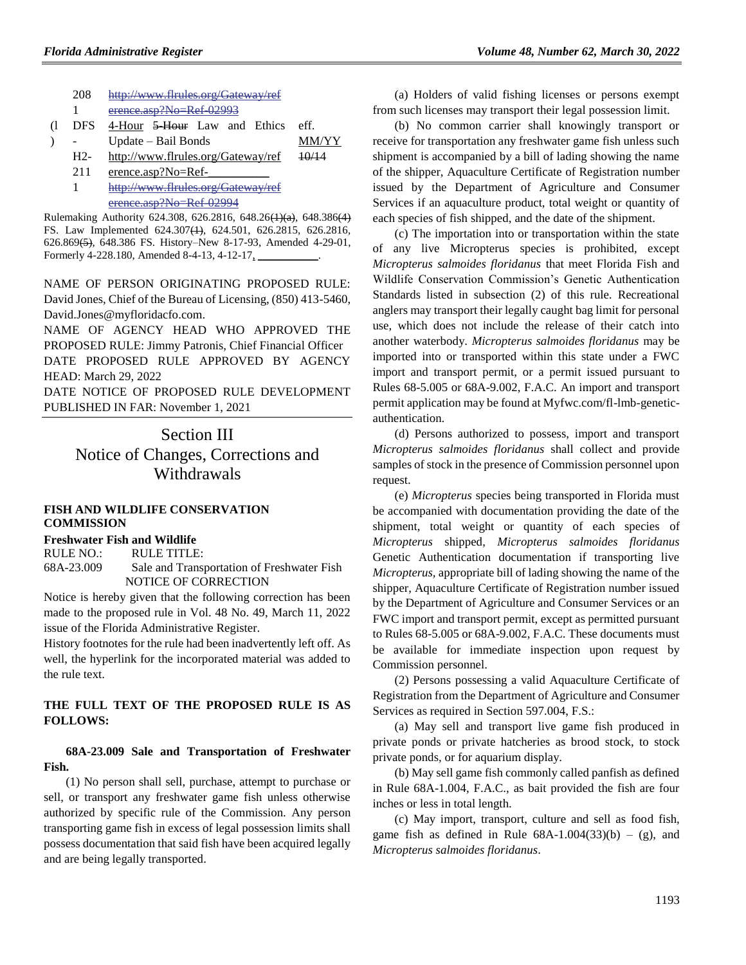| 208   | http://www.flrules.org/Gateway/ref                   |       |
|-------|------------------------------------------------------|-------|
|       | erence.asp?No=Ref 02993                              |       |
| DFS   | 4-Hour <del>5-Hour</del> Law and Ethics              | eff   |
|       | Update – Bail Bonds                                  | MM/YY |
| $H2-$ | http://www.flrules.org/Gateway/ref                   |       |
| 211   | erence.asp?No=Ref-                                   |       |
|       | http://www.flrules.org/Gateway/ref                   |       |
|       | aranca aen $2N_0-D_0f$ a<br>$U = U + i \sqrt{U - U}$ |       |

Rulemaking Authority 624.308, 626.2816, 648.26(1)(a), 648.386(4) FS. Law Implemented 624.307(1), 624.501, 626.2815, 626.2816, 626.869(5), 648.386 FS. History–New 8-17-93, Amended 4-29-01, Formerly 4-228.180, Amended 8-4-13, 4-12-17,

NAME OF PERSON ORIGINATING PROPOSED RULE: David Jones, Chief of the Bureau of Licensing, (850) 413-5460, David.Jones@myfloridacfo.com.

NAME OF AGENCY HEAD WHO APPROVED THE PROPOSED RULE: Jimmy Patronis, Chief Financial Officer DATE PROPOSED RULE APPROVED BY AGENCY HEAD: March 29, 2022

DATE NOTICE OF PROPOSED RULE DEVELOPMENT PUBLISHED IN FAR: November 1, 2021

> Section III Notice of Changes, Corrections and Withdrawals

#### **[FISH AND WILDLIFE CONSERVATION](https://www.flrules.org/gateway/department.asp?id=68)  [COMMISSION](https://www.flrules.org/gateway/department.asp?id=68)**

#### **[Freshwater Fish and Wildlife](https://www.flrules.org/gateway/organization.asp?id=347)**

RULE NO.: RULE TITLE: [68A-23.009](https://www.flrules.org/gateway/ruleNo.asp?id=68A-23.009) Sale and Transportation of Freshwater Fish NOTICE OF CORRECTION

Notice is hereby given that the following correction has been made to the proposed rule in Vol. 48 No. 49, March 11, 2022 issue of the Florida Administrative Register.

History footnotes for the rule had been inadvertently left off. As well, the hyperlink for the incorporated material was added to the rule text.

## **THE FULL TEXT OF THE PROPOSED RULE IS AS FOLLOWS:**

## **68A-23.009 Sale and Transportation of Freshwater Fish.**

(1) No person shall sell, purchase, attempt to purchase or sell, or transport any freshwater game fish unless otherwise authorized by specific rule of the Commission. Any person transporting game fish in excess of legal possession limits shall possess documentation that said fish have been acquired legally and are being legally transported.

(a) Holders of valid fishing licenses or persons exempt from such licenses may transport their legal possession limit.

(b) No common carrier shall knowingly transport or receive for transportation any freshwater game fish unless such shipment is accompanied by a bill of lading showing the name of the shipper, Aquaculture Certificate of Registration number issued by the Department of Agriculture and Consumer Services if an aquaculture product, total weight or quantity of each species of fish shipped, and the date of the shipment.

(c) The importation into or transportation within the state of any live Micropterus species is prohibited, except *Micropterus salmoides floridanus* that meet Florida Fish and Wildlife Conservation Commission's Genetic Authentication Standards listed in subsection (2) of this rule. Recreational anglers may transport their legally caught bag limit for personal use, which does not include the release of their catch into another waterbody. *Micropterus salmoides floridanus* may be imported into or transported within this state under a FWC import and transport permit, or a permit issued pursuant to Rules 68-5.005 or 68A-9.002, F.A.C. An import and transport permit application may be found at Myfwc.com/fl-lmb-geneticauthentication.

(d) Persons authorized to possess, import and transport *Micropterus salmoides floridanus* shall collect and provide samples of stock in the presence of Commission personnel upon request.

(e) *Micropterus* species being transported in Florida must be accompanied with documentation providing the date of the shipment, total weight or quantity of each species of *Micropterus* shipped, *Micropterus salmoides floridanus* Genetic Authentication documentation if transporting live *Micropterus,* appropriate bill of lading showing the name of the shipper, Aquaculture Certificate of Registration number issued by the Department of Agriculture and Consumer Services or an FWC import and transport permit, except as permitted pursuant to Rules 68-5.005 or 68A-9.002, F.A.C. These documents must be available for immediate inspection upon request by Commission personnel.

(2) Persons possessing a valid Aquaculture Certificate of Registration from the Department of Agriculture and Consumer Services as required in Section 597.004, F.S.:

(a) May sell and transport live game fish produced in private ponds or private hatcheries as brood stock, to stock private ponds, or for aquarium display.

(b) May sell game fish commonly called panfish as defined in Rule 68A-1.004, F.A.C., as bait provided the fish are four inches or less in total length.

(c) May import, transport, culture and sell as food fish, game fish as defined in Rule  $68A-1.004(33)(b) - (g)$ , and *Micropterus salmoides floridanus*.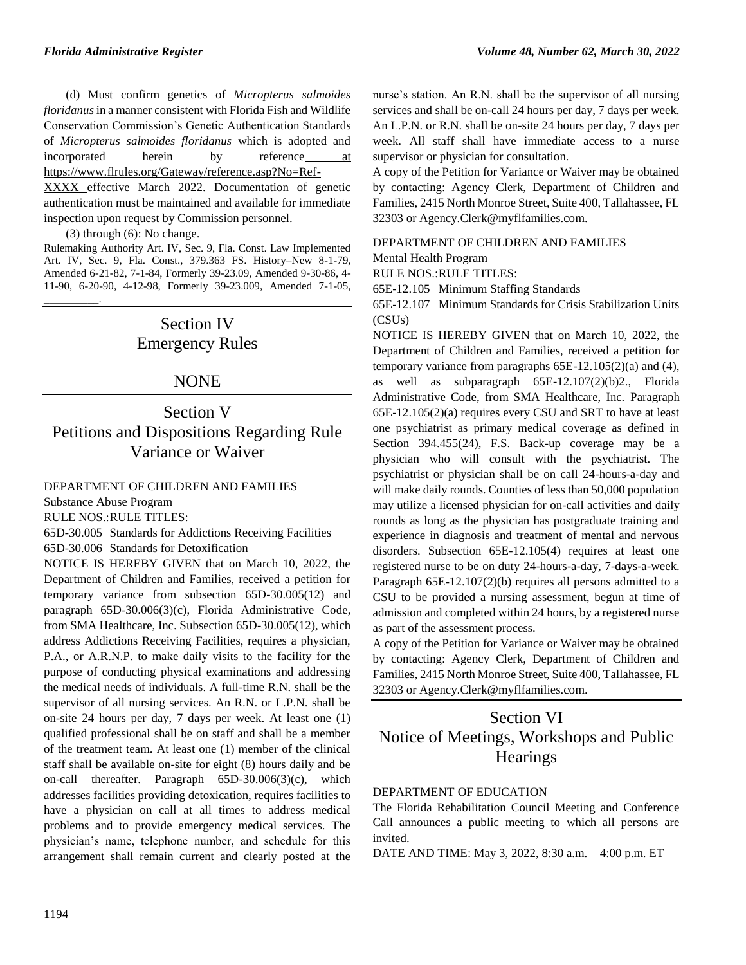(d) Must confirm genetics of *Micropterus salmoides floridanus* in a manner consistent with Florida Fish and Wildlife Conservation Commission's Genetic Authentication Standards of *Micropterus salmoides floridanus* which is adopted and incorporated herein by reference at [https://www.flrules.org/Gateway/reference.asp?No=Ref-](https://www.flrules.org/Gateway/reference.asp?No=Ref-XXXX)

[XXXX](https://www.flrules.org/Gateway/reference.asp?No=Ref-XXXX) effective March 2022. Documentation of genetic authentication must be maintained and available for immediate inspection upon request by Commission personnel.

(3) through (6): No change.

\_\_\_\_\_\_\_\_\_\_.

Rulemaking Authority Art. IV, Sec. 9, Fla. Const. Law Implemented Art. IV, Sec. 9, Fla. Const., 379.363 FS. History–New 8-1-79, Amended 6-21-82, 7-1-84, Formerly 39-23.09, Amended 9-30-86, 4- 11-90, 6-20-90, 4-12-98, Formerly 39-23.009, Amended 7-1-05,

# Section IV Emergency Rules

## NONE

# Section V Petitions and Dispositions Regarding Rule Variance or Waiver

## [DEPARTMENT OF CHILDREN AND FAMILIES](https://www.flrules.org/gateway/department.asp?id=65)

[Substance Abuse Program](https://www.flrules.org/gateway/organization.asp?id=343)

RULE NOS.:RULE TITLES:

[65D-30.005](https://www.flrules.org/gateway/ruleNo.asp?id=65D-30.005) Standards for Addictions Receiving Facilities

[65D-30.006](https://www.flrules.org/gateway/ruleNo.asp?id=65D-30.006) Standards for Detoxification

NOTICE IS HEREBY GIVEN that on March 10, 2022, the Department of Children and Families, received a petition for temporary variance from subsection 65D-30.005(12) and paragraph 65D-30.006(3)(c), Florida Administrative Code, from SMA Healthcare, Inc. Subsection 65D-30.005(12), which address Addictions Receiving Facilities, requires a physician, P.A., or A.R.N.P. to make daily visits to the facility for the purpose of conducting physical examinations and addressing the medical needs of individuals. A full-time R.N. shall be the supervisor of all nursing services. An R.N. or L.P.N. shall be on-site 24 hours per day, 7 days per week. At least one (1) qualified professional shall be on staff and shall be a member of the treatment team. At least one (1) member of the clinical staff shall be available on-site for eight (8) hours daily and be on-call thereafter. Paragraph 65D-30.006(3)(c), which addresses facilities providing detoxication, requires facilities to have a physician on call at all times to address medical problems and to provide emergency medical services. The physician's name, telephone number, and schedule for this arrangement shall remain current and clearly posted at the

nurse's station. An R.N. shall be the supervisor of all nursing services and shall be on-call 24 hours per day, 7 days per week. An L.P.N. or R.N. shall be on-site 24 hours per day, 7 days per week. All staff shall have immediate access to a nurse supervisor or physician for consultation.

A copy of the Petition for Variance or Waiver may be obtained by contacting: Agency Clerk, Department of Children and Families, 2415 North Monroe Street, Suite 400, Tallahassee, FL 32303 or Agency.Clerk@myflfamilies.com.

[DEPARTMENT OF CHILDREN AND FAMILIES](https://www.flrules.org/gateway/department.asp?id=65) [Mental Health Program](https://www.flrules.org/gateway/organization.asp?id=344)

RULE NOS.:RULE TITLES:

[65E-12.105](https://www.flrules.org/gateway/ruleNo.asp?id=65E-12.105) Minimum Staffing Standards

[65E-12.107](https://www.flrules.org/gateway/ruleNo.asp?id=65E-12.107) Minimum Standards for Crisis Stabilization Units (CSUs)

NOTICE IS HEREBY GIVEN that on March 10, 2022, the Department of Children and Families, received a petition for temporary variance from paragraphs 65E-12.105(2)(a) and (4), as well as subparagraph 65E-12.107(2)(b)2., Florida Administrative Code, from SMA Healthcare, Inc. Paragraph 65E-12.105(2)(a) requires every CSU and SRT to have at least one psychiatrist as primary medical coverage as defined in Section 394.455(24), F.S. Back-up coverage may be a physician who will consult with the psychiatrist. The psychiatrist or physician shall be on call 24-hours-a-day and will make daily rounds. Counties of less than 50,000 population may utilize a licensed physician for on-call activities and daily rounds as long as the physician has postgraduate training and experience in diagnosis and treatment of mental and nervous disorders. Subsection 65E-12.105(4) requires at least one registered nurse to be on duty 24-hours-a-day, 7-days-a-week. Paragraph 65E-12.107(2)(b) requires all persons admitted to a CSU to be provided a nursing assessment, begun at time of admission and completed within 24 hours, by a registered nurse as part of the assessment process.

A copy of the Petition for Variance or Waiver may be obtained by contacting: Agency Clerk, Department of Children and Families, 2415 North Monroe Street, Suite 400, Tallahassee, FL 32303 or Agency.Clerk@myflfamilies.com.

# Section VI Notice of Meetings, Workshops and Public **Hearings**

#### [DEPARTMENT OF EDUCATION](https://www.flrules.org/gateway/department.asp?id=6)

The Florida Rehabilitation Council Meeting and Conference Call announces a public meeting to which all persons are invited.

DATE AND TIME: May 3, 2022, 8:30 a.m. – 4:00 p.m. ET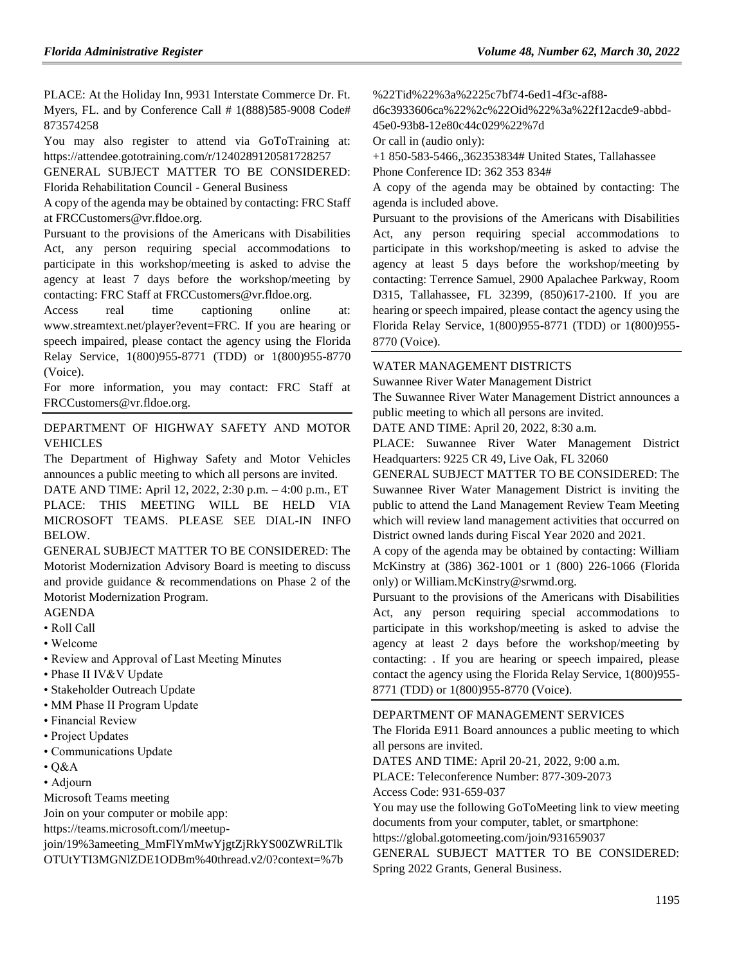PLACE: At the Holiday Inn, 9931 Interstate Commerce Dr. Ft. Myers, FL. and by Conference Call # 1(888)585-9008 Code# 873574258

You may also register to attend via GoToTraining at: https://attendee.gototraining.com/r/1240289120581728257

GENERAL SUBJECT MATTER TO BE CONSIDERED: Florida Rehabilitation Council - General Business

A copy of the agenda may be obtained by contacting: FRC Staff at FRCCustomers@vr.fldoe.org.

Pursuant to the provisions of the Americans with Disabilities Act, any person requiring special accommodations to participate in this workshop/meeting is asked to advise the agency at least 7 days before the workshop/meeting by contacting: FRC Staff at FRCCustomers@vr.fldoe.org.

Access real time captioning online at: www.streamtext.net/player?event=FRC. If you are hearing or speech impaired, please contact the agency using the Florida Relay Service, 1(800)955-8771 (TDD) or 1(800)955-8770 (Voice).

For more information, you may contact: FRC Staff at FRCCustomers@vr.fldoe.org.

[DEPARTMENT OF HIGHWAY SAFETY AND MOTOR](https://www.flrules.org/gateway/department.asp?id=15)  [VEHICLES](https://www.flrules.org/gateway/department.asp?id=15)

The Department of Highway Safety and Motor Vehicles announces a public meeting to which all persons are invited.

DATE AND TIME: April 12, 2022, 2:30 p.m. – 4:00 p.m., ET PLACE: THIS MEETING WILL BE HELD VIA MICROSOFT TEAMS. PLEASE SEE DIAL-IN INFO BELOW.

GENERAL SUBJECT MATTER TO BE CONSIDERED: The Motorist Modernization Advisory Board is meeting to discuss and provide guidance & recommendations on Phase 2 of the Motorist Modernization Program.

#### AGENDA

- Roll Call
- Welcome
- Review and Approval of Last Meeting Minutes
- Phase II IV&V Update
- Stakeholder Outreach Update
- MM Phase II Program Update
- Financial Review
- Project Updates
- Communications Update
- $\cdot$  Q&A

• Adjourn

Microsoft Teams meeting

Join on your computer or mobile app:

https://teams.microsoft.com/l/meetup-

join/19%3ameeting\_MmFlYmMwYjgtZjRkYS00ZWRiLTlk OTUtYTI3MGNlZDE1ODBm%40thread.v2/0?context=%7b %22Tid%22%3a%2225c7bf74-6ed1-4f3c-af88-

d6c3933606ca%22%2c%22Oid%22%3a%22f12acde9-abbd-45e0-93b8-12e80c44c029%22%7d

Or call in (audio only):

+1 850-583-5466,,362353834# United States, Tallahassee Phone Conference ID: 362 353 834#

A copy of the agenda may be obtained by contacting: The agenda is included above.

Pursuant to the provisions of the Americans with Disabilities Act, any person requiring special accommodations to participate in this workshop/meeting is asked to advise the agency at least 5 days before the workshop/meeting by contacting: Terrence Samuel, 2900 Apalachee Parkway, Room D315, Tallahassee, FL 32399, (850)617-2100. If you are hearing or speech impaired, please contact the agency using the Florida Relay Service, 1(800)955-8771 (TDD) or 1(800)955- 8770 (Voice).

## [WATER MANAGEMENT DISTRICTS](https://www.flrules.org/gateway/department.asp?id=40)

[Suwannee River Water Management District](https://www.flrules.org/gateway/organization.asp?id=121)

The Suwannee River Water Management District announces a public meeting to which all persons are invited.

DATE AND TIME: April 20, 2022, 8:30 a.m.

PLACE: Suwannee River Water Management District Headquarters: 9225 CR 49, Live Oak, FL 32060

GENERAL SUBJECT MATTER TO BE CONSIDERED: The Suwannee River Water Management District is inviting the public to attend the Land Management Review Team Meeting which will review land management activities that occurred on District owned lands during Fiscal Year 2020 and 2021.

A copy of the agenda may be obtained by contacting: William McKinstry at (386) 362-1001 or 1 (800) 226-1066 (Florida only) or William.McKinstry@srwmd.org.

Pursuant to the provisions of the Americans with Disabilities Act, any person requiring special accommodations to participate in this workshop/meeting is asked to advise the agency at least 2 days before the workshop/meeting by contacting: . If you are hearing or speech impaired, please contact the agency using the Florida Relay Service, 1(800)955- 8771 (TDD) or 1(800)955-8770 (Voice).

#### [DEPARTMENT OF MANAGEMENT SERVICES](https://www.flrules.org/gateway/department.asp?id=60)

The Florida E911 Board announces a public meeting to which all persons are invited.

DATES AND TIME: April 20-21, 2022, 9:00 a.m.

PLACE: Teleconference Number: 877-309-2073

Access Code: 931-659-037

You may use the following GoToMeeting link to view meeting documents from your computer, tablet, or smartphone:

https://global.gotomeeting.com/join/931659037

GENERAL SUBJECT MATTER TO BE CONSIDERED: Spring 2022 Grants, General Business.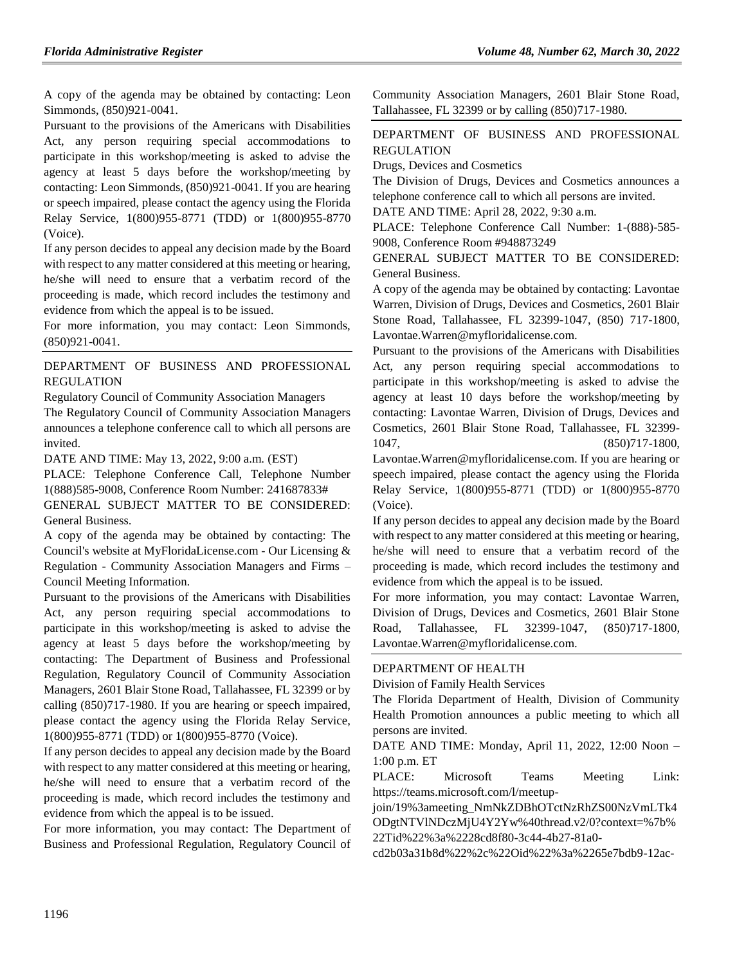A copy of the agenda may be obtained by contacting: Leon Simmonds, (850)921-0041.

Pursuant to the provisions of the Americans with Disabilities Act, any person requiring special accommodations to participate in this workshop/meeting is asked to advise the agency at least 5 days before the workshop/meeting by contacting: Leon Simmonds, (850)921-0041. If you are hearing or speech impaired, please contact the agency using the Florida Relay Service, 1(800)955-8771 (TDD) or 1(800)955-8770 (Voice).

If any person decides to appeal any decision made by the Board with respect to any matter considered at this meeting or hearing, he/she will need to ensure that a verbatim record of the proceeding is made, which record includes the testimony and evidence from which the appeal is to be issued.

For more information, you may contact: Leon Simmonds, (850)921-0041.

## [DEPARTMENT OF BUSINESS AND PROFESSIONAL](https://www.flrules.org/gateway/department.asp?id=61)  [REGULATION](https://www.flrules.org/gateway/department.asp?id=61)

[Regulatory Council of Community Association Managers](https://www.flrules.org/gateway/organization.asp?id=835) The Regulatory Council of Community Association Managers announces a telephone conference call to which all persons are invited.

DATE AND TIME: May 13, 2022, 9:00 a.m. (EST)

PLACE: Telephone Conference Call, Telephone Number 1(888)585-9008, Conference Room Number: 241687833# GENERAL SUBJECT MATTER TO BE CONSIDERED: General Business.

A copy of the agenda may be obtained by contacting: The Council's website at MyFloridaLicense.com - Our Licensing & Regulation - Community Association Managers and Firms – Council Meeting Information.

Pursuant to the provisions of the Americans with Disabilities Act, any person requiring special accommodations to participate in this workshop/meeting is asked to advise the agency at least 5 days before the workshop/meeting by contacting: The Department of Business and Professional Regulation, Regulatory Council of Community Association Managers, 2601 Blair Stone Road, Tallahassee, FL 32399 or by calling (850)717-1980. If you are hearing or speech impaired, please contact the agency using the Florida Relay Service, 1(800)955-8771 (TDD) or 1(800)955-8770 (Voice).

If any person decides to appeal any decision made by the Board with respect to any matter considered at this meeting or hearing, he/she will need to ensure that a verbatim record of the proceeding is made, which record includes the testimony and evidence from which the appeal is to be issued.

For more information, you may contact: The Department of Business and Professional Regulation, Regulatory Council of Community Association Managers, 2601 Blair Stone Road, Tallahassee, FL 32399 or by calling (850)717-1980.

## [DEPARTMENT OF BUSINESS AND PROFESSIONAL](https://www.flrules.org/gateway/department.asp?id=61)  [REGULATION](https://www.flrules.org/gateway/department.asp?id=61)

[Drugs, Devices and Cosmetics](https://www.flrules.org/gateway/organization.asp?id=1057)

The Division of Drugs, Devices and Cosmetics announces a telephone conference call to which all persons are invited.

DATE AND TIME: April 28, 2022, 9:30 a.m.

PLACE: Telephone Conference Call Number: 1-(888)-585- 9008, Conference Room #948873249

GENERAL SUBJECT MATTER TO BE CONSIDERED: General Business.

A copy of the agenda may be obtained by contacting: Lavontae Warren, Division of Drugs, Devices and Cosmetics, 2601 Blair Stone Road, Tallahassee, FL 32399-1047, (850) 717-1800, Lavontae.Warren@myfloridalicense.com.

Pursuant to the provisions of the Americans with Disabilities Act, any person requiring special accommodations to participate in this workshop/meeting is asked to advise the agency at least 10 days before the workshop/meeting by contacting: Lavontae Warren, Division of Drugs, Devices and Cosmetics, 2601 Blair Stone Road, Tallahassee, FL 32399- 1047, (850)717-1800,

Lavontae.Warren@myfloridalicense.com. If you are hearing or speech impaired, please contact the agency using the Florida Relay Service, 1(800)955-8771 (TDD) or 1(800)955-8770 (Voice).

If any person decides to appeal any decision made by the Board with respect to any matter considered at this meeting or hearing, he/she will need to ensure that a verbatim record of the proceeding is made, which record includes the testimony and evidence from which the appeal is to be issued.

For more information, you may contact: Lavontae Warren, Division of Drugs, Devices and Cosmetics, 2601 Blair Stone Road, Tallahassee, FL 32399-1047, (850)717-1800, Lavontae.Warren@myfloridalicense.com.

#### [DEPARTMENT OF HEALTH](https://www.flrules.org/gateway/department.asp?id=64)

[Division of Family Health Services](https://www.flrules.org/gateway/organization.asp?id=336)

The Florida Department of Health, Division of Community Health Promotion announces a public meeting to which all persons are invited.

DATE AND TIME: Monday, April 11, 2022, 12:00 Noon – 1:00 p.m. ET

PLACE: Microsoft Teams Meeting Link: https://teams.microsoft.com/l/meetup-

join/19%3ameeting\_NmNkZDBhOTctNzRhZS00NzVmLTk4 ODgtNTVlNDczMjU4Y2Yw%40thread.v2/0?context=%7b% 22Tid%22%3a%2228cd8f80-3c44-4b27-81a0-

cd2b03a31b8d%22%2c%22Oid%22%3a%2265e7bdb9-12ac-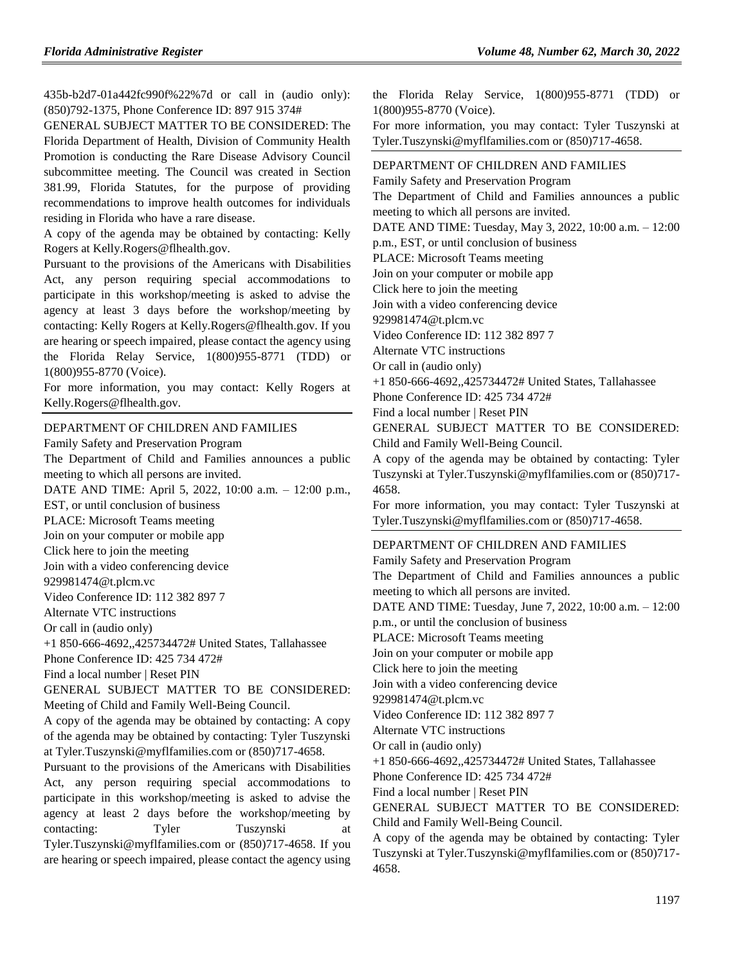435b-b2d7-01a442fc990f%22%7d or call in (audio only): (850)792-1375, Phone Conference ID: 897 915 374#

GENERAL SUBJECT MATTER TO BE CONSIDERED: The Florida Department of Health, Division of Community Health Promotion is conducting the Rare Disease Advisory Council subcommittee meeting. The Council was created in Section 381.99, Florida Statutes, for the purpose of providing recommendations to improve health outcomes for individuals residing in Florida who have a rare disease.

A copy of the agenda may be obtained by contacting: Kelly Rogers at Kelly.Rogers@flhealth.gov.

Pursuant to the provisions of the Americans with Disabilities Act, any person requiring special accommodations to participate in this workshop/meeting is asked to advise the agency at least 3 days before the workshop/meeting by contacting: Kelly Rogers at Kelly.Rogers@flhealth.gov. If you are hearing or speech impaired, please contact the agency using the Florida Relay Service, 1(800)955-8771 (TDD) or 1(800)955-8770 (Voice).

For more information, you may contact: Kelly Rogers at Kelly.Rogers@flhealth.gov.

#### [DEPARTMENT OF CHILDREN AND FAMILIES](https://www.flrules.org/gateway/department.asp?id=65)

[Family Safety and Preservation Program](https://www.flrules.org/gateway/organization.asp?id=342)

The Department of Child and Families announces a public meeting to which all persons are invited.

DATE AND TIME: April 5, 2022, 10:00 a.m. – 12:00 p.m.,

EST, or until conclusion of business

PLACE: Microsoft Teams meeting

Join on your computer or mobile app

Click here to join the meeting

Join with a video conferencing device

929981474@t.plcm.vc

Video Conference ID: 112 382 897 7

Alternate VTC instructions

Or call in (audio only)

+1 850-666-4692,,425734472# United States, Tallahassee

Phone Conference ID: 425 734 472#

Find a local number | Reset PIN

GENERAL SUBJECT MATTER TO BE CONSIDERED: Meeting of Child and Family Well-Being Council.

A copy of the agenda may be obtained by contacting: A copy of the agenda may be obtained by contacting: Tyler Tuszynski at Tyler.Tuszynski@myflfamilies.com or (850)717-4658.

Pursuant to the provisions of the Americans with Disabilities Act, any person requiring special accommodations to participate in this workshop/meeting is asked to advise the agency at least 2 days before the workshop/meeting by contacting: Tyler Tuszynski at Tyler.Tuszynski@myflfamilies.com or (850)717-4658. If you are hearing or speech impaired, please contact the agency using

the Florida Relay Service, 1(800)955-8771 (TDD) or 1(800)955-8770 (Voice).

For more information, you may contact: Tyler Tuszynski at Tyler.Tuszynski@myflfamilies.com or (850)717-4658.

#### [DEPARTMENT OF CHILDREN AND FAMILIES](https://www.flrules.org/gateway/department.asp?id=65)

[Family Safety and Preservation Program](https://www.flrules.org/gateway/organization.asp?id=342)

The Department of Child and Families announces a public meeting to which all persons are invited.

DATE AND TIME: Tuesday, May 3, 2022, 10:00 a.m. – 12:00

p.m., EST, or until conclusion of business

PLACE: Microsoft Teams meeting

Join on your computer or mobile app

Click here to join the meeting

Join with a video conferencing device

929981474@t.plcm.vc

Video Conference ID: 112 382 897 7

Alternate VTC instructions

Or call in (audio only)

+1 850-666-4692,,425734472# United States, Tallahassee

Phone Conference ID: 425 734 472#

Find a local number | Reset PIN

GENERAL SUBJECT MATTER TO BE CONSIDERED: Child and Family Well-Being Council.

A copy of the agenda may be obtained by contacting: Tyler Tuszynski at Tyler.Tuszynski@myflfamilies.com or (850)717- 4658.

For more information, you may contact: Tyler Tuszynski at Tyler.Tuszynski@myflfamilies.com or (850)717-4658.

## [DEPARTMENT OF CHILDREN AND FAMILIES](https://www.flrules.org/gateway/department.asp?id=65)

[Family Safety and Preservation Program](https://www.flrules.org/gateway/organization.asp?id=342)

The Department of Child and Families announces a public meeting to which all persons are invited. DATE AND TIME: Tuesday, June 7, 2022, 10:00 a.m. – 12:00 p.m., or until the conclusion of business PLACE: Microsoft Teams meeting Join on your computer or mobile app Click here to join the meeting Join with a video conferencing device 929981474@t.plcm.vc Video Conference ID: 112 382 897 7 Alternate VTC instructions Or call in (audio only) +1 850-666-4692,,425734472# United States, Tallahassee Phone Conference ID: 425 734 472# Find a local number | Reset PIN GENERAL SUBJECT MATTER TO BE CONSIDERED: Child and Family Well-Being Council.

A copy of the agenda may be obtained by contacting: Tyler Tuszynski at Tyler.Tuszynski@myflfamilies.com or (850)717- 4658.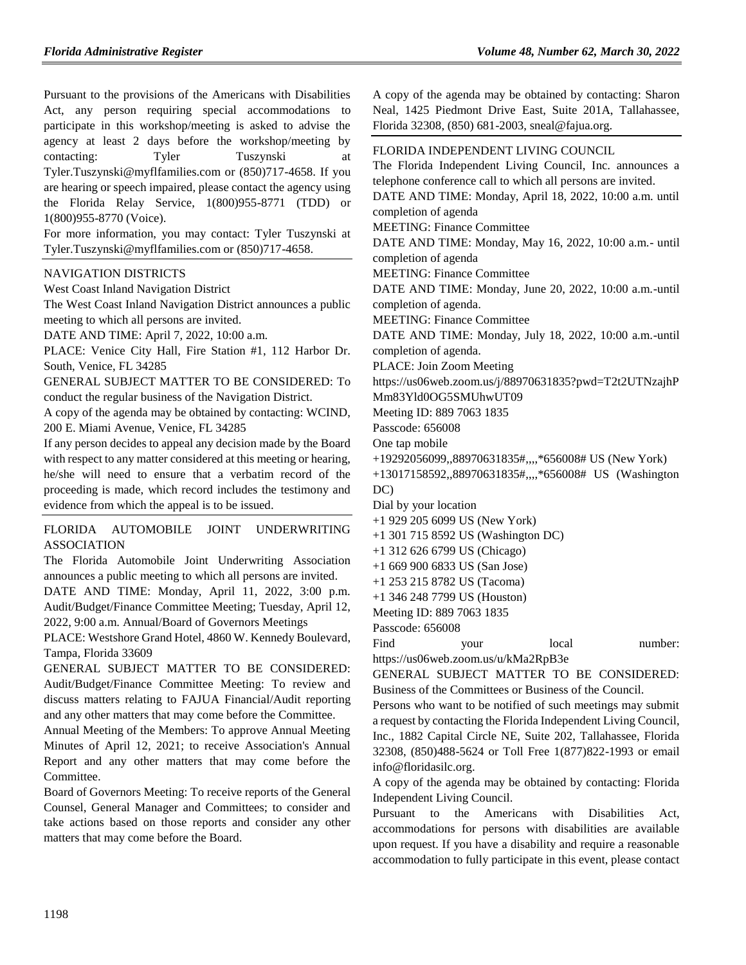Pursuant to the provisions of the Americans with Disabilities Act, any person requiring special accommodations to participate in this workshop/meeting is asked to advise the agency at least 2 days before the workshop/meeting by contacting: Tyler Tuszynski at Tyler.Tuszynski@myflfamilies.com or (850)717-4658. If you are hearing or speech impaired, please contact the agency using the Florida Relay Service, 1(800)955-8771 (TDD) or 1(800)955-8770 (Voice).

For more information, you may contact: Tyler Tuszynski at Tyler.Tuszynski@myflfamilies.com or (850)717-4658.

#### [NAVIGATION DISTRICTS](https://www.flrules.org/gateway/department.asp?id=66)

[West Coast Inland Navigation District](https://www.flrules.org/gateway/organization.asp?id=345)

The West Coast Inland Navigation District announces a public meeting to which all persons are invited.

DATE AND TIME: April 7, 2022, 10:00 a.m.

PLACE: Venice City Hall, Fire Station #1, 112 Harbor Dr. South, Venice, FL 34285

GENERAL SUBJECT MATTER TO BE CONSIDERED: To conduct the regular business of the Navigation District.

A copy of the agenda may be obtained by contacting: WCIND, 200 E. Miami Avenue, Venice, FL 34285

If any person decides to appeal any decision made by the Board with respect to any matter considered at this meeting or hearing, he/she will need to ensure that a verbatim record of the proceeding is made, which record includes the testimony and evidence from which the appeal is to be issued.

[FLORIDA AUTOMOBILE JOINT UNDERWRITING](https://www.flrules.org/gateway/organization.asp?id=570)  [ASSOCIATION](https://www.flrules.org/gateway/organization.asp?id=570)

The Florida Automobile Joint Underwriting Association announces a public meeting to which all persons are invited.

DATE AND TIME: Monday, April 11, 2022, 3:00 p.m. Audit/Budget/Finance Committee Meeting; Tuesday, April 12, 2022, 9:00 a.m. Annual/Board of Governors Meetings

PLACE: Westshore Grand Hotel, 4860 W. Kennedy Boulevard, Tampa, Florida 33609

GENERAL SUBJECT MATTER TO BE CONSIDERED: Audit/Budget/Finance Committee Meeting: To review and discuss matters relating to FAJUA Financial/Audit reporting and any other matters that may come before the Committee.

Annual Meeting of the Members: To approve Annual Meeting Minutes of April 12, 2021; to receive Association's Annual Report and any other matters that may come before the Committee.

Board of Governors Meeting: To receive reports of the General Counsel, General Manager and Committees; to consider and take actions based on those reports and consider any other matters that may come before the Board.

A copy of the agenda may be obtained by contacting: Sharon Neal, 1425 Piedmont Drive East, Suite 201A, Tallahassee, Florida 32308, (850) 681-2003, sneal@fajua.org.

#### [FLORIDA INDEPENDENT LIVING COUNCIL](https://www.flrules.org/gateway/organization.asp?id=616)

The Florida Independent Living Council, Inc. announces a telephone conference call to which all persons are invited.

DATE AND TIME: Monday, April 18, 2022, 10:00 a.m. until completion of agenda

MEETING: Finance Committee

DATE AND TIME: Monday, May 16, 2022, 10:00 a.m.- until completion of agenda

MEETING: Finance Committee

DATE AND TIME: Monday, June 20, 2022, 10:00 a.m.-until completion of agenda.

MEETING: Finance Committee

DATE AND TIME: Monday, July 18, 2022, 10:00 a.m.-until completion of agenda.

PLACE: Join Zoom Meeting

https://us06web.zoom.us/j/88970631835?pwd=T2t2UTNzajhP Mm83Yld0OG5SMUhwUT09

Meeting ID: 889 7063 1835

Passcode: 656008

- One tap mobile
- +19292056099,,88970631835#,,,,\*656008# US (New York)
- +13017158592,,88970631835#,,,,\*656008# US (Washington DC)

Dial by your location

- +1 929 205 6099 US (New York)
- +1 301 715 8592 US (Washington DC)
- +1 312 626 6799 US (Chicago)

+1 669 900 6833 US (San Jose)

- +1 253 215 8782 US (Tacoma)
- +1 346 248 7799 US (Houston)

Meeting ID: 889 7063 1835

Passcode: 656008

Find your local number: https://us06web.zoom.us/u/kMa2RpB3e

GENERAL SUBJECT MATTER TO BE CONSIDERED: Business of the Committees or Business of the Council.

Persons who want to be notified of such meetings may submit a request by contacting the Florida Independent Living Council, Inc., 1882 Capital Circle NE, Suite 202, Tallahassee, Florida 32308, (850)488-5624 or Toll Free 1(877)822-1993 or email info@floridasilc.org.

A copy of the agenda may be obtained by contacting: Florida Independent Living Council.

Pursuant to the Americans with Disabilities Act, accommodations for persons with disabilities are available upon request. If you have a disability and require a reasonable accommodation to fully participate in this event, please contact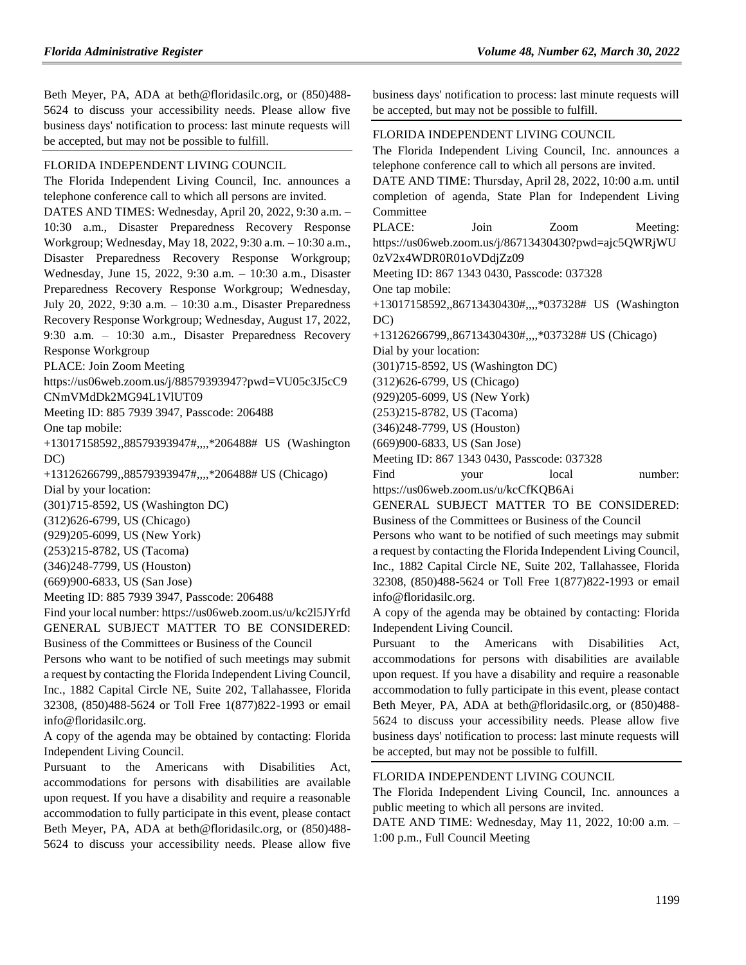Beth Meyer, PA, ADA at beth@floridasilc.org, or (850)488- 5624 to discuss your accessibility needs. Please allow five business days' notification to process: last minute requests will be accepted, but may not be possible to fulfill.

#### [FLORIDA INDEPENDENT LIVING COUNCIL](https://www.flrules.org/gateway/organization.asp?id=616)

The Florida Independent Living Council, Inc. announces a telephone conference call to which all persons are invited. DATES AND TIMES: Wednesday, April 20, 2022, 9:30 a.m. – 10:30 a.m., Disaster Preparedness Recovery Response Workgroup; Wednesday, May 18, 2022, 9:30 a.m. – 10:30 a.m., Disaster Preparedness Recovery Response Workgroup; Wednesday, June 15, 2022, 9:30 a.m. – 10:30 a.m., Disaster Preparedness Recovery Response Workgroup; Wednesday, July 20, 2022, 9:30 a.m. – 10:30 a.m., Disaster Preparedness Recovery Response Workgroup; Wednesday, August 17, 2022, 9:30 a.m. – 10:30 a.m., Disaster Preparedness Recovery Response Workgroup

PLACE: Join Zoom Meeting

https://us06web.zoom.us/j/88579393947?pwd=VU05c3J5cC9 CNmVMdDk2MG94L1VlUT09

Meeting ID: 885 7939 3947, Passcode: 206488

One tap mobile:

+13017158592,,88579393947#,,,,\*206488# US (Washington DC)

+13126266799,,88579393947#,,,,\*206488# US (Chicago) Dial by your location:

(301)715-8592, US (Washington DC)

(312)626-6799, US (Chicago)

(929)205-6099, US (New York)

(253)215-8782, US (Tacoma)

(346)248-7799, US (Houston)

(669)900-6833, US (San Jose)

Meeting ID: 885 7939 3947, Passcode: 206488

Find your local number: https://us06web.zoom.us/u/kc2l5JYrfd GENERAL SUBJECT MATTER TO BE CONSIDERED: Business of the Committees or Business of the Council

Persons who want to be notified of such meetings may submit a request by contacting the Florida Independent Living Council, Inc., 1882 Capital Circle NE, Suite 202, Tallahassee, Florida 32308, (850)488-5624 or Toll Free 1(877)822-1993 or email info@floridasilc.org.

A copy of the agenda may be obtained by contacting: Florida Independent Living Council.

Pursuant to the Americans with Disabilities Act, accommodations for persons with disabilities are available upon request. If you have a disability and require a reasonable accommodation to fully participate in this event, please contact Beth Meyer, PA, ADA at beth@floridasilc.org, or (850)488- 5624 to discuss your accessibility needs. Please allow five business days' notification to process: last minute requests will be accepted, but may not be possible to fulfill.

#### [FLORIDA INDEPENDENT LIVING COUNCIL](https://www.flrules.org/gateway/organization.asp?id=616)

The Florida Independent Living Council, Inc. announces a telephone conference call to which all persons are invited.

DATE AND TIME: Thursday, April 28, 2022, 10:00 a.m. until completion of agenda, State Plan for Independent Living Committee

PLACE: Join Zoom Meeting: https://us06web.zoom.us/j/86713430430?pwd=ajc5QWRjWU 0zV2x4WDR0R01oVDdjZz09

Meeting ID: 867 1343 0430, Passcode: 037328

One tap mobile:

+13017158592,,86713430430#,,,,\*037328# US (Washington  $DC$ 

+13126266799,,86713430430#,,,,\*037328# US (Chicago)

Dial by your location:

(301)715-8592, US (Washington DC)

(312)626-6799, US (Chicago)

(929)205-6099, US (New York)

(253)215-8782, US (Tacoma)

(346)248-7799, US (Houston)

(669)900-6833, US (San Jose)

Meeting ID: 867 1343 0430, Passcode: 037328

Find your local number: https://us06web.zoom.us/u/kcCfKQB6Ai

GENERAL SUBJECT MATTER TO BE CONSIDERED: Business of the Committees or Business of the Council

Persons who want to be notified of such meetings may submit a request by contacting the Florida Independent Living Council, Inc., 1882 Capital Circle NE, Suite 202, Tallahassee, Florida 32308, (850)488-5624 or Toll Free 1(877)822-1993 or email info@floridasilc.org.

A copy of the agenda may be obtained by contacting: Florida Independent Living Council.

Pursuant to the Americans with Disabilities Act, accommodations for persons with disabilities are available upon request. If you have a disability and require a reasonable accommodation to fully participate in this event, please contact Beth Meyer, PA, ADA at beth@floridasilc.org, or (850)488- 5624 to discuss your accessibility needs. Please allow five business days' notification to process: last minute requests will be accepted, but may not be possible to fulfill.

[FLORIDA INDEPENDENT LIVING COUNCIL](https://www.flrules.org/gateway/organization.asp?id=616)

The Florida Independent Living Council, Inc. announces a public meeting to which all persons are invited.

DATE AND TIME: Wednesday, May 11, 2022, 10:00 a.m. – 1:00 p.m., Full Council Meeting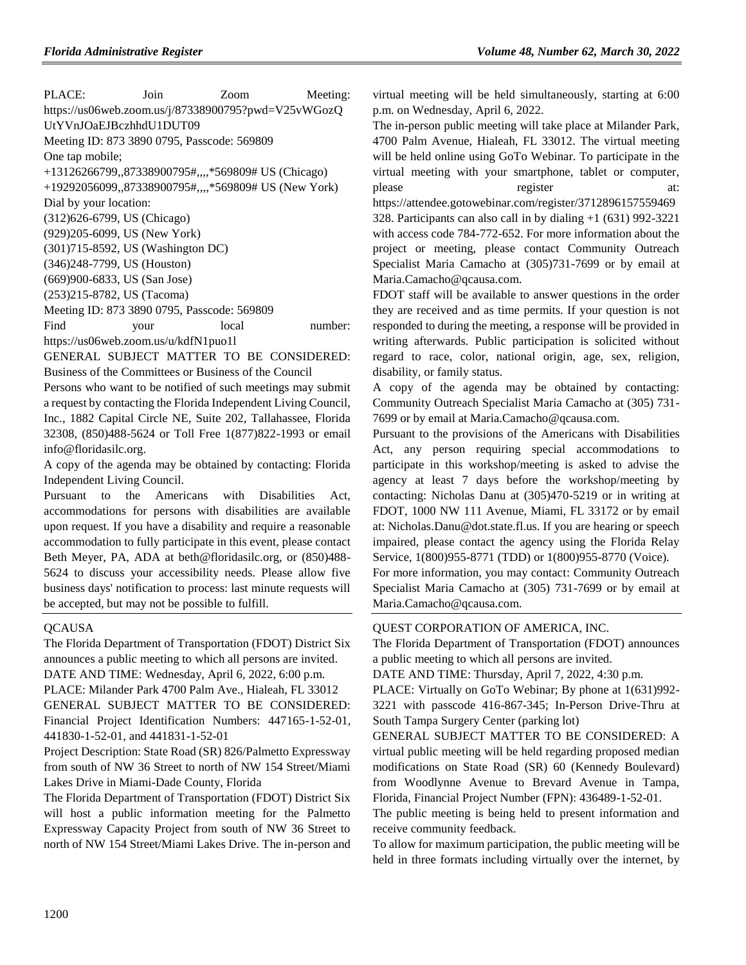PLACE: Join Zoom Meeting: https://us06web.zoom.us/j/87338900795?pwd=V25vWGozQ UtYVnJOaEJBczhhdU1DUT09 Meeting ID: 873 3890 0795, Passcode: 569809 One tap mobile; +13126266799,,87338900795#,,,,\*569809# US (Chicago) +19292056099,,87338900795#,,,,\*569809# US (New York) Dial by your location: (312)626-6799, US (Chicago) (929)205-6099, US (New York) (301)715-8592, US (Washington DC) (346)248-7799, US (Houston) (669)900-6833, US (San Jose) (253)215-8782, US (Tacoma) Meeting ID: 873 3890 0795, Passcode: 569809 Find your local number: https://us06web.zoom.us/u/kdfN1puo1l GENERAL SUBJECT MATTER TO BE CONSIDERED:

Business of the Committees or Business of the Council

Persons who want to be notified of such meetings may submit a request by contacting the Florida Independent Living Council, Inc., 1882 Capital Circle NE, Suite 202, Tallahassee, Florida 32308, (850)488-5624 or Toll Free 1(877)822-1993 or email info@floridasilc.org.

A copy of the agenda may be obtained by contacting: Florida Independent Living Council.

Pursuant to the Americans with Disabilities Act, accommodations for persons with disabilities are available upon request. If you have a disability and require a reasonable accommodation to fully participate in this event, please contact Beth Meyer, PA, ADA at beth@floridasilc.org, or (850)488- 5624 to discuss your accessibility needs. Please allow five business days' notification to process: last minute requests will be accepted, but may not be possible to fulfill.

#### **[QCAUSA](https://www.flrules.org/gateway/organization.asp?id=991)**

The Florida Department of Transportation (FDOT) District Six announces a public meeting to which all persons are invited. DATE AND TIME: Wednesday, April 6, 2022, 6:00 p.m. PLACE: Milander Park 4700 Palm Ave., Hialeah, FL 33012 GENERAL SUBJECT MATTER TO BE CONSIDERED: Financial Project Identification Numbers: 447165-1-52-01, 441830-1-52-01, and 441831-1-52-01

Project Description: State Road (SR) 826/Palmetto Expressway from south of NW 36 Street to north of NW 154 Street/Miami Lakes Drive in Miami-Dade County, Florida

The Florida Department of Transportation (FDOT) District Six will host a public information meeting for the Palmetto Expressway Capacity Project from south of NW 36 Street to north of NW 154 Street/Miami Lakes Drive. The in-person and

virtual meeting will be held simultaneously, starting at 6:00 p.m. on Wednesday, April 6, 2022.

The in-person public meeting will take place at Milander Park, 4700 Palm Avenue, Hialeah, FL 33012. The virtual meeting will be held online using GoTo Webinar. To participate in the virtual meeting with your smartphone, tablet or computer, please register at: https://attendee.gotowebinar.com/register/3712896157559469 328. Participants can also call in by dialing +1 (631) 992-3221 with access code 784-772-652. For more information about the project or meeting, please contact Community Outreach Specialist Maria Camacho at (305)731-7699 or by email at Maria.Camacho@qcausa.com.

FDOT staff will be available to answer questions in the order they are received and as time permits. If your question is not responded to during the meeting, a response will be provided in writing afterwards. Public participation is solicited without regard to race, color, national origin, age, sex, religion, disability, or family status.

A copy of the agenda may be obtained by contacting: Community Outreach Specialist Maria Camacho at (305) 731- 7699 or by email at Maria.Camacho@qcausa.com.

Pursuant to the provisions of the Americans with Disabilities Act, any person requiring special accommodations to participate in this workshop/meeting is asked to advise the agency at least 7 days before the workshop/meeting by contacting: Nicholas Danu at (305)470-5219 or in writing at FDOT, 1000 NW 111 Avenue, Miami, FL 33172 or by email at: Nicholas.Danu@dot.state.fl.us. If you are hearing or speech impaired, please contact the agency using the Florida Relay Service, 1(800)955-8771 (TDD) or 1(800)955-8770 (Voice). For more information, you may contact: Community Outreach

Specialist Maria Camacho at (305) 731-7699 or by email at Maria.Camacho@qcausa.com.

#### [QUEST CORPORATION OF AMERICA, INC.](https://www.flrules.org/gateway/organization.asp?id=1019)

The Florida Department of Transportation (FDOT) announces a public meeting to which all persons are invited.

DATE AND TIME: Thursday, April 7, 2022, 4:30 p.m.

PLACE: Virtually on GoTo Webinar; By phone at 1(631)992- 3221 with passcode 416-867-345; In-Person Drive-Thru at South Tampa Surgery Center (parking lot)

GENERAL SUBJECT MATTER TO BE CONSIDERED: A virtual public meeting will be held regarding proposed median modifications on State Road (SR) 60 (Kennedy Boulevard) from Woodlynne Avenue to Brevard Avenue in Tampa, Florida, Financial Project Number (FPN): 436489-1-52-01.

The public meeting is being held to present information and receive community feedback.

To allow for maximum participation, the public meeting will be held in three formats including virtually over the internet, by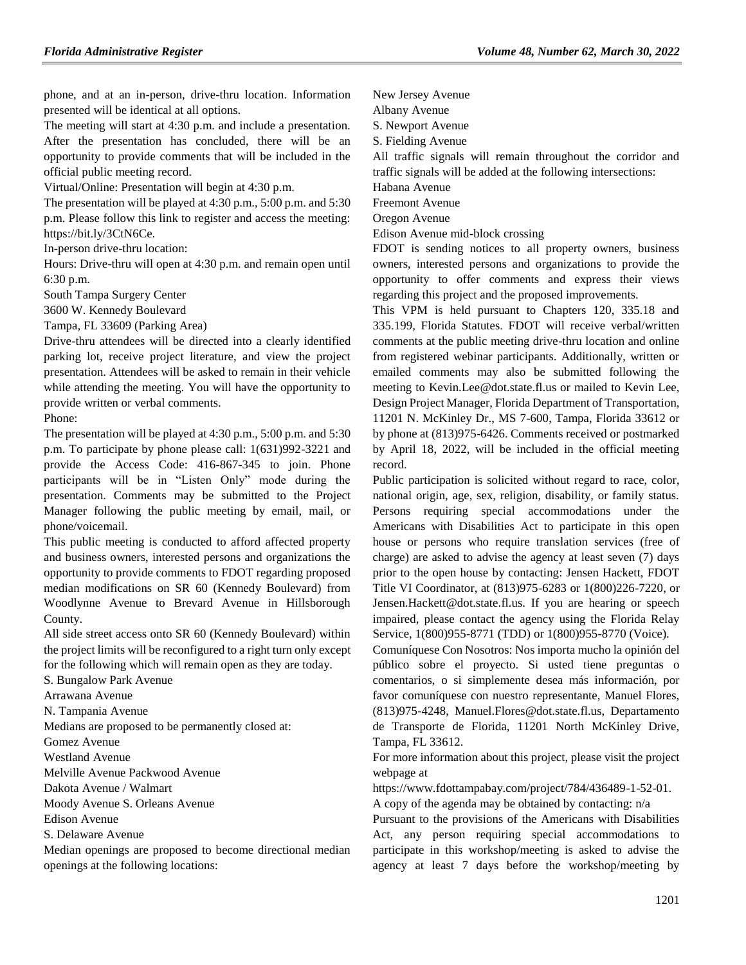phone, and at an in-person, drive-thru location. Information presented will be identical at all options.

The meeting will start at 4:30 p.m. and include a presentation. After the presentation has concluded, there will be an opportunity to provide comments that will be included in the official public meeting record.

Virtual/Online: Presentation will begin at 4:30 p.m.

The presentation will be played at 4:30 p.m., 5:00 p.m. and 5:30 p.m. Please follow this link to register and access the meeting: https://bit.ly/3CtN6Ce.

In-person drive-thru location:

Hours: Drive-thru will open at 4:30 p.m. and remain open until 6:30 p.m.

South Tampa Surgery Center

3600 W. Kennedy Boulevard

Tampa, FL 33609 (Parking Area)

Drive-thru attendees will be directed into a clearly identified parking lot, receive project literature, and view the project presentation. Attendees will be asked to remain in their vehicle while attending the meeting. You will have the opportunity to provide written or verbal comments.

Phone:

The presentation will be played at 4:30 p.m., 5:00 p.m. and 5:30 p.m. To participate by phone please call: 1(631)992-3221 and provide the Access Code: 416-867-345 to join. Phone participants will be in "Listen Only" mode during the presentation. Comments may be submitted to the Project Manager following the public meeting by email, mail, or phone/voicemail.

This public meeting is conducted to afford affected property and business owners, interested persons and organizations the opportunity to provide comments to FDOT regarding proposed median modifications on SR 60 (Kennedy Boulevard) from Woodlynne Avenue to Brevard Avenue in Hillsborough County.

All side street access onto SR 60 (Kennedy Boulevard) within the project limits will be reconfigured to a right turn only except for the following which will remain open as they are today.

S. Bungalow Park Avenue

Arrawana Avenue

N. Tampania Avenue

Medians are proposed to be permanently closed at:

Gomez Avenue

Westland Avenue

Melville Avenue Packwood Avenue

Dakota Avenue / Walmart

Moody Avenue S. Orleans Avenue

Edison Avenue

S. Delaware Avenue

Median openings are proposed to become directional median openings at the following locations:

New Jersey Avenue

Albany Avenue

S. Newport Avenue

S. Fielding Avenue

All traffic signals will remain throughout the corridor and traffic signals will be added at the following intersections:

Habana Avenue

Freemont Avenue

Oregon Avenue

Edison Avenue mid-block crossing

FDOT is sending notices to all property owners, business owners, interested persons and organizations to provide the opportunity to offer comments and express their views regarding this project and the proposed improvements.

This VPM is held pursuant to Chapters 120, 335.18 and 335.199, Florida Statutes. FDOT will receive verbal/written comments at the public meeting drive-thru location and online from registered webinar participants. Additionally, written or emailed comments may also be submitted following the meeting to Kevin.Lee@dot.state.fl.us or mailed to Kevin Lee, Design Project Manager, Florida Department of Transportation, 11201 N. McKinley Dr., MS 7-600, Tampa, Florida 33612 or by phone at (813)975-6426. Comments received or postmarked by April 18, 2022, will be included in the official meeting record.

Public participation is solicited without regard to race, color, national origin, age, sex, religion, disability, or family status. Persons requiring special accommodations under the Americans with Disabilities Act to participate in this open house or persons who require translation services (free of charge) are asked to advise the agency at least seven (7) days prior to the open house by contacting: Jensen Hackett, FDOT Title VI Coordinator, at (813)975-6283 or 1(800)226-7220, or Jensen.Hackett@dot.state.fl.us. If you are hearing or speech impaired, please contact the agency using the Florida Relay Service, 1(800)955-8771 (TDD) or 1(800)955-8770 (Voice).

Comuníquese Con Nosotros: Nos importa mucho la opinión del público sobre el proyecto. Si usted tiene preguntas o comentarios, o si simplemente desea más información, por favor comuníquese con nuestro representante, Manuel Flores, (813)975-4248, Manuel.Flores@dot.state.fl.us, Departamento de Transporte de Florida, 11201 North McKinley Drive, Tampa, FL 33612.

For more information about this project, please visit the project webpage at

https://www.fdottampabay.com/project/784/436489-1-52-01.

A copy of the agenda may be obtained by contacting: n/a

Pursuant to the provisions of the Americans with Disabilities Act, any person requiring special accommodations to participate in this workshop/meeting is asked to advise the agency at least 7 days before the workshop/meeting by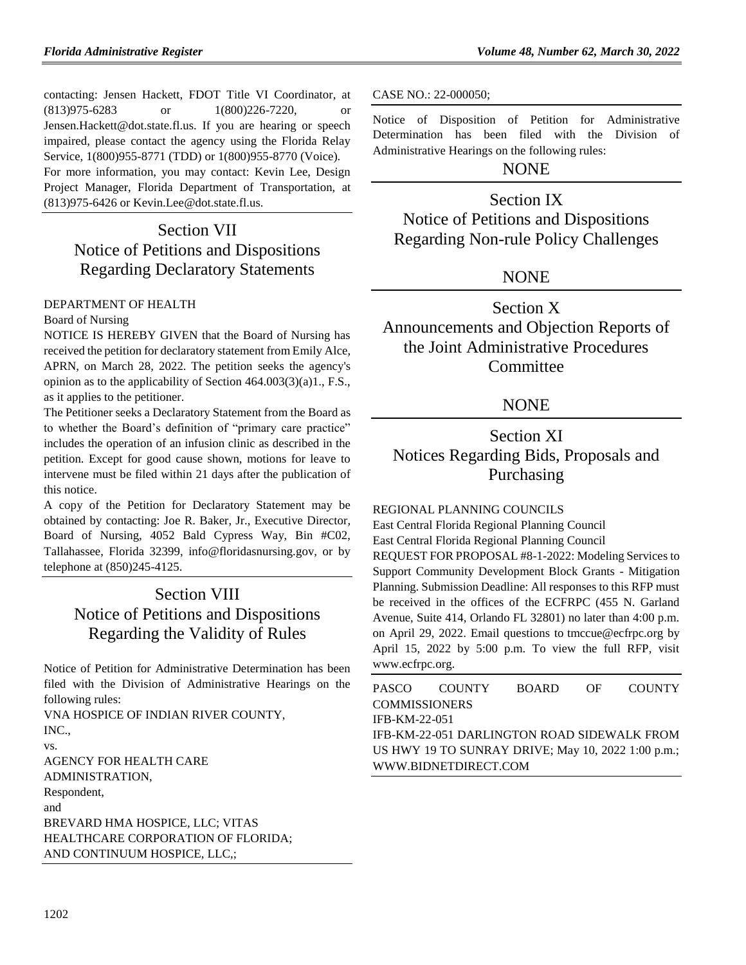contacting: Jensen Hackett, FDOT Title VI Coordinator, at (813)975-6283 or 1(800)226-7220, or Jensen.Hackett@dot.state.fl.us. If you are hearing or speech impaired, please contact the agency using the Florida Relay Service, 1(800)955-8771 (TDD) or 1(800)955-8770 (Voice). For more information, you may contact: Kevin Lee, Design Project Manager, Florida Department of Transportation, at (813)975-6426 or Kevin.Lee@dot.state.fl.us.

# Section VII Notice of Petitions and Dispositions Regarding Declaratory Statements

#### [DEPARTMENT OF HEALTH](https://www.flrules.org/gateway/department.asp?id=64)

#### [Board of Nursing](https://www.flrules.org/gateway/organization.asp?id=332)

NOTICE IS HEREBY GIVEN that the Board of Nursing has received the petition for declaratory statement from Emily Alce, APRN, on March 28, 2022. The petition seeks the agency's opinion as to the applicability of Section 464.003(3)(a)1., F.S., as it applies to the petitioner.

The Petitioner seeks a Declaratory Statement from the Board as to whether the Board's definition of "primary care practice" includes the operation of an infusion clinic as described in the petition. Except for good cause shown, motions for leave to intervene must be filed within 21 days after the publication of this notice.

A copy of the Petition for Declaratory Statement may be obtained by contacting: Joe R. Baker, Jr., Executive Director, Board of Nursing, 4052 Bald Cypress Way, Bin #C02, Tallahassee, Florida 32399, info@floridasnursing.gov, or by telephone at (850)245-4125.

## Section VIII Notice of Petitions and Dispositions Regarding the Validity of Rules

Notice of Petition for Administrative Determination has been filed with the Division of Administrative Hearings on the following rules:

VNA HOSPICE OF INDIAN RIVER COUNTY, INC.,

vs.

AGENCY FOR HEALTH CARE ADMINISTRATION, Respondent, and BREVARD HMA HOSPICE, LLC; VITAS HEALTHCARE CORPORATION OF FLORIDA; AND CONTINUUM HOSPICE, LLC,;

CASE NO.: 22-000050;

Notice of Disposition of Petition for Administrative Determination has been filed with the Division of Administrative Hearings on the following rules:

## NONE

## Section IX

Notice of Petitions and Dispositions Regarding Non-rule Policy Challenges

## NONE

Section X Announcements and Objection Reports of the Joint Administrative Procedures **Committee** 

## **NONE**

# Section XI Notices Regarding Bids, Proposals and Purchasing

[REGIONAL PLANNING COUNCILS](https://www.flrules.org/gateway/department.asp?id=29)

[East Central Florida Regional Planning Council](https://www.flrules.org/gateway/organization.asp?id=62)

East Central Florida Regional Planning Council

REQUEST FOR PROPOSAL #8-1-2022: Modeling Services to Support Community Development Block Grants - Mitigation Planning. Submission Deadline: All responses to this RFP must be received in the offices of the ECFRPC (455 N. Garland Avenue, Suite 414, Orlando FL 32801) no later than 4:00 p.m. on April 29, 2022. Email questions to [tmccue@ecfrpc.org](mailto:tmccue@ecfrpc.org) by April 15, 2022 by 5:00 p.m. To view the full RFP, visit www.ecfrpc.org.

| PASCO                | <b>COUNTY</b>                                      | <b>BOARD</b> | OF. | <b>COUNTY</b> |
|----------------------|----------------------------------------------------|--------------|-----|---------------|
| <b>COMMISSIONERS</b> |                                                    |              |     |               |
| IFB-KM-22-051        |                                                    |              |     |               |
|                      | IFB-KM-22-051 DARLINGTON ROAD SIDEWALK FROM        |              |     |               |
|                      | US HWY 19 TO SUNRAY DRIVE; May 10, 2022 1:00 p.m.; |              |     |               |
|                      | WWW.BIDNETDIRECT.COM                               |              |     |               |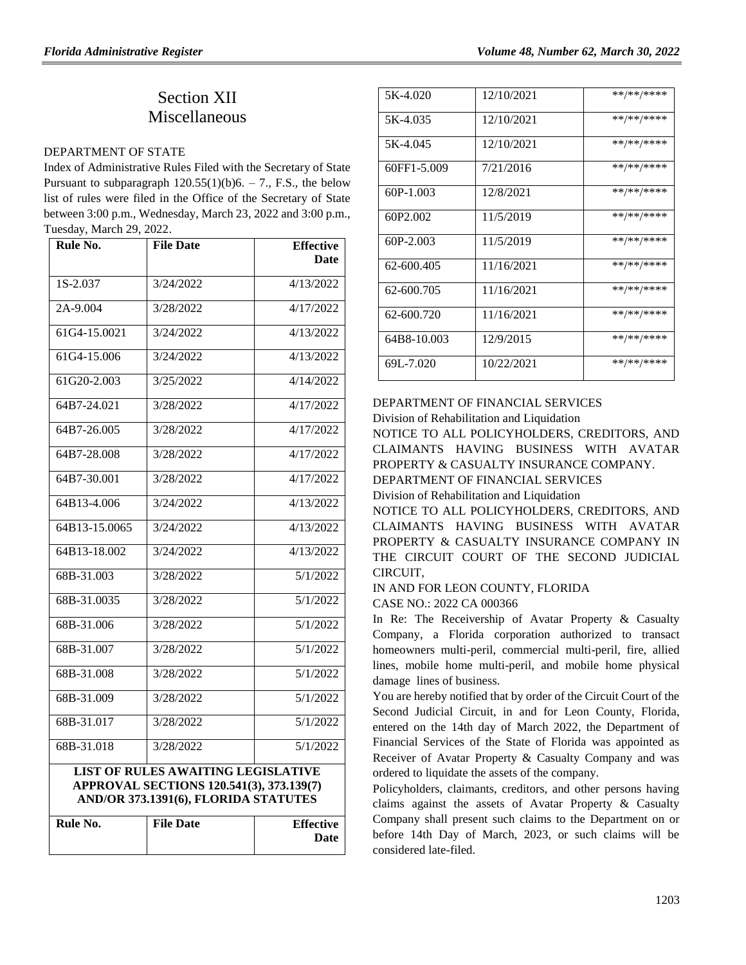# Section XII **Miscellaneous**

#### [DEPARTMENT OF STATE](https://www.flrules.org/gateway/department.asp?id=1)

Index of Administrative Rules Filed with the Secretary of State Pursuant to subparagraph  $120.55(1)(b)6. - 7$ ., F.S., the below list of rules were filed in the Office of the Secretary of State between 3:00 p.m., Wednesday, March 23, 2022 and 3:00 p.m., Tuesday, March 29, 2022.

| Rule No.      | <b>File Date</b> | <b>Effective</b><br><b>Date</b> |
|---------------|------------------|---------------------------------|
| $1S-2.037$    | 3/24/2022        | 4/13/2022                       |
| 2A-9.004      | 3/28/2022        | 4/17/2022                       |
| 61G4-15.0021  | 3/24/2022        | 4/13/2022                       |
| 61G4-15.006   | 3/24/2022        | 4/13/2022                       |
| 61G20-2.003   | 3/25/2022        | 4/14/2022                       |
| 64B7-24.021   | 3/28/2022        | 4/17/2022                       |
| 64B7-26.005   | 3/28/2022        | 4/17/2022                       |
| 64B7-28.008   | 3/28/2022        | 4/17/2022                       |
| 64B7-30.001   | 3/28/2022        | 4/17/2022                       |
| 64B13-4.006   | 3/24/2022        | 4/13/2022                       |
| 64B13-15.0065 | 3/24/2022        | 4/13/2022                       |
| 64B13-18.002  | 3/24/2022        | 4/13/2022                       |
| 68B-31.003    | 3/28/2022        | 5/1/2022                        |
| 68B-31.0035   | 3/28/2022        | 5/1/2022                        |
| 68B-31.006    | 3/28/2022        | 5/1/2022                        |
| 68B-31.007    | 3/28/2022        | 5/1/2022                        |
| 68B-31.008    | 3/28/2022        | 5/1/2022                        |
| 68B-31.009    | 3/28/2022        | 5/1/2022                        |
| 68B-31.017    | 3/28/2022        | 5/1/2022                        |
| 68B-31.018    | 3/28/2022        | 5/1/2022                        |

#### **LIST OF RULES AWAITING LEGISLATIVE APPROVAL SECTIONS 120.541(3), 373.139(7) AND/OR 373.1391(6), FLORIDA STATUTES**

| Rule No. | <b>File Date</b> | <b>Effective</b> |
|----------|------------------|------------------|
|          |                  | Date             |
|          |                  |                  |

| 5K-4.020    | 12/10/2021 | **/**/**** |
|-------------|------------|------------|
| 5K-4.035    | 12/10/2021 | **/**/**** |
| 5K-4.045    | 12/10/2021 | **/**/**** |
| 60FF1-5.009 | 7/21/2016  | **/**/**** |
| $60P-1.003$ | 12/8/2021  | **/**/**** |
| 60P2.002    | 11/5/2019  | **/**/**** |
| $60P-2.003$ | 11/5/2019  | **/**/**** |
| 62-600.405  | 11/16/2021 | **/**/**** |
| 62-600.705  | 11/16/2021 | **/**/**** |
| 62-600.720  | 11/16/2021 | **/**/**** |
| 64B8-10.003 | 12/9/2015  | **/**/**** |
| 69L-7.020   | 10/22/2021 | **/**/**** |

#### [DEPARTMENT OF FINANCIAL SERVICES](https://www.flrules.org/gateway/department.asp?id=69)

[Division of Rehabilitation and Liquidation](https://www.flrules.org/gateway/organization.asp?id=364) NOTICE TO ALL POLICYHOLDERS, CREDITORS, AND

CLAIMANTS HAVING BUSINESS WITH AVATAR PROPERTY & CASUALTY INSURANCE COMPANY.

DEPARTMENT OF FINANCIAL SERVICES

Division of Rehabilitation and Liquidation

NOTICE TO ALL POLICYHOLDERS, CREDITORS, AND CLAIMANTS HAVING BUSINESS WITH AVATAR PROPERTY & CASUALTY INSURANCE COMPANY IN THE CIRCUIT COURT OF THE SECOND JUDICIAL CIRCUIT,

IN AND FOR LEON COUNTY, FLORIDA

CASE NO.: 2022 CA 000366

In Re: The Receivership of Avatar Property & Casualty Company, a Florida corporation authorized to transact homeowners multi-peril, commercial multi-peril, fire, allied lines, mobile home multi-peril, and mobile home physical damage lines of business.

You are hereby notified that by order of the Circuit Court of the Second Judicial Circuit, in and for Leon County, Florida, entered on the 14th day of March 2022, the Department of Financial Services of the State of Florida was appointed as Receiver of Avatar Property & Casualty Company and was ordered to liquidate the assets of the company.

Policyholders, claimants, creditors, and other persons having claims against the assets of Avatar Property & Casualty Company shall present such claims to the Department on or before 14th Day of March, 2023, or such claims will be considered late-filed.